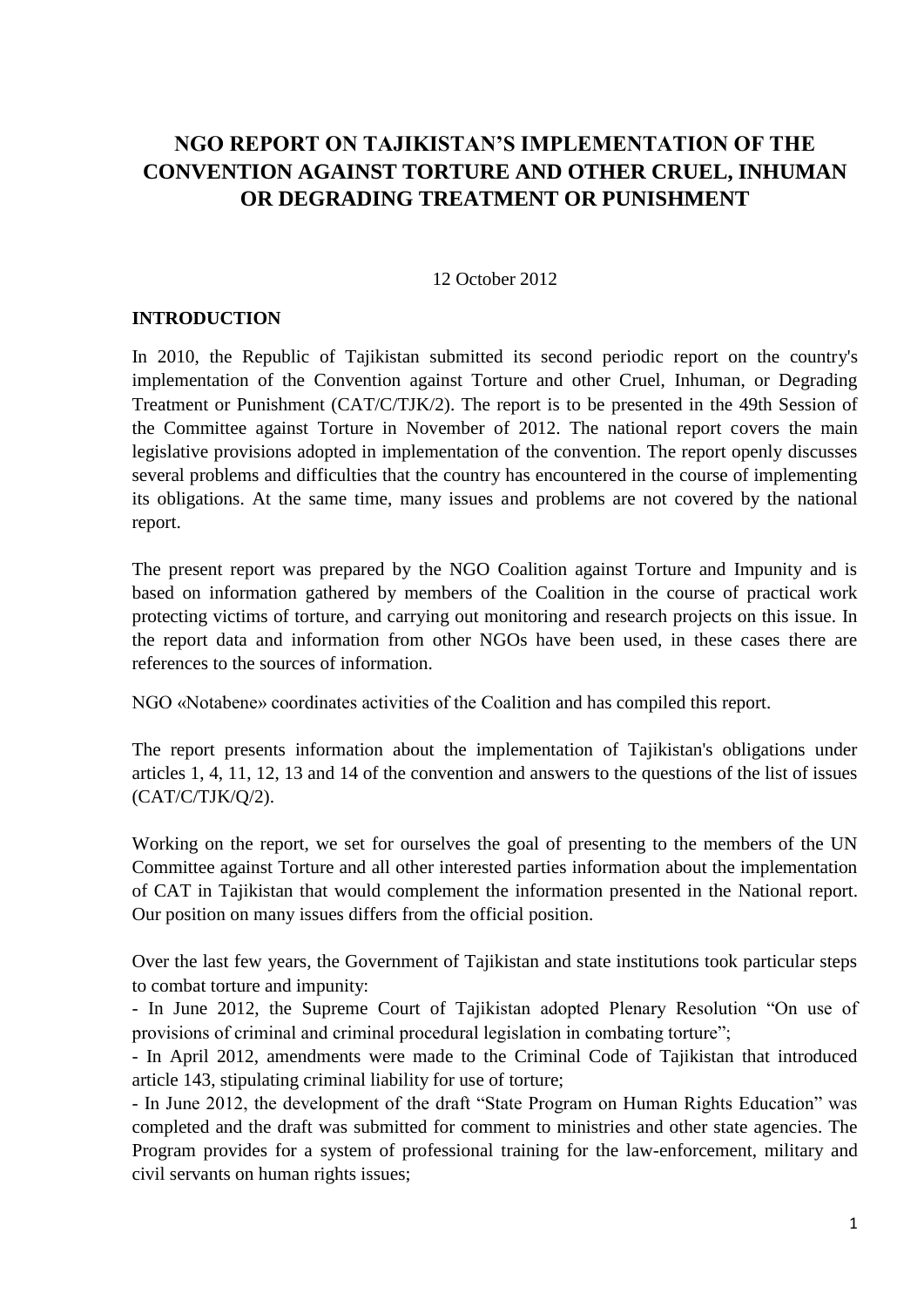# **NGO REPORT ON TAJIKISTAN'S IMPLEMENTATION OF THE CONVENTION AGAINST TORTURE AND OTHER CRUEL, INHUMAN OR DEGRADING TREATMENT OR PUNISHMENT**

#### 12 October 2012

#### **INTRODUCTION**

In 2010, the Republic of Tajikistan submitted its second periodic report on the country's implementation of the Convention against Torture and other Cruel, Inhuman, or Degrading Treatment or Punishment (CAT/C/TJK/2). The report is to be presented in the 49th Session of the Committee against Torture in November of 2012. The national report covers the main legislative provisions adopted in implementation of the convention. The report openly discusses several problems and difficulties that the country has encountered in the course of implementing its obligations. At the same time, many issues and problems are not covered by the national report.

The present report was prepared by the NGO Coalition against Torture and Impunity and is based on information gathered by members of the Coalition in the course of practical work protecting victims of torture, and carrying out monitoring and research projects on this issue. In the report data and information from other NGOs have been used, in these cases there are references to the sources of information.

NGO «Notabene» coordinates activities of the Coalition and has compiled this report.

The report presents information about the implementation of Tajikistan's obligations under articles 1, 4, 11, 12, 13 and 14 of the convention and answers to the questions of the list of issues (CAT/C/TJK/Q/2).

Working on the report, we set for ourselves the goal of presenting to the members of the UN Committee against Torture and all other interested parties information about the implementation of CAT in Tajikistan that would complement the information presented in the National report. Our position on many issues differs from the official position.

Over the last few years, the Government of Tajikistan and state institutions took particular steps to combat torture and impunity:

- In June 2012, the Supreme Court of Tajikistan adopted Plenary Resolution "On use of provisions of criminal and criminal procedural legislation in combating torture";

- In April 2012, amendments were made to the Criminal Code of Tajikistan that introduced article 143, stipulating criminal liability for use of torture;

- In June 2012, the development of the draft "State Program on Human Rights Education" was completed and the draft was submitted for comment to ministries and other state agencies. The Program provides for a system of professional training for the law-enforcement, military and civil servants on human rights issues;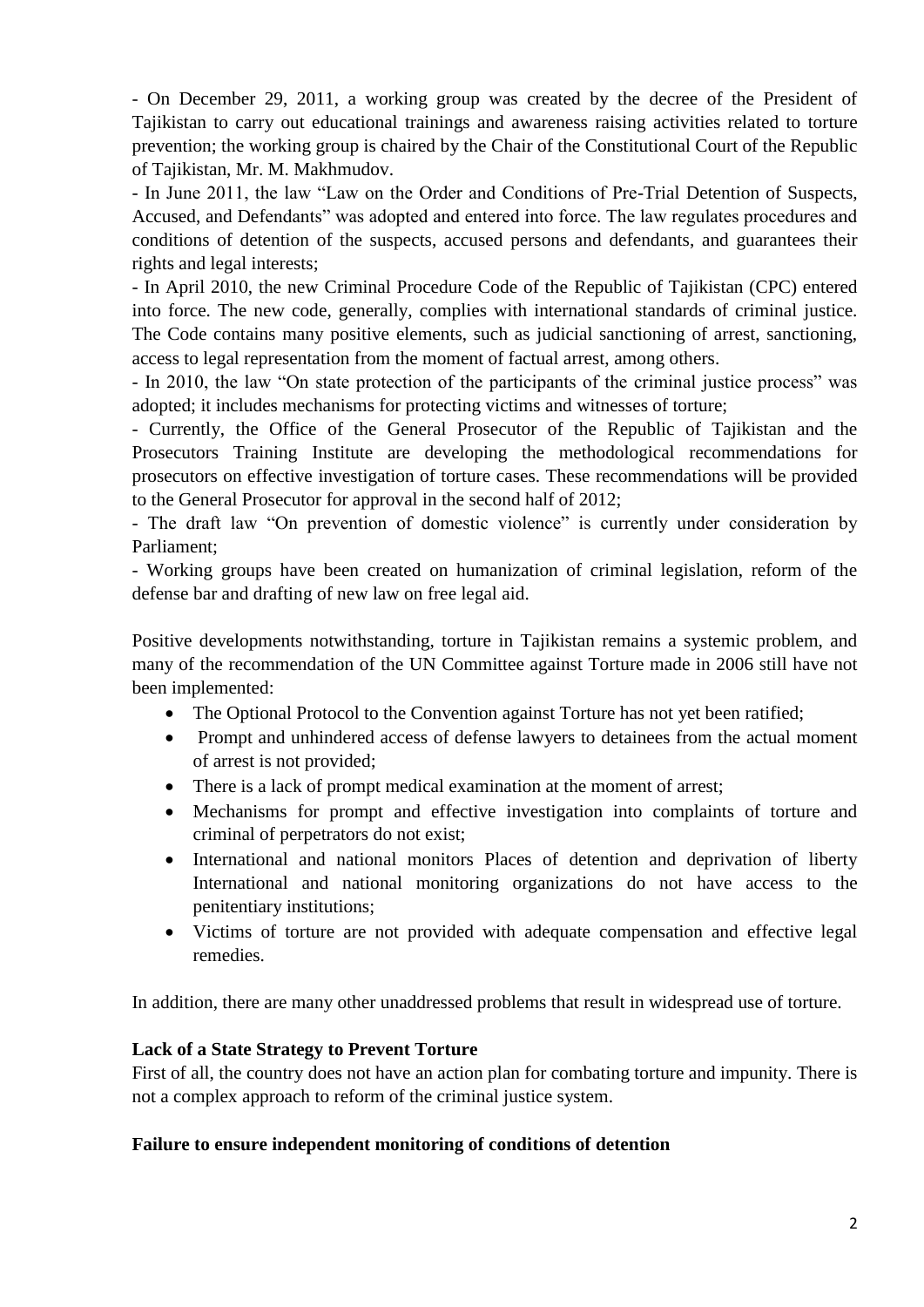- On December 29, 2011, a working group was created by the decree of the President of Tajikistan to carry out educational trainings and awareness raising activities related to torture prevention; the working group is chaired by the Chair of the Constitutional Court of the Republic of Tajikistan, Mr. M. Makhmudov.

- In June 2011, the law "Law on the Order and Conditions of Pre-Trial Detention of Suspects, Accused, and Defendants" was adopted and entered into force. The law regulates procedures and conditions of detention of the suspects, accused persons and defendants, and guarantees their rights and legal interests;

- In April 2010, the new Criminal Procedure Code of the Republic of Tajikistan (CPC) entered into force. The new code, generally, complies with international standards of criminal justice. The Code contains many positive elements, such as judicial sanctioning of arrest, sanctioning, access to legal representation from the moment of factual arrest, among others.

- In 2010, the law "On state protection of the participants of the criminal justice process" was adopted; it includes mechanisms for protecting victims and witnesses of torture;

- Currently, the Office of the General Prosecutor of the Republic of Tajikistan and the Prosecutors Training Institute are developing the methodological recommendations for prosecutors on effective investigation of torture cases. These recommendations will be provided to the General Prosecutor for approval in the second half of 2012;

- The draft law "On prevention of domestic violence" is currently under consideration by Parliament;

- Working groups have been created on humanization of criminal legislation, reform of the defense bar and drafting of new law on free legal aid.

Positive developments notwithstanding, torture in Tajikistan remains a systemic problem, and many of the recommendation of the UN Committee against Torture made in 2006 still have not been implemented:

- The Optional Protocol to the Convention against Torture has not yet been ratified;
- Prompt and unhindered access of defense lawyers to detainees from the actual moment of arrest is not provided;
- There is a lack of prompt medical examination at the moment of arrest;
- Mechanisms for prompt and effective investigation into complaints of torture and criminal of perpetrators do not exist;
- International and national monitors Places of detention and deprivation of liberty International and national monitoring organizations do not have access to the penitentiary institutions;
- Victims of torture are not provided with adequate compensation and effective legal remedies.

In addition, there are many other unaddressed problems that result in widespread use of torture.

#### **Lack of a State Strategy to Prevent Torture**

First of all, the country does not have an action plan for combating torture and impunity. There is not a complex approach to reform of the criminal justice system.

#### **Failure to ensure independent monitoring of conditions of detention**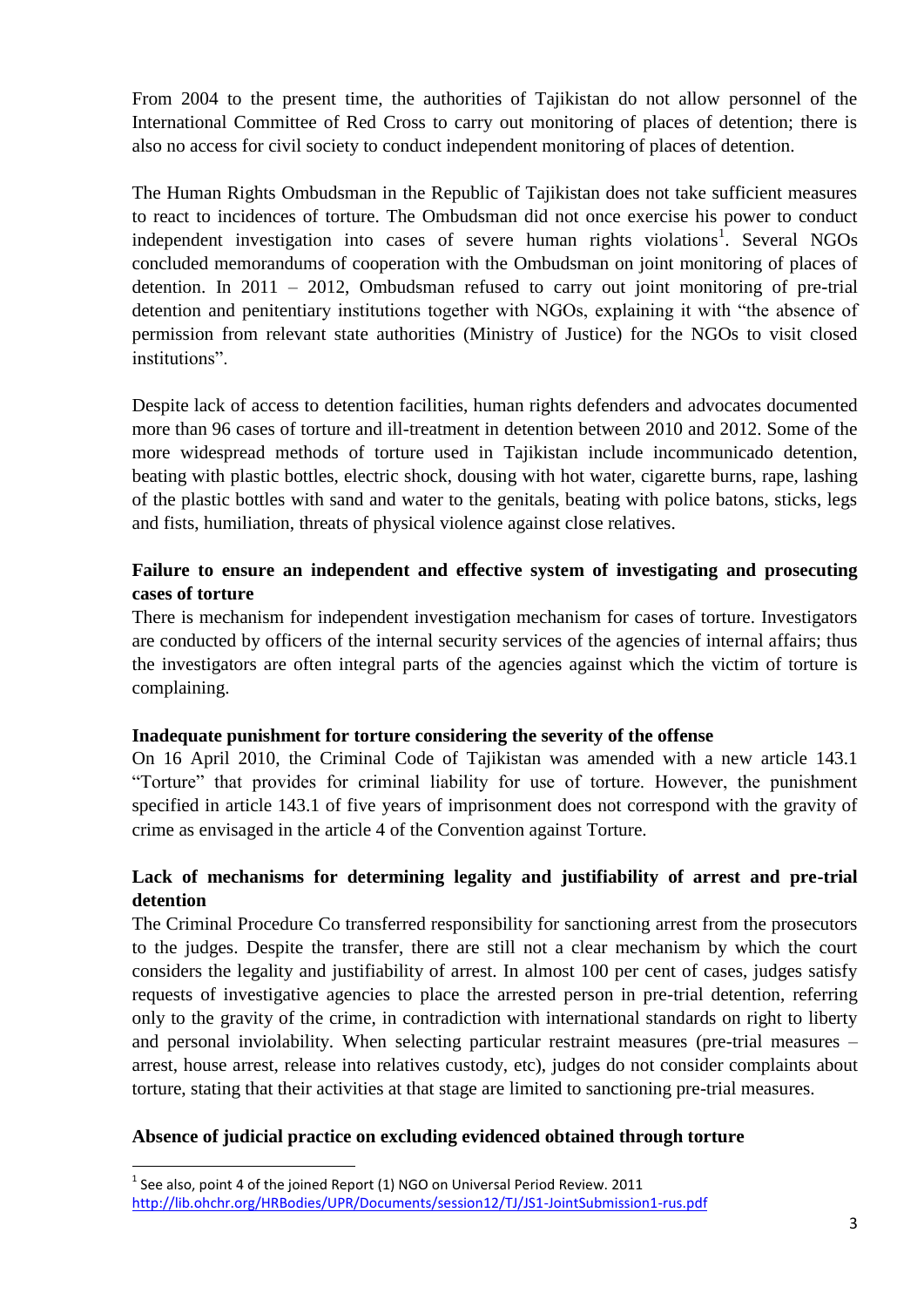From 2004 to the present time, the authorities of Tajikistan do not allow personnel of the International Committee of Red Cross to carry out monitoring of places of detention; there is also no access for civil society to conduct independent monitoring of places of detention.

The Human Rights Ombudsman in the Republic of Tajikistan does not take sufficient measures to react to incidences of torture. The Ombudsman did not once exercise his power to conduct independent investigation into cases of severe human rights violations<sup>1</sup>. Several NGOs concluded memorandums of cooperation with the Ombudsman on joint monitoring of places of detention. In 2011 – 2012, Ombudsman refused to carry out joint monitoring of pre-trial detention and penitentiary institutions together with NGOs, explaining it with "the absence of permission from relevant state authorities (Ministry of Justice) for the NGOs to visit closed institutions".

Despite lack of access to detention facilities, human rights defenders and advocates documented more than 96 cases of torture and ill-treatment in detention between 2010 and 2012. Some of the more widespread methods of torture used in Tajikistan include incommunicado detention, beating with plastic bottles, electric shock, dousing with hot water, cigarette burns, rape, lashing of the plastic bottles with sand and water to the genitals, beating with police batons, sticks, legs and fists, humiliation, threats of physical violence against close relatives.

### **Failure to ensure an independent and effective system of investigating and prosecuting cases of torture**

There is mechanism for independent investigation mechanism for cases of torture. Investigators are conducted by officers of the internal security services of the agencies of internal affairs; thus the investigators are often integral parts of the agencies against which the victim of torture is complaining.

#### **Inadequate punishment for torture considering the severity of the offense**

On 16 April 2010, the Criminal Code of Tajikistan was amended with a new article 143.1 "Torture" that provides for criminal liability for use of torture. However, the punishment specified in article 143.1 of five years of imprisonment does not correspond with the gravity of crime as envisaged in the article 4 of the Convention against Torture.

### **Lack of mechanisms for determining legality and justifiability of arrest and pre-trial detention**

The Criminal Procedure Co transferred responsibility for sanctioning arrest from the prosecutors to the judges. Despite the transfer, there are still not a clear mechanism by which the court considers the legality and justifiability of arrest. In almost 100 per cent of cases, judges satisfy requests of investigative agencies to place the arrested person in pre-trial detention, referring only to the gravity of the crime, in contradiction with international standards on right to liberty and personal inviolability. When selecting particular restraint measures (pre-trial measures – arrest, house arrest, release into relatives custody, etc), judges do not consider complaints about torture, stating that their activities at that stage are limited to sanctioning pre-trial measures.

#### **Absence of judicial practice on excluding evidenced obtained through torture**

 $<sup>1</sup>$  See also, point 4 of the joined Report (1) NGO on Universal Period Review. 2011</sup> <http://lib.ohchr.org/HRBodies/UPR/Documents/session12/TJ/JS1-JointSubmission1-rus.pdf>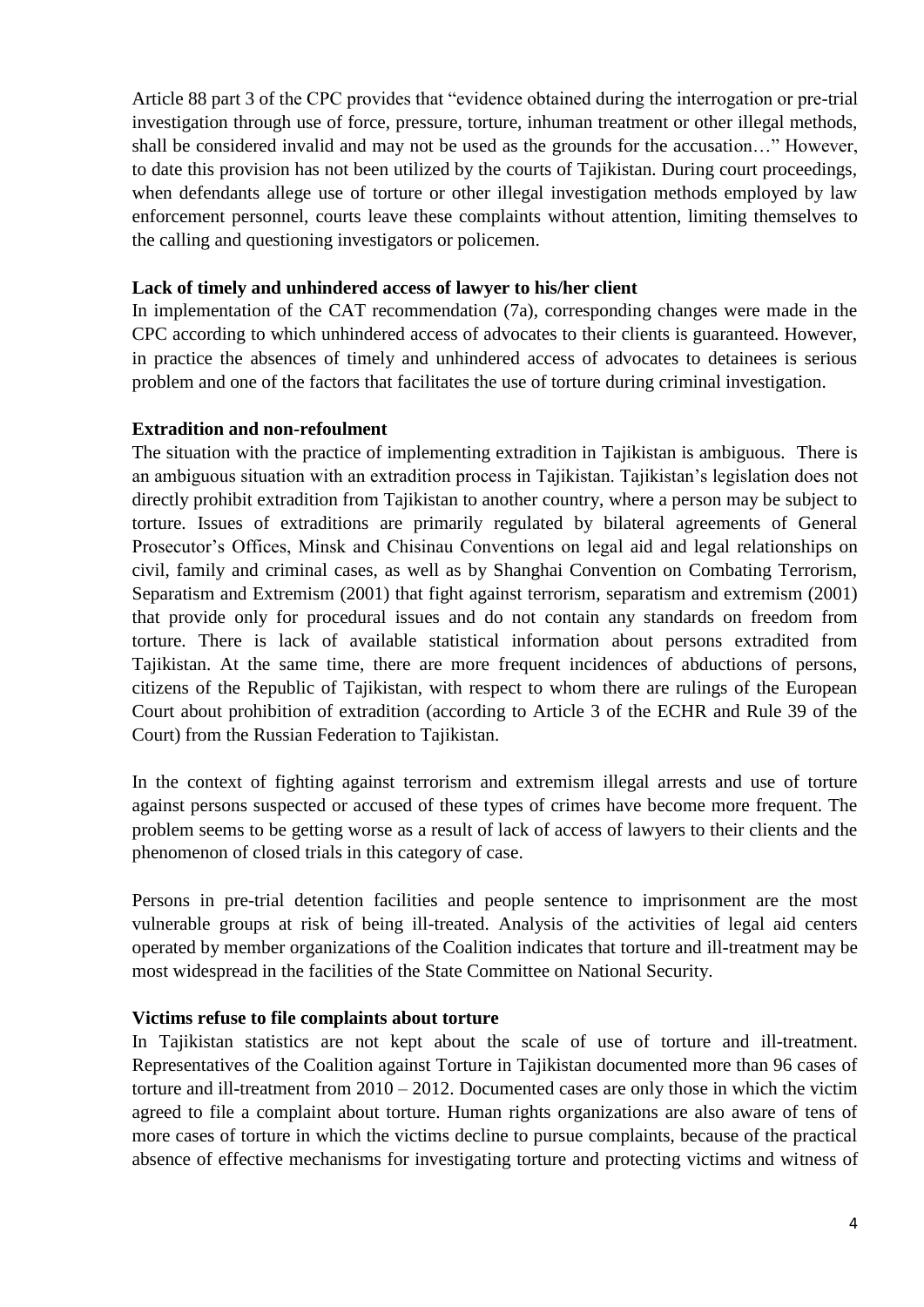Article 88 part 3 of the CPC provides that "evidence obtained during the interrogation or pre-trial investigation through use of force, pressure, torture, inhuman treatment or other illegal methods, shall be considered invalid and may not be used as the grounds for the accusation…" However, to date this provision has not been utilized by the courts of Tajikistan. During court proceedings, when defendants allege use of torture or other illegal investigation methods employed by law enforcement personnel, courts leave these complaints without attention, limiting themselves to the calling and questioning investigators or policemen.

#### **Lack of timely and unhindered access of lawyer to his/her client**

In implementation of the CAT recommendation (7a), corresponding changes were made in the CPC according to which unhindered access of advocates to their clients is guaranteed. However, in practice the absences of timely and unhindered access of advocates to detainees is serious problem and one of the factors that facilitates the use of torture during criminal investigation.

#### **Extradition and non-refoulment**

The situation with the practice of implementing extradition in Tajikistan is ambiguous. There is an ambiguous situation with an extradition process in Tajikistan. Tajikistan's legislation does not directly prohibit extradition from Tajikistan to another country, where a person may be subject to torture. Issues of extraditions are primarily regulated by bilateral agreements of General Prosecutor's Offices, Minsk and Chisinau Conventions on legal aid and legal relationships on civil, family and criminal cases, as well as by Shanghai Convention on Combating Terrorism, Separatism and Extremism (2001) that fight against terrorism, separatism and extremism (2001) that provide only for procedural issues and do not contain any standards on freedom from torture. There is lack of available statistical information about persons extradited from Tajikistan. At the same time, there are more frequent incidences of abductions of persons, citizens of the Republic of Tajikistan, with respect to whom there are rulings of the European Court about prohibition of extradition (according to Article 3 of the ECHR and Rule 39 of the Court) from the Russian Federation to Tajikistan.

In the context of fighting against terrorism and extremism illegal arrests and use of torture against persons suspected or accused of these types of crimes have become more frequent. The problem seems to be getting worse as a result of lack of access of lawyers to their clients and the phenomenon of closed trials in this category of case.

Persons in pre-trial detention facilities and people sentence to imprisonment are the most vulnerable groups at risk of being ill-treated. Analysis of the activities of legal aid centers operated by member organizations of the Coalition indicates that torture and ill-treatment may be most widespread in the facilities of the State Committee on National Security.

#### **Victims refuse to file complaints about torture**

In Tajikistan statistics are not kept about the scale of use of torture and ill-treatment. Representatives of the Coalition against Torture in Tajikistan documented more than 96 cases of torture and ill-treatment from 2010 – 2012. Documented cases are only those in which the victim agreed to file a complaint about torture. Human rights organizations are also aware of tens of more cases of torture in which the victims decline to pursue complaints, because of the practical absence of effective mechanisms for investigating torture and protecting victims and witness of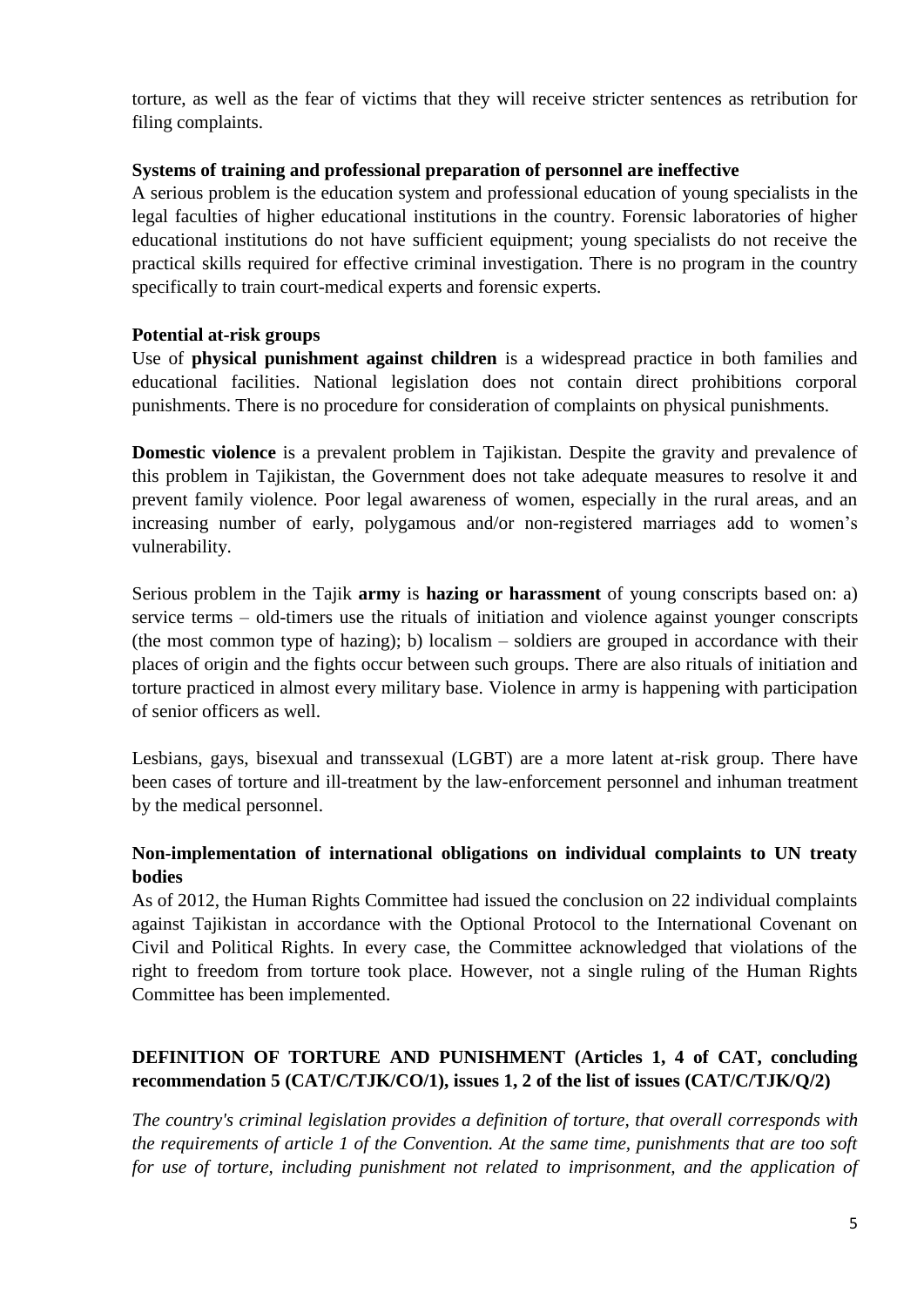torture, as well as the fear of victims that they will receive stricter sentences as retribution for filing complaints.

#### **Systems of training and professional preparation of personnel are ineffective**

A serious problem is the education system and professional education of young specialists in the legal faculties of higher educational institutions in the country. Forensic laboratories of higher educational institutions do not have sufficient equipment; young specialists do not receive the practical skills required for effective criminal investigation. There is no program in the country specifically to train court-medical experts and forensic experts.

#### **Potential at-risk groups**

Use of **physical punishment against children** is a widespread practice in both families and educational facilities. National legislation does not contain direct prohibitions corporal punishments. There is no procedure for consideration of complaints on physical punishments.

**Domestic violence** is a prevalent problem in Tajikistan. Despite the gravity and prevalence of this problem in Tajikistan, the Government does not take adequate measures to resolve it and prevent family violence. Poor legal awareness of women, especially in the rural areas, and an increasing number of early, polygamous and/or non-registered marriages add to women's vulnerability.

Serious problem in the Tajik **army** is **hazing or harassment** of young conscripts based on: a) service terms – old-timers use the rituals of initiation and violence against younger conscripts (the most common type of hazing); b) localism – soldiers are grouped in accordance with their places of origin and the fights occur between such groups. There are also rituals of initiation and torture practiced in almost every military base. Violence in army is happening with participation of senior officers as well.

Lesbians, gays, bisexual and transsexual (LGBT) are a more latent at-risk group. There have been cases of torture and ill-treatment by the law-enforcement personnel and inhuman treatment by the medical personnel.

# **Non-implementation of international obligations on individual complaints to UN treaty bodies**

As of 2012, the Human Rights Committee had issued the conclusion on 22 individual complaints against Tajikistan in accordance with the Optional Protocol to the International Covenant on Civil and Political Rights. In every case, the Committee acknowledged that violations of the right to freedom from torture took place. However, not a single ruling of the Human Rights Committee has been implemented.

# **DEFINITION OF TORTURE AND PUNISHMENT (Articles 1, 4 of CAT, concluding recommendation 5 (CAT/C/TJK/CO/1), issues 1, 2 of the list of issues (CAT/C/TJK/Q/2)**

*The country's criminal legislation provides a definition of torture, that overall corresponds with the requirements of article 1 of the Convention. At the same time, punishments that are too soft for use of torture, including punishment not related to imprisonment, and the application of*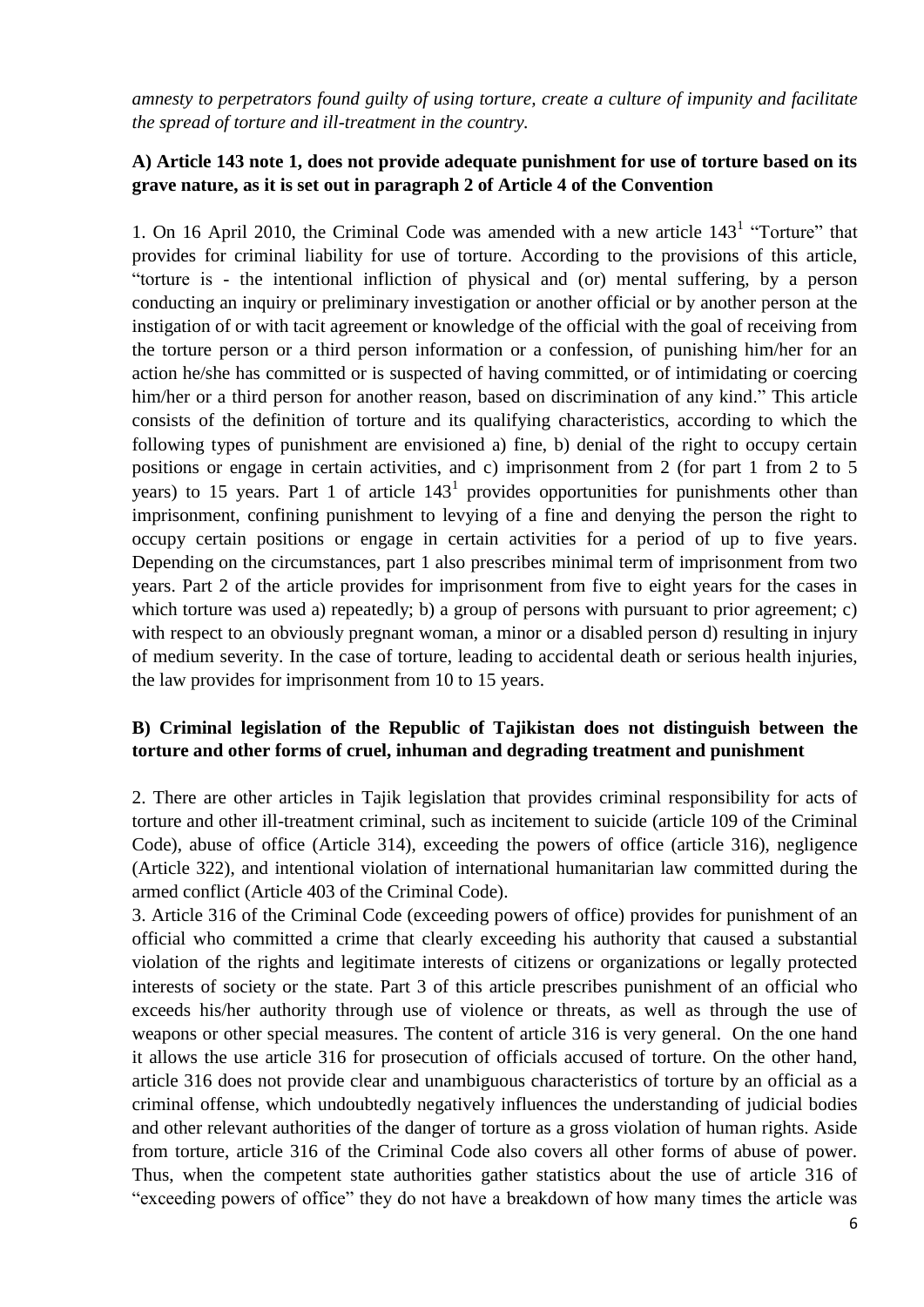*amnesty to perpetrators found guilty of using torture, create a culture of impunity and facilitate the spread of torture and ill-treatment in the country.*

## **A) Article 143 note 1, does not provide adequate punishment for use of torture based on its grave nature, as it is set out in paragraph 2 of Article 4 of the Convention**

1. On 16 April 2010, the Criminal Code was amended with a new article  $143<sup>1</sup>$  "Torture" that provides for criminal liability for use of torture. According to the provisions of this article, "torture is - the intentional infliction of physical and (or) mental suffering, by a person conducting an inquiry or preliminary investigation or another official or by another person at the instigation of or with tacit agreement or knowledge of the official with the goal of receiving from the torture person or a third person information or a confession, of punishing him/her for an action he/she has committed or is suspected of having committed, or of intimidating or coercing him/her or a third person for another reason, based on discrimination of any kind." This article consists of the definition of torture and its qualifying characteristics, according to which the following types of punishment are envisioned a) fine, b) denial of the right to occupy certain positions or engage in certain activities, and c) imprisonment from 2 (for part 1 from 2 to 5 years) to 15 years. Part 1 of article  $143<sup>1</sup>$  provides opportunities for punishments other than imprisonment, confining punishment to levying of a fine and denying the person the right to occupy certain positions or engage in certain activities for a period of up to five years. Depending on the circumstances, part 1 also prescribes minimal term of imprisonment from two years. Part 2 of the article provides for imprisonment from five to eight years for the cases in which torture was used a) repeatedly; b) a group of persons with pursuant to prior agreement; c) with respect to an obviously pregnant woman, a minor or a disabled person d) resulting in injury of medium severity. In the case of torture, leading to accidental death or serious health injuries, the law provides for imprisonment from 10 to 15 years.

### **B) Criminal legislation of the Republic of Tajikistan does not distinguish between the torture and other forms of cruel, inhuman and degrading treatment and punishment**

2. There are other articles in Tajik legislation that provides criminal responsibility for acts of torture and other ill-treatment criminal, such as incitement to suicide (article 109 of the Criminal Code), abuse of office (Article 314), exceeding the powers of office (article 316), negligence (Article 322), and intentional violation of international humanitarian law committed during the armed conflict (Article 403 of the Criminal Code).

3. Article 316 of the Criminal Code (exceeding powers of office) provides for punishment of an official who committed a crime that clearly exceeding his authority that caused a substantial violation of the rights and legitimate interests of citizens or organizations or legally protected interests of society or the state. Part 3 of this article prescribes punishment of an official who exceeds his/her authority through use of violence or threats, as well as through the use of weapons or other special measures. The content of article 316 is very general. On the one hand it allows the use article 316 for prosecution of officials accused of torture. On the other hand, article 316 does not provide clear and unambiguous characteristics of torture by an official as a criminal offense, which undoubtedly negatively influences the understanding of judicial bodies and other relevant authorities of the danger of torture as a gross violation of human rights. Aside from torture, article 316 of the Criminal Code also covers all other forms of abuse of power. Thus, when the competent state authorities gather statistics about the use of article 316 of "exceeding powers of office" they do not have a breakdown of how many times the article was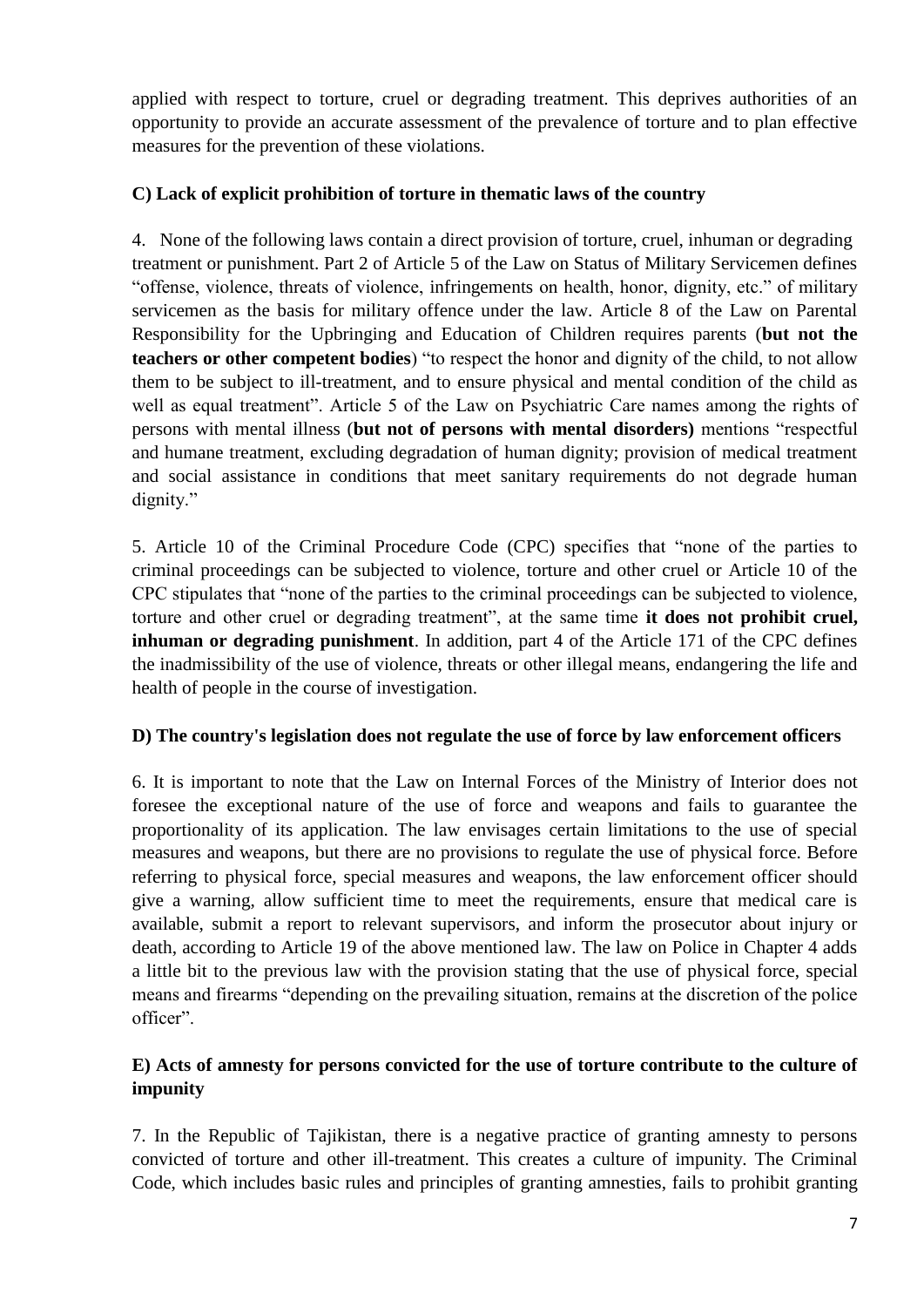applied with respect to torture, cruel or degrading treatment. This deprives authorities of an opportunity to provide an accurate assessment of the prevalence of torture and to plan effective measures for the prevention of these violations.

## **C) Lack of explicit prohibition of torture in thematic laws of the country**

4. None of the following laws contain a direct provision of torture, cruel, inhuman or degrading treatment or punishment. Part 2 of Article 5 of the Law on Status of Military Servicemen defines "offense, violence, threats of violence, infringements on health, honor, dignity, etc." of military servicemen as the basis for military offence under the law. Article 8 of the Law on Parental Responsibility for the Upbringing and Education of Children requires parents (**but not the teachers or other competent bodies**) "to respect the honor and dignity of the child, to not allow them to be subject to ill-treatment, and to ensure physical and mental condition of the child as well as equal treatment". Article 5 of the Law on Psychiatric Care names among the rights of persons with mental illness (**but not of persons with mental disorders)** mentions "respectful and humane treatment, excluding degradation of human dignity; provision of medical treatment and social assistance in conditions that meet sanitary requirements do not degrade human dignity."

5. Article 10 of the Criminal Procedure Code (CPC) specifies that "none of the parties to criminal proceedings can be subjected to violence, torture and other cruel or Article 10 of the CPC stipulates that "none of the parties to the criminal proceedings can be subjected to violence, torture and other cruel or degrading treatment", at the same time **it does not prohibit cruel, inhuman or degrading punishment**. In addition, part 4 of the Article 171 of the CPC defines the inadmissibility of the use of violence, threats or other illegal means, endangering the life and health of people in the course of investigation.

### **D) The country's legislation does not regulate the use of force by law enforcement officers**

6. It is important to note that the Law on Internal Forces of the Ministry of Interior does not foresee the exceptional nature of the use of force and weapons and fails to guarantee the proportionality of its application. The law envisages certain limitations to the use of special measures and weapons, but there are no provisions to regulate the use of physical force. Before referring to physical force, special measures and weapons, the law enforcement officer should give a warning, allow sufficient time to meet the requirements, ensure that medical care is available, submit a report to relevant supervisors, and inform the prosecutor about injury or death, according to Article 19 of the above mentioned law. The law on Police in Chapter 4 adds a little bit to the previous law with the provision stating that the use of physical force, special means and firearms "depending on the prevailing situation, remains at the discretion of the police officer".

# **E) Acts of amnesty for persons convicted for the use of torture contribute to the culture of impunity**

7. In the Republic of Tajikistan, there is a negative practice of granting amnesty to persons convicted of torture and other ill-treatment. This creates a culture of impunity. The Criminal Code, which includes basic rules and principles of granting amnesties, fails to prohibit granting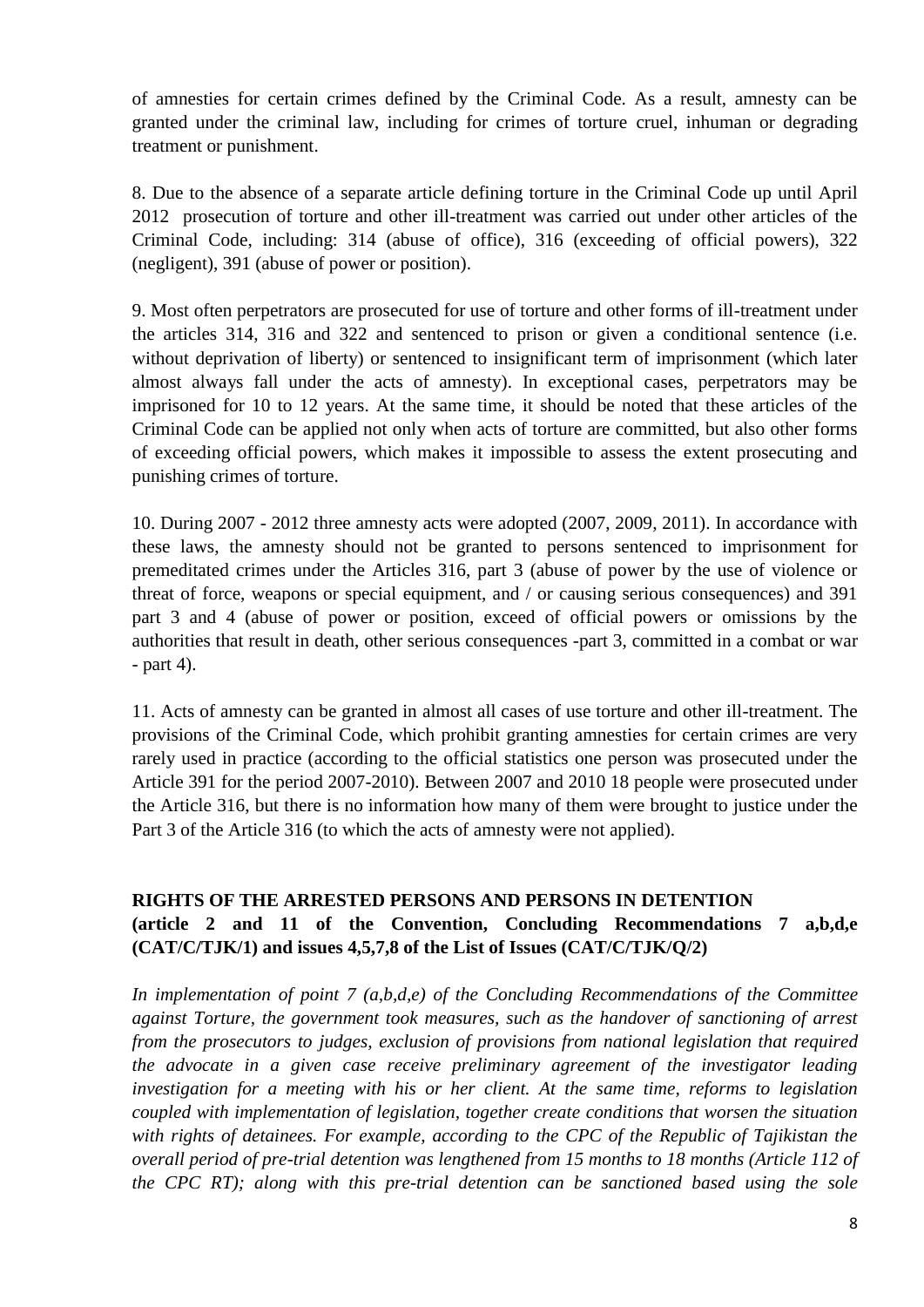of amnesties for certain crimes defined by the Criminal Code. As a result, amnesty can be granted under the criminal law, including for crimes of torture cruel, inhuman or degrading treatment or punishment.

8. Due to the absence of a separate article defining torture in the Criminal Code up until April 2012 prosecution of torture and other ill-treatment was carried out under other articles of the Criminal Code, including: 314 (abuse of office), 316 (exceeding of official powers), 322 (negligent), 391 (abuse of power or position).

9. Most often perpetrators are prosecuted for use of torture and other forms of ill-treatment under the articles 314, 316 and 322 and sentenced to prison or given a conditional sentence (i.e. without deprivation of liberty) or sentenced to insignificant term of imprisonment (which later almost always fall under the acts of amnesty). In exceptional cases, perpetrators may be imprisoned for 10 to 12 years. At the same time, it should be noted that these articles of the Criminal Code can be applied not only when acts of torture are committed, but also other forms of exceeding official powers, which makes it impossible to assess the extent prosecuting and punishing crimes of torture.

10. During 2007 - 2012 three amnesty acts were adopted (2007, 2009, 2011). In accordance with these laws, the amnesty should not be granted to persons sentenced to imprisonment for premeditated crimes under the Articles 316, part 3 (abuse of power by the use of violence or threat of force, weapons or special equipment, and / or causing serious consequences) and 391 part 3 and 4 (abuse of power or position, exceed of official powers or omissions by the authorities that result in death, other serious consequences -part 3, committed in a combat or war - part 4).

11. Acts of amnesty can be granted in almost all cases of use torture and other ill-treatment. The provisions of the Criminal Code, which prohibit granting amnesties for certain crimes are very rarely used in practice (according to the official statistics one person was prosecuted under the Article 391 for the period 2007-2010). Between 2007 and 2010 18 people were prosecuted under the Article 316, but there is no information how many of them were brought to justice under the Part 3 of the Article 316 (to which the acts of amnesty were not applied).

# **RIGHTS OF THE ARRESTED PERSONS AND PERSONS IN DETENTION (article 2 and 11 of the Convention, Concluding Recommendations 7 a,b,d,e (CAT/C/TJK/1) and issues 4,5,7,8 of the List of Issues (CAT/C/TJK/Q/2)**

*In implementation of point 7 (a,b,d,e) of the Concluding Recommendations of the Committee against Torture, the government took measures, such as the handover of sanctioning of arrest from the prosecutors to judges, exclusion of provisions from national legislation that required the advocate in a given case receive preliminary agreement of the investigator leading investigation for a meeting with his or her client. At the same time, reforms to legislation coupled with implementation of legislation, together create conditions that worsen the situation with rights of detainees. For example, according to the CPC of the Republic of Tajikistan the overall period of pre-trial detention was lengthened from 15 months to 18 months (Article 112 of the CPC RT); along with this pre-trial detention can be sanctioned based using the sole*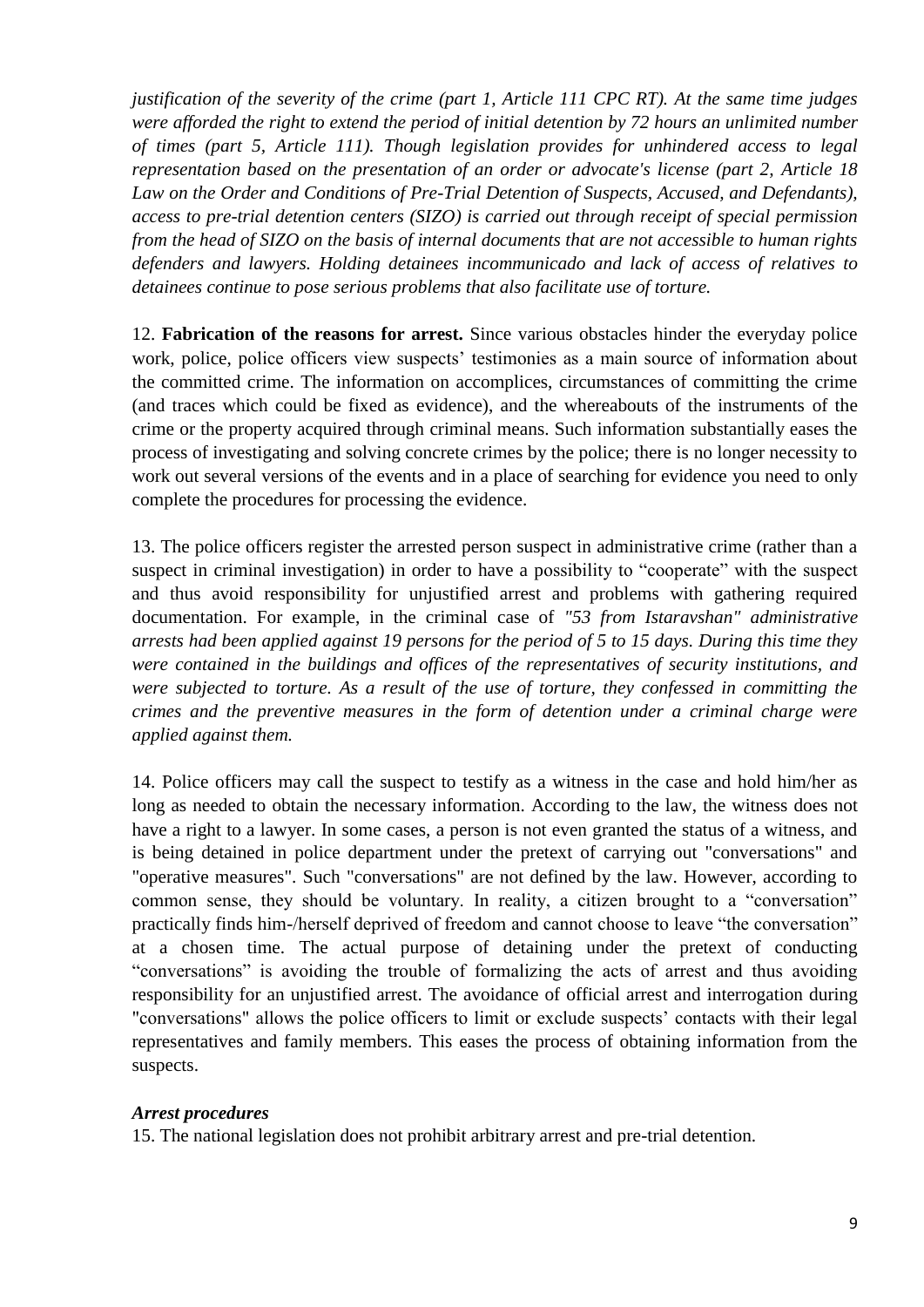*justification of the severity of the crime (part 1, Article 111 CPC RT). At the same time judges were afforded the right to extend the period of initial detention by 72 hours an unlimited number of times (part 5, Article 111). Though legislation provides for unhindered access to legal representation based on the presentation of an order or advocate's license (part 2, Article 18*  Law on the Order and Conditions of Pre-Trial Detention of Suspects, Accused, and Defendants), *access to pre-trial detention centers (SIZO) is carried out through receipt of special permission from the head of SIZO on the basis of internal documents that are not accessible to human rights defenders and lawyers. Holding detainees incommunicado and lack of access of relatives to detainees continue to pose serious problems that also facilitate use of torture.*

12. **Fabrication of the reasons for arrest.** Since various obstacles hinder the everyday police work, police, police officers view suspects' testimonies as a main source of information about the committed crime. The information on accomplices, circumstances of committing the crime (and traces which could be fixed as evidence), and the whereabouts of the instruments of the crime or the property acquired through criminal means. Such information substantially eases the process of investigating and solving concrete crimes by the police; there is no longer necessity to work out several versions of the events and in a place of searching for evidence you need to only complete the procedures for processing the evidence.

13. The police officers register the arrested person suspect in administrative crime (rather than a suspect in criminal investigation) in order to have a possibility to "cooperate" with the suspect and thus avoid responsibility for unjustified arrest and problems with gathering required documentation. For example, in the criminal case of *"53 from Istaravshan" administrative arrests had been applied against 19 persons for the period of 5 to 15 days. During this time they were contained in the buildings and offices of the representatives of security institutions, and were subjected to torture. As a result of the use of torture, they confessed in committing the crimes and the preventive measures in the form of detention under a criminal charge were applied against them.* 

14. Police officers may call the suspect to testify as a witness in the case and hold him/her as long as needed to obtain the necessary information. According to the law, the witness does not have a right to a lawyer. In some cases, a person is not even granted the status of a witness, and is being detained in police department under the pretext of carrying out "conversations" and "operative measures". Such "conversations" are not defined by the law. However, according to common sense, they should be voluntary. In reality, a citizen brought to a "conversation" practically finds him-/herself deprived of freedom and cannot choose to leave "the conversation" at a chosen time. The actual purpose of detaining under the pretext of conducting "conversations" is avoiding the trouble of formalizing the acts of arrest and thus avoiding responsibility for an unjustified arrest. The avoidance of official arrest and interrogation during "conversations" allows the police officers to limit or exclude suspects' contacts with their legal representatives and family members. This eases the process of obtaining information from the suspects.

#### *Arrest procedures*

15. The national legislation does not prohibit arbitrary arrest and pre-trial detention.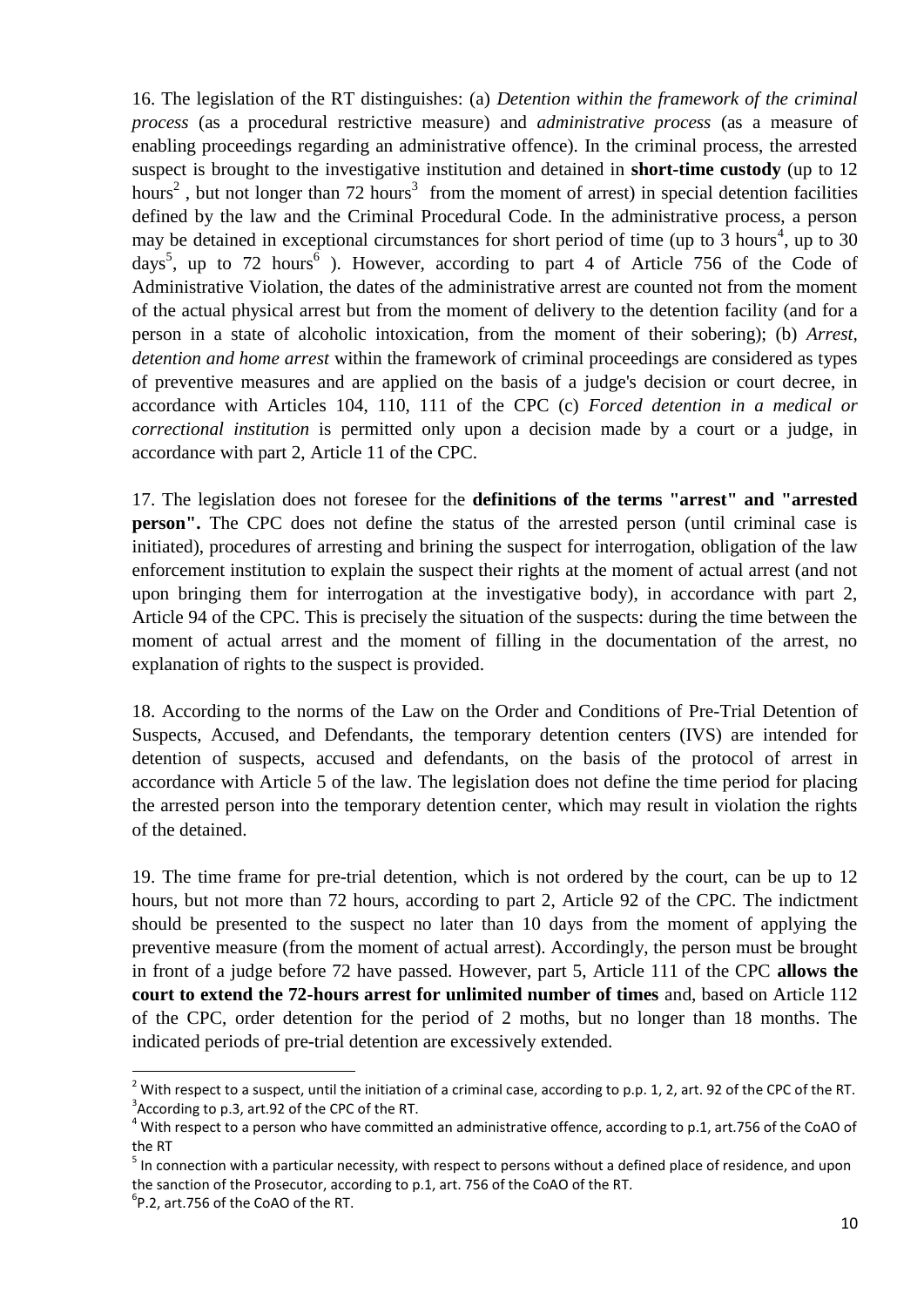16. The legislation of the RT distinguishes: (a) *Detention within the framework of the criminal process* (as a procedural restrictive measure) and *administrative process* (as a measure of enabling proceedings regarding an administrative offence). In the criminal process, the arrested suspect is brought to the investigative institution and detained in **short-time custody** (up to 12 hours<sup>2</sup>, but not longer than 72 hours<sup>3</sup> from the moment of arrest) in special detention facilities defined by the law and the Criminal Procedural Code. In the administrative process, a person may be detained in exceptional circumstances for short period of time (up to 3 hours<sup>4</sup>, up to 30 days<sup>5</sup>, up to 72 hours<sup>6</sup>). However, according to part 4 of Article 756 of the Code of Administrative Violation, the dates of the administrative arrest are counted not from the moment of the actual physical arrest but from the moment of delivery to the detention facility (and for a person in a state of alcoholic intoxication, from the moment of their sobering); (b) *Arrest, detention and home arrest* within the framework of criminal proceedings are considered as types of preventive measures and are applied on the basis of a judge's decision or court decree, in accordance with Articles 104, 110, 111 of the CPC (c) *Forced detention in a medical or correctional institution* is permitted only upon a decision made by a court or a judge, in accordance with part 2, Article 11 of the CPC.

17. The legislation does not foresee for the **definitions of the terms "arrest" and "arrested person".** The CPC does not define the status of the arrested person (until criminal case is initiated), procedures of arresting and brining the suspect for interrogation, obligation of the law enforcement institution to explain the suspect their rights at the moment of actual arrest (and not upon bringing them for interrogation at the investigative body), in accordance with part 2, Article 94 of the CPC. This is precisely the situation of the suspects: during the time between the moment of actual arrest and the moment of filling in the documentation of the arrest, no explanation of rights to the suspect is provided.

18. According to the norms of the Law on the Order and Conditions of Pre-Trial Detention of Suspects, Accused, and Defendants, the temporary detention centers (IVS) are intended for detention of suspects, accused and defendants, on the basis of the protocol of arrest in accordance with Article 5 of the law. The legislation does not define the time period for placing the arrested person into the temporary detention center, which may result in violation the rights of the detained.

19. The time frame for pre-trial detention, which is not ordered by the court, can be up to 12 hours, but not more than 72 hours, according to part 2, Article 92 of the CPC. The indictment should be presented to the suspect no later than 10 days from the moment of applying the preventive measure (from the moment of actual arrest). Accordingly, the person must be brought in front of a judge before 72 have passed. However, part 5, Article 111 of the CPC **allows the court to extend the 72-hours arrest for unlimited number of times** and, based on Article 112 of the CPC, order detention for the period of 2 moths, but no longer than 18 months. The indicated periods of pre-trial detention are excessively extended.

1

<sup>&</sup>lt;sup>2</sup> With respect to a suspect, until the initiation of a criminal case, according to p.p. 1, 2, art. 92 of the CPC of the RT.  $3$ According to p.3, art.92 of the CPC of the RT.

 $^4$  With respect to a person who have committed an administrative offence, according to p.1, art.756 of the CoAO of the RT

 $<sup>5</sup>$  In connection with a particular necessity, with respect to persons without a defined place of residence, and upon</sup> the sanction of the Prosecutor, according to p.1, art. 756 of the CoAO of the RT.

 ${}^{6}$ P.2, art.756 of the CoAO of the RT.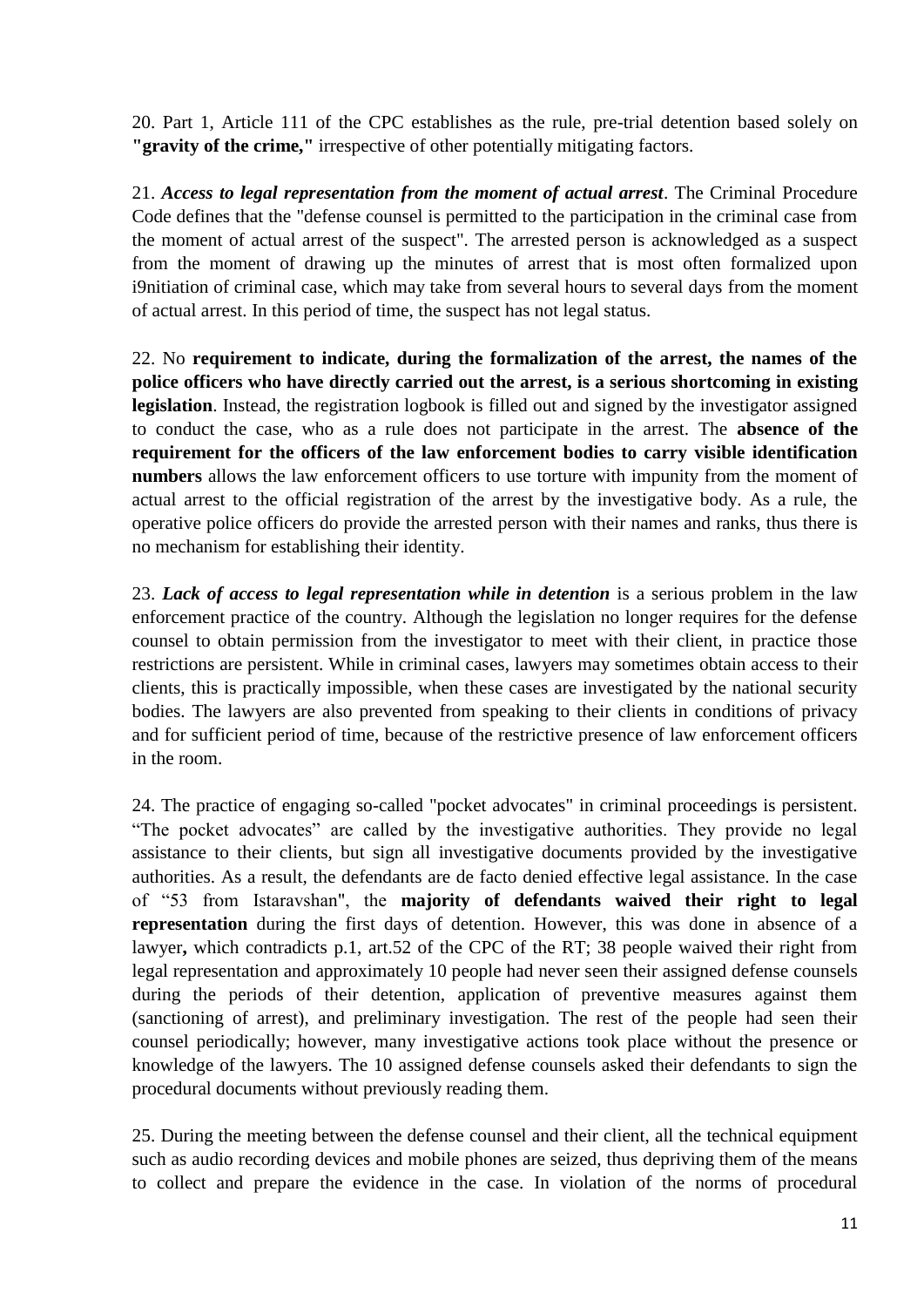20. Part 1, Article 111 of the CPC establishes as the rule, pre-trial detention based solely on **"gravity of the crime,"** irrespective of other potentially mitigating factors.

21. *Access to legal representation from the moment of actual arrest*. The Criminal Procedure Code defines that the "defense counsel is permitted to the participation in the criminal case from the moment of actual arrest of the suspect". The arrested person is acknowledged as a suspect from the moment of drawing up the minutes of arrest that is most often formalized upon i9nitiation of criminal case, which may take from several hours to several days from the moment of actual arrest. In this period of time, the suspect has not legal status.

22. No **requirement to indicate, during the formalization of the arrest, the names of the police officers who have directly carried out the arrest, is a serious shortcoming in existing legislation**. Instead, the registration logbook is filled out and signed by the investigator assigned to conduct the case, who as a rule does not participate in the arrest. The **absence of the requirement for the officers of the law enforcement bodies to carry visible identification numbers** allows the law enforcement officers to use torture with impunity from the moment of actual arrest to the official registration of the arrest by the investigative body. As a rule, the operative police officers do provide the arrested person with their names and ranks, thus there is no mechanism for establishing their identity.

23. *Lack of access to legal representation while in detention* is a serious problem in the law enforcement practice of the country. Although the legislation no longer requires for the defense counsel to obtain permission from the investigator to meet with their client, in practice those restrictions are persistent. While in criminal cases, lawyers may sometimes obtain access to their clients, this is practically impossible, when these cases are investigated by the national security bodies. The lawyers are also prevented from speaking to their clients in conditions of privacy and for sufficient period of time, because of the restrictive presence of law enforcement officers in the room.

24. The practice of engaging so-called "pocket advocates" in criminal proceedings is persistent. "The pocket advocates" are called by the investigative authorities. They provide no legal assistance to their clients, but sign all investigative documents provided by the investigative authorities. As a result, the defendants are de facto denied effective legal assistance. In the case of "53 from Istaravshan", the **majority of defendants waived their right to legal representation** during the first days of detention. However, this was done in absence of a lawyer**,** which contradicts p.1, art.52 of the CPC of the RT; 38 people waived their right from legal representation and approximately 10 people had never seen their assigned defense counsels during the periods of their detention, application of preventive measures against them (sanctioning of arrest), and preliminary investigation. The rest of the people had seen their counsel periodically; however, many investigative actions took place without the presence or knowledge of the lawyers. The 10 assigned defense counsels asked their defendants to sign the procedural documents without previously reading them.

25. During the meeting between the defense counsel and their client, all the technical equipment such as audio recording devices and mobile phones are seized, thus depriving them of the means to collect and prepare the evidence in the case. In violation of the norms of procedural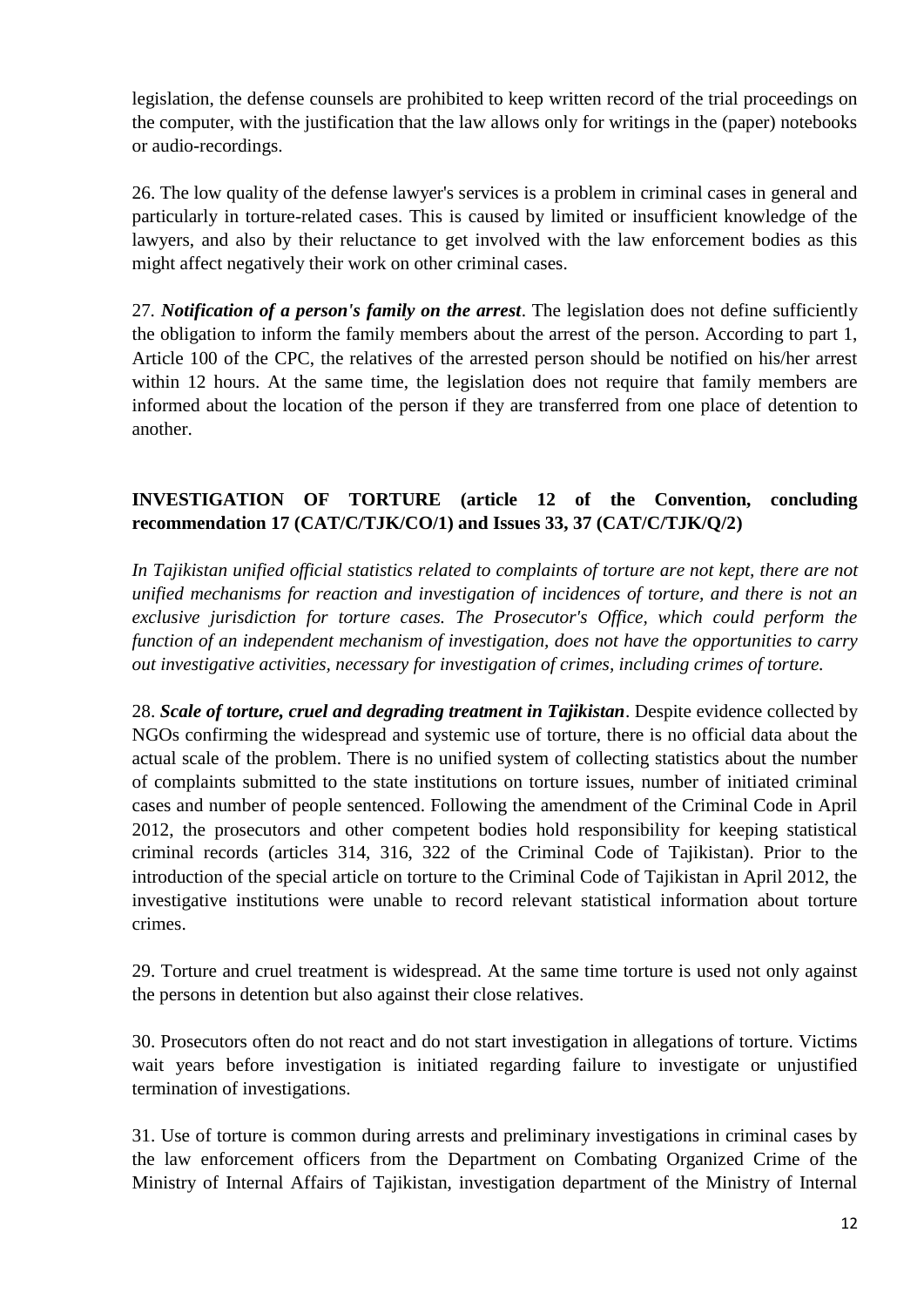legislation, the defense counsels are prohibited to keep written record of the trial proceedings on the computer, with the justification that the law allows only for writings in the (paper) notebooks or audio-recordings.

26. The low quality of the defense lawyer's services is a problem in criminal cases in general and particularly in torture-related cases. This is caused by limited or insufficient knowledge of the lawyers, and also by their reluctance to get involved with the law enforcement bodies as this might affect negatively their work on other criminal cases.

27*. Notification of a person's family on the arrest*. The legislation does not define sufficiently the obligation to inform the family members about the arrest of the person. According to part 1, Article 100 of the CPC, the relatives of the arrested person should be notified on his/her arrest within 12 hours. At the same time, the legislation does not require that family members are informed about the location of the person if they are transferred from one place of detention to another.

# **INVESTIGATION OF TORTURE (article 12 of the Convention, concluding recommendation 17 (CAT/C/TJK/CO/1) and Issues 33, 37 (CAT/C/TJK/Q/2)**

*In Tajikistan unified official statistics related to complaints of torture are not kept, there are not unified mechanisms for reaction and investigation of incidences of torture, and there is not an exclusive jurisdiction for torture cases. The Prosecutor's Office, which could perform the function of an independent mechanism of investigation, does not have the opportunities to carry out investigative activities, necessary for investigation of crimes, including crimes of torture.*

28. *Scale of torture, cruel and degrading treatment in Tajikistan*. Despite evidence collected by NGOs confirming the widespread and systemic use of torture, there is no official data about the actual scale of the problem. There is no unified system of collecting statistics about the number of complaints submitted to the state institutions on torture issues, number of initiated criminal cases and number of people sentenced. Following the amendment of the Criminal Code in April 2012, the prosecutors and other competent bodies hold responsibility for keeping statistical criminal records (articles 314, 316, 322 of the Criminal Code of Tajikistan). Prior to the introduction of the special article on torture to the Criminal Code of Tajikistan in April 2012, the investigative institutions were unable to record relevant statistical information about torture crimes.

29. Torture and cruel treatment is widespread. At the same time torture is used not only against the persons in detention but also against their close relatives.

30. Prosecutors often do not react and do not start investigation in allegations of torture. Victims wait years before investigation is initiated regarding failure to investigate or unjustified termination of investigations.

31. Use of torture is common during arrests and preliminary investigations in criminal cases by the law enforcement officers from the Department on Combating Organized Crime of the Ministry of Internal Affairs of Tajikistan, investigation department of the Ministry of Internal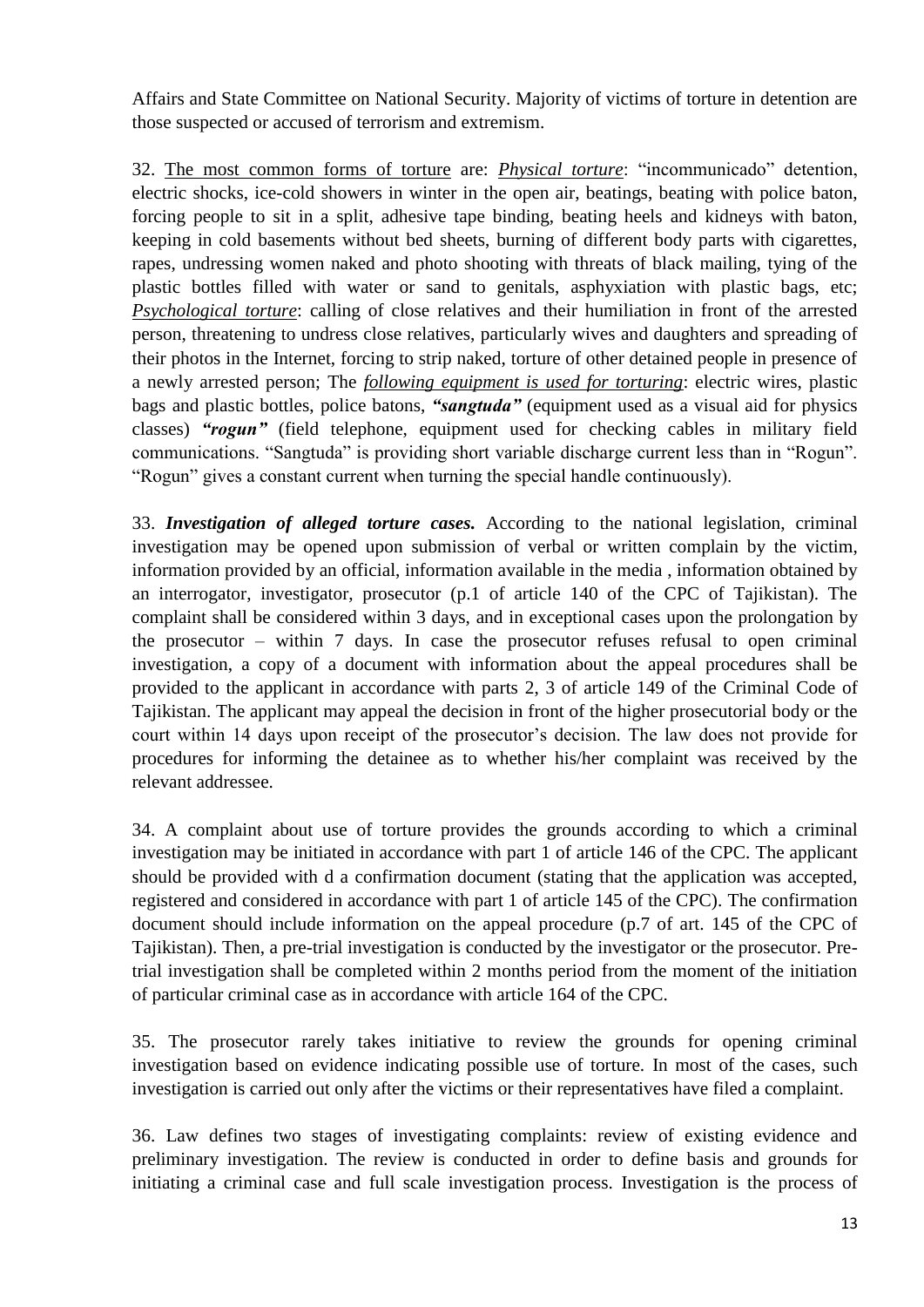Affairs and State Committee on National Security. Majority of victims of torture in detention are those suspected or accused of terrorism and extremism.

32. The most common forms of torture are: *Physical torture*: "incommunicado" detention, electric shocks, ice-cold showers in winter in the open air, beatings, beating with police baton, forcing people to sit in a split, adhesive tape binding, beating heels and kidneys with baton, keeping in cold basements without bed sheets, burning of different body parts with cigarettes, rapes, undressing women naked and photo shooting with threats of black mailing, tying of the plastic bottles filled with water or sand to genitals, asphyxiation with plastic bags, etc; *Psychological torture*: calling of close relatives and their humiliation in front of the arrested person, threatening to undress close relatives, particularly wives and daughters and spreading of their photos in the Internet, forcing to strip naked, torture of other detained people in presence of a newly arrested person; The *following equipment is used for torturing*: electric wires, plastic bags and plastic bottles, police batons, *"sangtuda"* (equipment used as a visual aid for physics classes) *"rogun"* (field telephone, equipment used for checking cables in military field communications. "Sangtuda" is providing short variable discharge current less than in "Rogun". "Rogun" gives a constant current when turning the special handle continuously).

33. *Investigation of alleged torture cases.* According to the national legislation, criminal investigation may be opened upon submission of verbal or written complain by the victim, information provided by an official, information available in the media , information obtained by an interrogator, investigator, prosecutor (p.1 of article 140 of the CPC of Tajikistan). The complaint shall be considered within 3 days, and in exceptional cases upon the prolongation by the prosecutor – within 7 days. In case the prosecutor refuses refusal to open criminal investigation, a copy of a document with information about the appeal procedures shall be provided to the applicant in accordance with parts 2, 3 of article 149 of the Criminal Code of Tajikistan. The applicant may appeal the decision in front of the higher prosecutorial body or the court within 14 days upon receipt of the prosecutor's decision. The law does not provide for procedures for informing the detainee as to whether his/her complaint was received by the relevant addressee.

34. A complaint about use of torture provides the grounds according to which a criminal investigation may be initiated in accordance with part 1 of article 146 of the CPC. The applicant should be provided with d a confirmation document (stating that the application was accepted, registered and considered in accordance with part 1 of article 145 of the CPC). The confirmation document should include information on the appeal procedure (p.7 of art. 145 of the CPC of Tajikistan). Then, a pre-trial investigation is conducted by the investigator or the prosecutor. Pretrial investigation shall be completed within 2 months period from the moment of the initiation of particular criminal case as in accordance with article 164 of the CPC.

35. The prosecutor rarely takes initiative to review the grounds for opening criminal investigation based on evidence indicating possible use of torture. In most of the cases, such investigation is carried out only after the victims or their representatives have filed a complaint.

36. Law defines two stages of investigating complaints: review of existing evidence and preliminary investigation. The review is conducted in order to define basis and grounds for initiating a criminal case and full scale investigation process. Investigation is the process of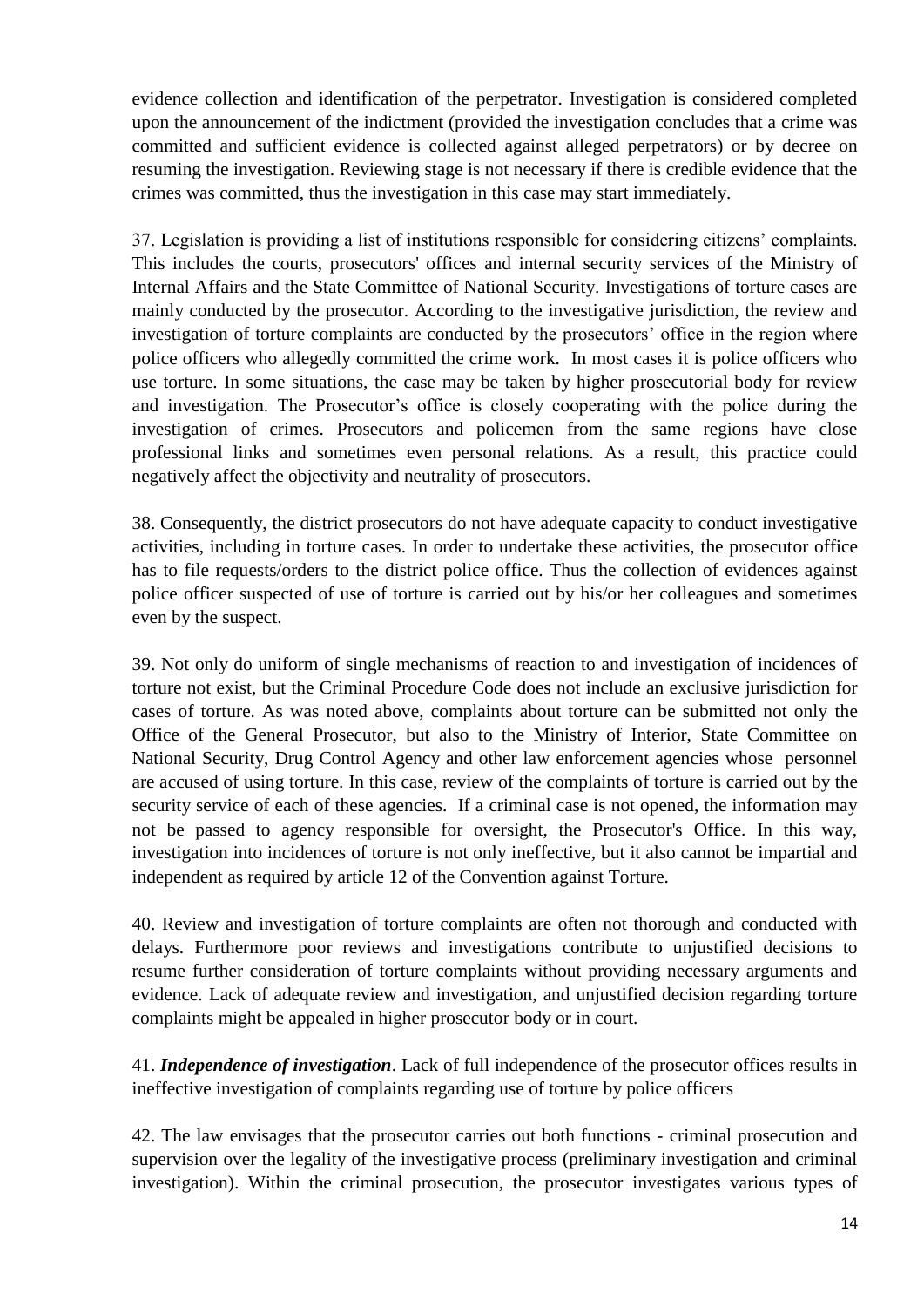evidence collection and identification of the perpetrator. Investigation is considered completed upon the announcement of the indictment (provided the investigation concludes that a crime was committed and sufficient evidence is collected against alleged perpetrators) or by decree on resuming the investigation. Reviewing stage is not necessary if there is credible evidence that the crimes was committed, thus the investigation in this case may start immediately.

37. Legislation is providing a list of institutions responsible for considering citizens' complaints. This includes the courts, prosecutors' offices and internal security services of the Ministry of Internal Affairs and the State Committee of National Security. Investigations of torture cases are mainly conducted by the prosecutor. According to the investigative jurisdiction, the review and investigation of torture complaints are conducted by the prosecutors' office in the region where police officers who allegedly committed the crime work. In most cases it is police officers who use torture. In some situations, the case may be taken by higher prosecutorial body for review and investigation. The Prosecutor's office is closely cooperating with the police during the investigation of crimes. Prosecutors and policemen from the same regions have close professional links and sometimes even personal relations. As a result, this practice could negatively affect the objectivity and neutrality of prosecutors.

38. Consequently, the district prosecutors do not have adequate capacity to conduct investigative activities, including in torture cases. In order to undertake these activities, the prosecutor office has to file requests/orders to the district police office. Thus the collection of evidences against police officer suspected of use of torture is carried out by his/or her colleagues and sometimes even by the suspect.

39. Not only do uniform of single mechanisms of reaction to and investigation of incidences of torture not exist, but the Criminal Procedure Code does not include an exclusive jurisdiction for cases of torture. As was noted above, complaints about torture can be submitted not only the Office of the General Prosecutor, but also to the Ministry of Interior, State Committee on National Security, Drug Control Agency and other law enforcement agencies whose personnel are accused of using torture. In this case, review of the complaints of torture is carried out by the security service of each of these agencies. If a criminal case is not opened, the information may not be passed to agency responsible for oversight, the Prosecutor's Office. In this way, investigation into incidences of torture is not only ineffective, but it also cannot be impartial and independent as required by article 12 of the Convention against Torture.

40. Review and investigation of torture complaints are often not thorough and conducted with delays. Furthermore poor reviews and investigations contribute to unjustified decisions to resume further consideration of torture complaints without providing necessary arguments and evidence. Lack of adequate review and investigation, and unjustified decision regarding torture complaints might be appealed in higher prosecutor body or in court.

41. *Independence of investigation*. Lack of full independence of the prosecutor offices results in ineffective investigation of complaints regarding use of torture by police officers

42. The law envisages that the prosecutor carries out both functions - criminal prosecution and supervision over the legality of the investigative process (preliminary investigation and criminal investigation). Within the criminal prosecution, the prosecutor investigates various types of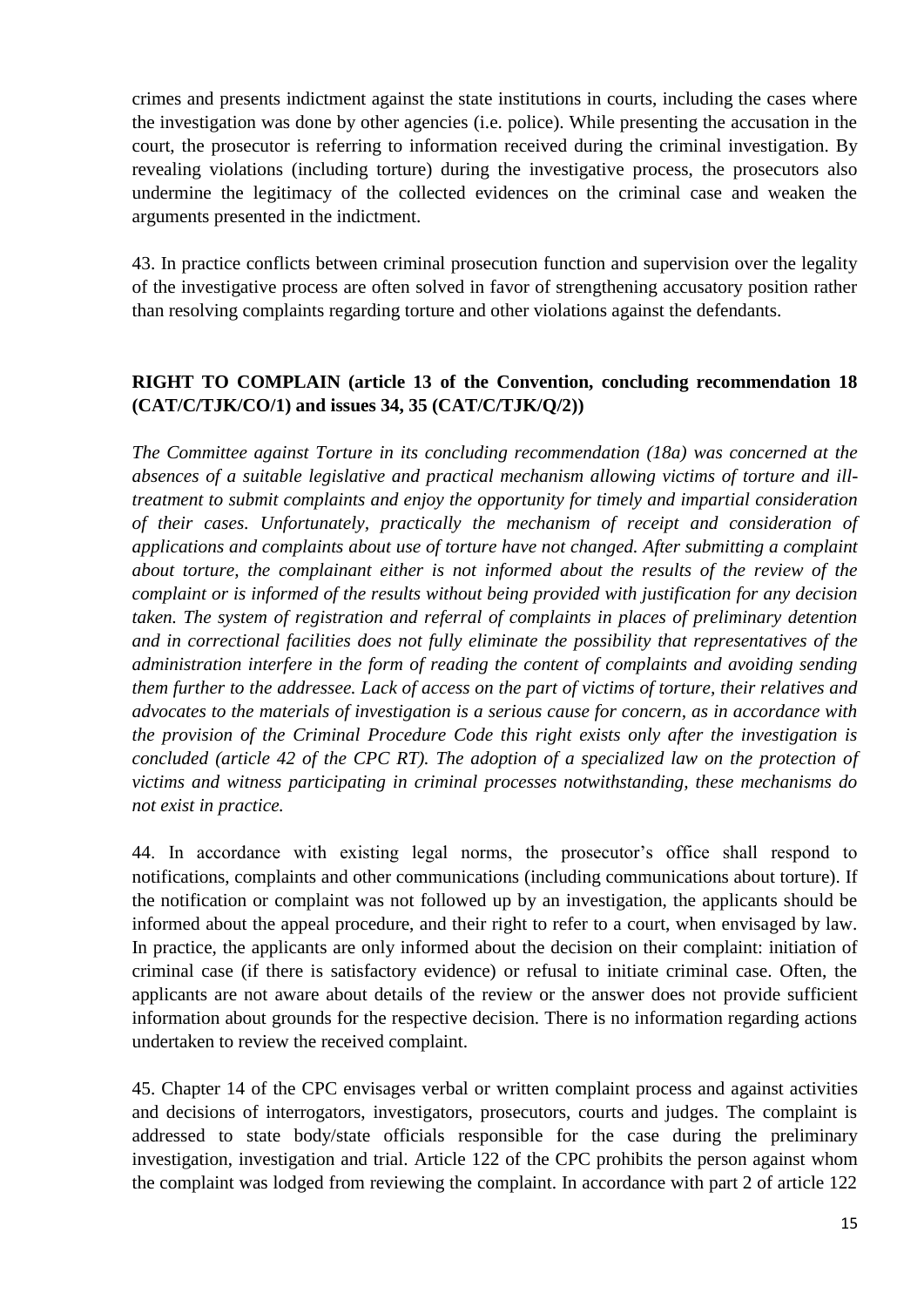crimes and presents indictment against the state institutions in courts, including the cases where the investigation was done by other agencies (i.e. police). While presenting the accusation in the court, the prosecutor is referring to information received during the criminal investigation. By revealing violations (including torture) during the investigative process, the prosecutors also undermine the legitimacy of the collected evidences on the criminal case and weaken the arguments presented in the indictment.

43. In practice conflicts between criminal prosecution function and supervision over the legality of the investigative process are often solved in favor of strengthening accusatory position rather than resolving complaints regarding torture and other violations against the defendants.

# **RIGHT TO COMPLAIN (article 13 of the Convention, concluding recommendation 18 (CAT/C/TJK/CO/1) and issues 34, 35 (CAT/C/TJK/Q/2))**

*The Committee against Torture in its concluding recommendation (18a) was concerned at the absences of a suitable legislative and practical mechanism allowing victims of torture and illtreatment to submit complaints and enjoy the opportunity for timely and impartial consideration of their cases. Unfortunately, practically the mechanism of receipt and consideration of applications and complaints about use of torture have not changed. After submitting a complaint about torture, the complainant either is not informed about the results of the review of the complaint or is informed of the results without being provided with justification for any decision taken. The system of registration and referral of complaints in places of preliminary detention and in correctional facilities does not fully eliminate the possibility that representatives of the administration interfere in the form of reading the content of complaints and avoiding sending them further to the addressee. Lack of access on the part of victims of torture, their relatives and advocates to the materials of investigation is a serious cause for concern, as in accordance with the provision of the Criminal Procedure Code this right exists only after the investigation is concluded (article 42 of the CPC RT). The adoption of a specialized law on the protection of victims and witness participating in criminal processes notwithstanding, these mechanisms do not exist in practice.*

44. In accordance with existing legal norms, the prosecutor's office shall respond to notifications, complaints and other communications (including communications about torture). If the notification or complaint was not followed up by an investigation, the applicants should be informed about the appeal procedure, and their right to refer to a court, when envisaged by law. In practice, the applicants are only informed about the decision on their complaint: initiation of criminal case (if there is satisfactory evidence) or refusal to initiate criminal case. Often, the applicants are not aware about details of the review or the answer does not provide sufficient information about grounds for the respective decision. There is no information regarding actions undertaken to review the received complaint.

45. Chapter 14 of the CPC envisages verbal or written complaint process and against activities and decisions of interrogators, investigators, prosecutors, courts and judges. The complaint is addressed to state body/state officials responsible for the case during the preliminary investigation, investigation and trial. Article 122 of the CPC prohibits the person against whom the complaint was lodged from reviewing the complaint. In accordance with part 2 of article 122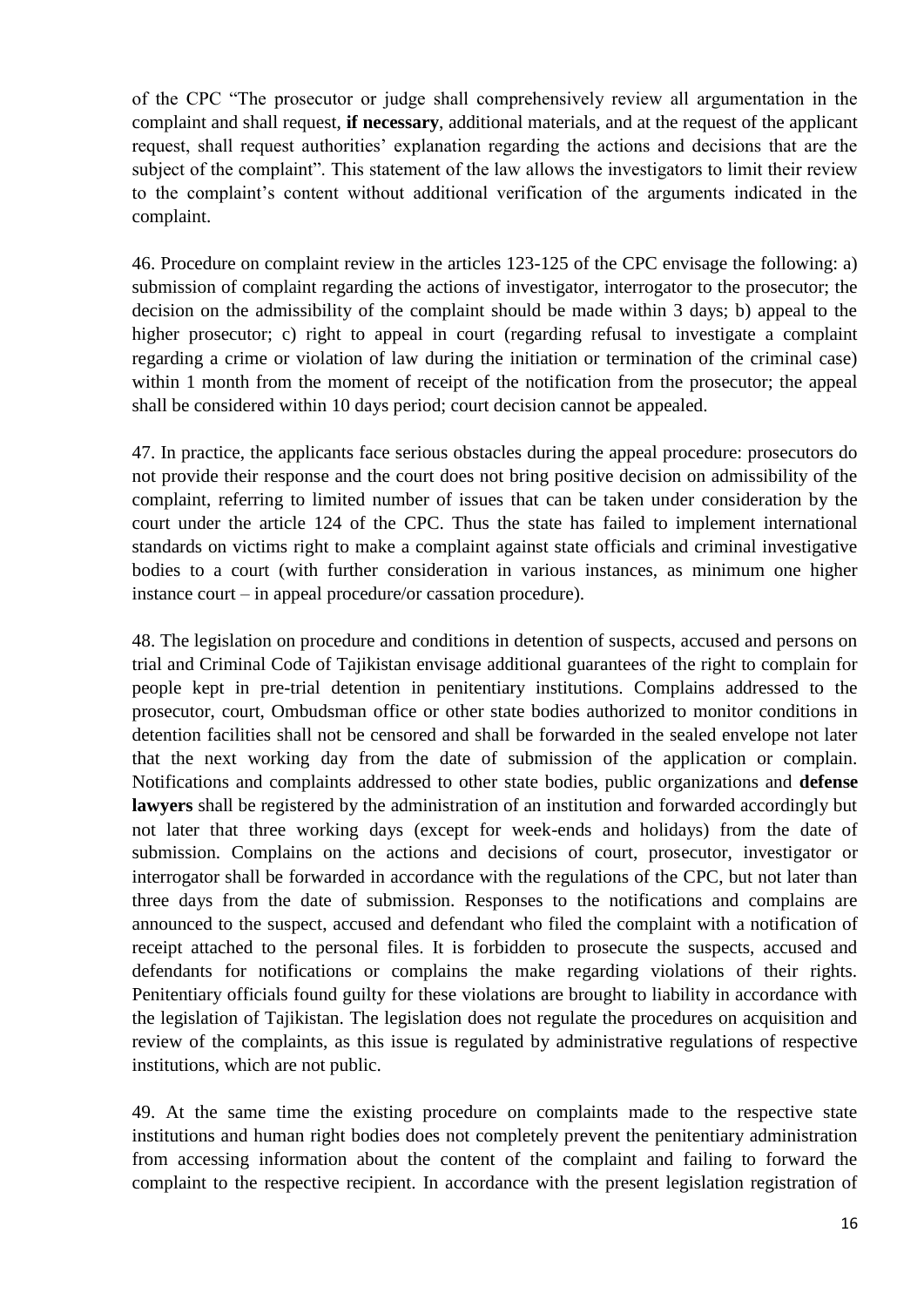of the CPC "The prosecutor or judge shall comprehensively review all argumentation in the complaint and shall request, **if necessary**, additional materials, and at the request of the applicant request, shall request authorities' explanation regarding the actions and decisions that are the subject of the complaint". This statement of the law allows the investigators to limit their review to the complaint's content without additional verification of the arguments indicated in the complaint.

46. Procedure on complaint review in the articles 123-125 of the CPC envisage the following: a) submission of complaint regarding the actions of investigator, interrogator to the prosecutor; the decision on the admissibility of the complaint should be made within 3 days; b) appeal to the higher prosecutor; c) right to appeal in court (regarding refusal to investigate a complaint regarding a crime or violation of law during the initiation or termination of the criminal case) within 1 month from the moment of receipt of the notification from the prosecutor; the appeal shall be considered within 10 days period; court decision cannot be appealed.

47. In practice, the applicants face serious obstacles during the appeal procedure: prosecutors do not provide their response and the court does not bring positive decision on admissibility of the complaint, referring to limited number of issues that can be taken under consideration by the court under the article 124 of the CPC. Thus the state has failed to implement international standards on victims right to make a complaint against state officials and criminal investigative bodies to a court (with further consideration in various instances, as minimum one higher instance court – in appeal procedure/or cassation procedure).

48. The legislation on procedure and conditions in detention of suspects, accused and persons on trial and Criminal Code of Tajikistan envisage additional guarantees of the right to complain for people kept in pre-trial detention in penitentiary institutions. Complains addressed to the prosecutor, court, Ombudsman office or other state bodies authorized to monitor conditions in detention facilities shall not be censored and shall be forwarded in the sealed envelope not later that the next working day from the date of submission of the application or complain. Notifications and complaints addressed to other state bodies, public organizations and **defense lawyers** shall be registered by the administration of an institution and forwarded accordingly but not later that three working days (except for week-ends and holidays) from the date of submission. Complains on the actions and decisions of court, prosecutor, investigator or interrogator shall be forwarded in accordance with the regulations of the CPC, but not later than three days from the date of submission. Responses to the notifications and complains are announced to the suspect, accused and defendant who filed the complaint with a notification of receipt attached to the personal files. It is forbidden to prosecute the suspects, accused and defendants for notifications or complains the make regarding violations of their rights. Penitentiary officials found guilty for these violations are brought to liability in accordance with the legislation of Tajikistan. The legislation does not regulate the procedures on acquisition and review of the complaints, as this issue is regulated by administrative regulations of respective institutions, which are not public.

49. At the same time the existing procedure on complaints made to the respective state institutions and human right bodies does not completely prevent the penitentiary administration from accessing information about the content of the complaint and failing to forward the complaint to the respective recipient. In accordance with the present legislation registration of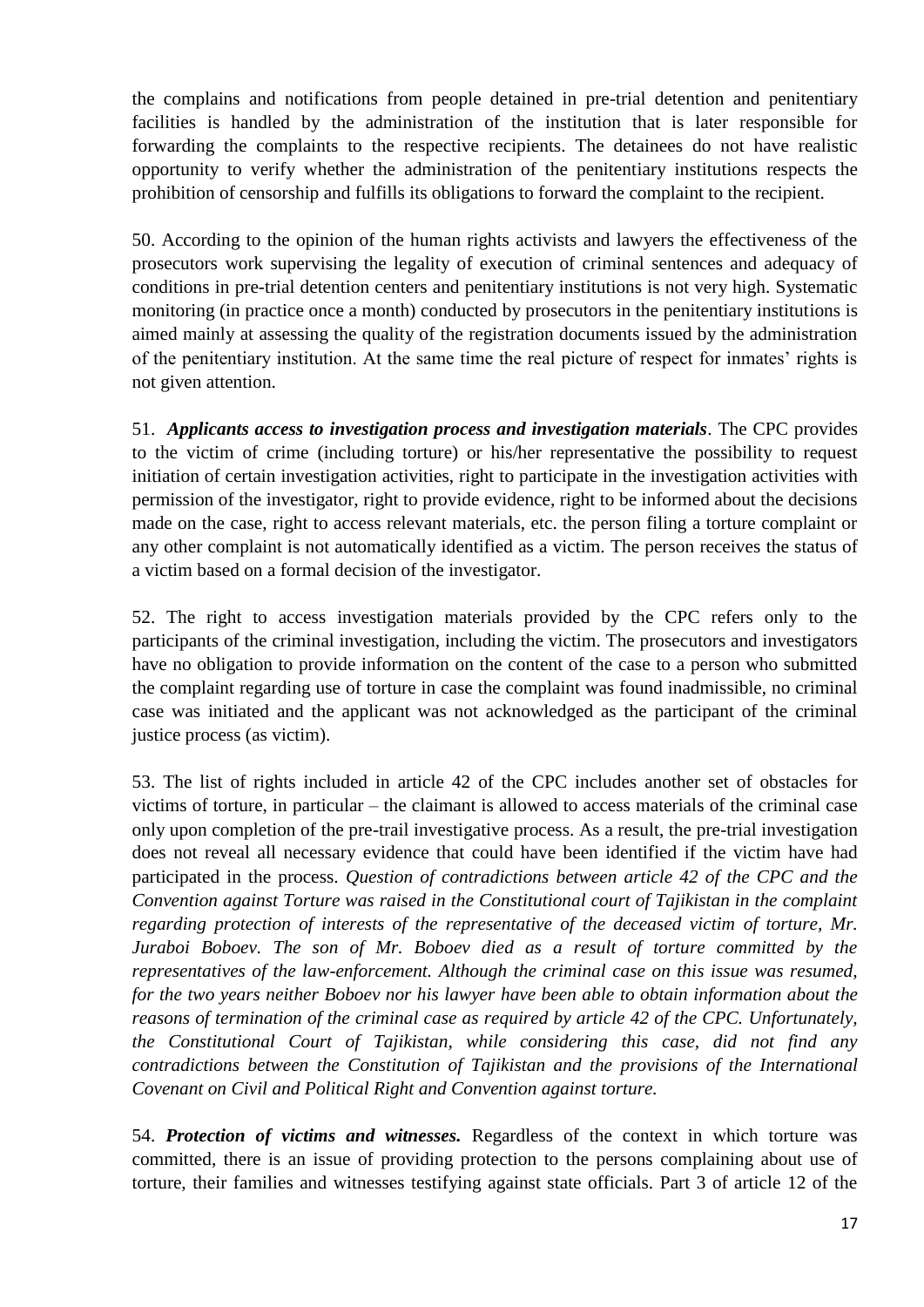the complains and notifications from people detained in pre-trial detention and penitentiary facilities is handled by the administration of the institution that is later responsible for forwarding the complaints to the respective recipients. The detainees do not have realistic opportunity to verify whether the administration of the penitentiary institutions respects the prohibition of censorship and fulfills its obligations to forward the complaint to the recipient.

50. According to the opinion of the human rights activists and lawyers the effectiveness of the prosecutors work supervising the legality of execution of criminal sentences and adequacy of conditions in pre-trial detention centers and penitentiary institutions is not very high. Systematic monitoring (in practice once a month) conducted by prosecutors in the penitentiary institutions is aimed mainly at assessing the quality of the registration documents issued by the administration of the penitentiary institution. At the same time the real picture of respect for inmates' rights is not given attention.

51. *Applicants access to investigation process and investigation materials*. The CPC provides to the victim of crime (including torture) or his/her representative the possibility to request initiation of certain investigation activities, right to participate in the investigation activities with permission of the investigator, right to provide evidence, right to be informed about the decisions made on the case, right to access relevant materials, etc. the person filing a torture complaint or any other complaint is not automatically identified as a victim. The person receives the status of a victim based on a formal decision of the investigator.

52. The right to access investigation materials provided by the CPC refers only to the participants of the criminal investigation, including the victim. The prosecutors and investigators have no obligation to provide information on the content of the case to a person who submitted the complaint regarding use of torture in case the complaint was found inadmissible, no criminal case was initiated and the applicant was not acknowledged as the participant of the criminal justice process (as victim).

53. The list of rights included in article 42 of the CPC includes another set of obstacles for victims of torture, in particular – the claimant is allowed to access materials of the criminal case only upon completion of the pre-trail investigative process. As a result, the pre-trial investigation does not reveal all necessary evidence that could have been identified if the victim have had participated in the process. *Question of contradictions between article 42 of the CPC and the Convention against Torture was raised in the Constitutional court of Tajikistan in the complaint regarding protection of interests of the representative of the deceased victim of torture, Mr. Juraboi Boboev. The son of Mr. Boboev died as a result of torture committed by the representatives of the law-enforcement. Although the criminal case on this issue was resumed, for the two years neither Boboev nor his lawyer have been able to obtain information about the reasons of termination of the criminal case as required by article 42 of the CPC. Unfortunately, the Constitutional Court of Tajikistan, while considering this case, did not find any contradictions between the Constitution of Tajikistan and the provisions of the International Covenant on Civil and Political Right and Convention against torture.* 

54. *Protection of victims and witnesses.* Regardless of the context in which torture was committed, there is an issue of providing protection to the persons complaining about use of torture, their families and witnesses testifying against state officials. Part 3 of article 12 of the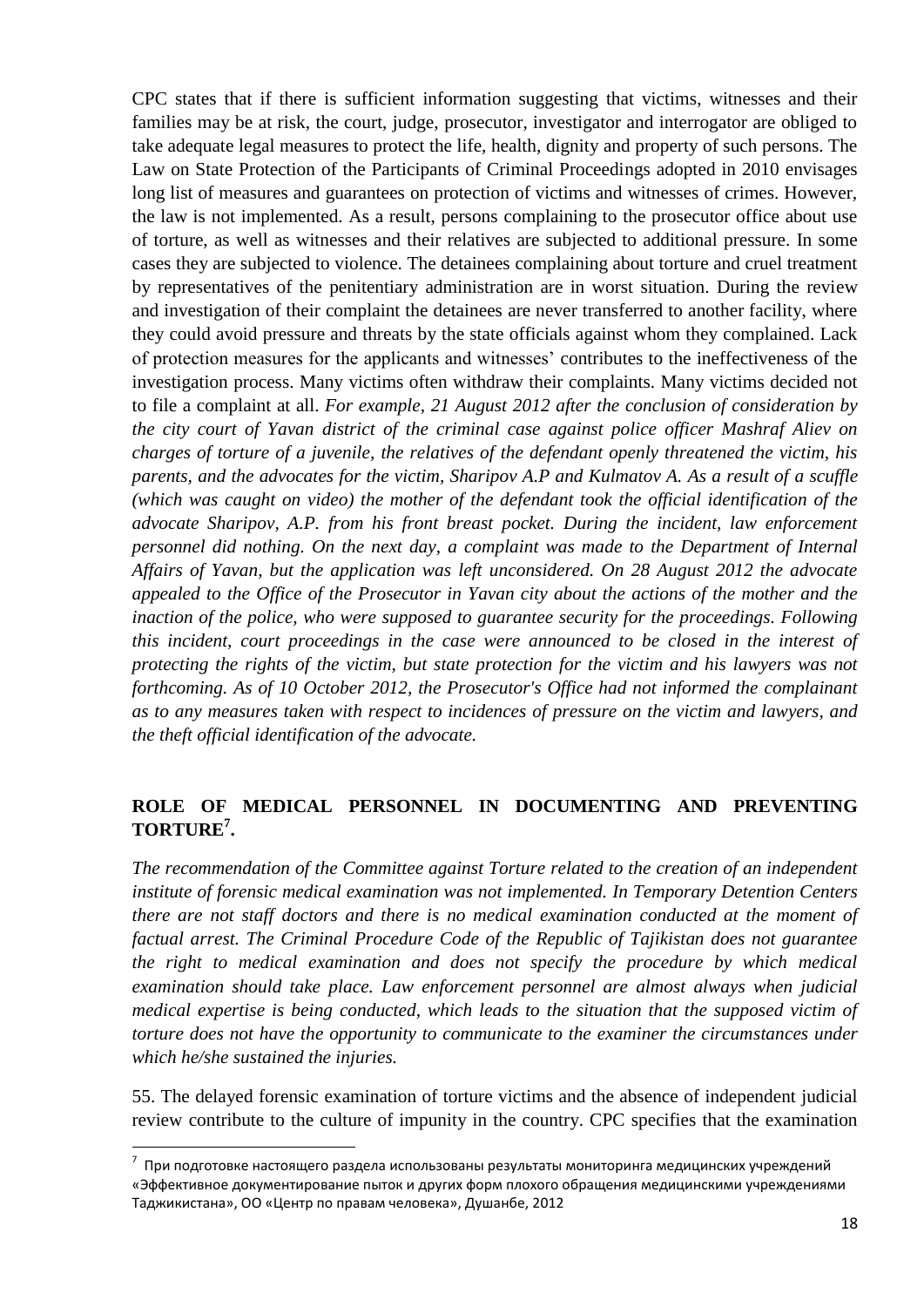CPC states that if there is sufficient information suggesting that victims, witnesses and their families may be at risk, the court, judge, prosecutor, investigator and interrogator are obliged to take adequate legal measures to protect the life, health, dignity and property of such persons. The Law on State Protection of the Participants of Criminal Proceedings adopted in 2010 envisages long list of measures and guarantees on protection of victims and witnesses of crimes. However, the law is not implemented. As a result, persons complaining to the prosecutor office about use of torture, as well as witnesses and their relatives are subjected to additional pressure. In some cases they are subjected to violence. The detainees complaining about torture and cruel treatment by representatives of the penitentiary administration are in worst situation. During the review and investigation of their complaint the detainees are never transferred to another facility, where they could avoid pressure and threats by the state officials against whom they complained. Lack of protection measures for the applicants and witnesses' contributes to the ineffectiveness of the investigation process. Many victims often withdraw their complaints. Many victims decided not to file a complaint at all. *For example, 21 August 2012 after the conclusion of consideration by the city court of Yavan district of the criminal case against police officer Mashraf Aliev on charges of torture of a juvenile, the relatives of the defendant openly threatened the victim, his parents, and the advocates for the victim, Sharipov A.P and Kulmatov A. As a result of a scuffle (which was caught on video) the mother of the defendant took the official identification of the advocate Sharipov, A.P. from his front breast pocket. During the incident, law enforcement personnel did nothing. On the next day, a complaint was made to the Department of Internal Affairs of Yavan, but the application was left unconsidered. On 28 August 2012 the advocate appealed to the Office of the Prosecutor in Yavan city about the actions of the mother and the inaction of the police, who were supposed to guarantee security for the proceedings. Following this incident, court proceedings in the case were announced to be closed in the interest of protecting the rights of the victim, but state protection for the victim and his lawyers was not forthcoming. As of 10 October 2012, the Prosecutor's Office had not informed the complainant as to any measures taken with respect to incidences of pressure on the victim and lawyers, and the theft official identification of the advocate.*

### **ROLE OF MEDICAL PERSONNEL IN DOCUMENTING AND PREVENTING TORTURE<sup>7</sup> .**

*The recommendation of the Committee against Torture related to the creation of an independent institute of forensic medical examination was not implemented. In Temporary Detention Centers there are not staff doctors and there is no medical examination conducted at the moment of factual arrest. The Criminal Procedure Code of the Republic of Tajikistan does not guarantee the right to medical examination and does not specify the procedure by which medical examination should take place. Law enforcement personnel are almost always when judicial medical expertise is being conducted, which leads to the situation that the supposed victim of torture does not have the opportunity to communicate to the examiner the circumstances under which he/she sustained the injuries.* 

55. The delayed forensic examination of torture victims and the absence of independent judicial review contribute to the culture of impunity in the country. CPC specifies that the examination

 7 При подготовке настоящего раздела использованы результаты мониторинга медицинских учреждений «Эффективное документирование пыток и других форм плохого обращения медицинскими учреждениями Таджикистана», ОО «Центр по правам человека», Душанбе, 2012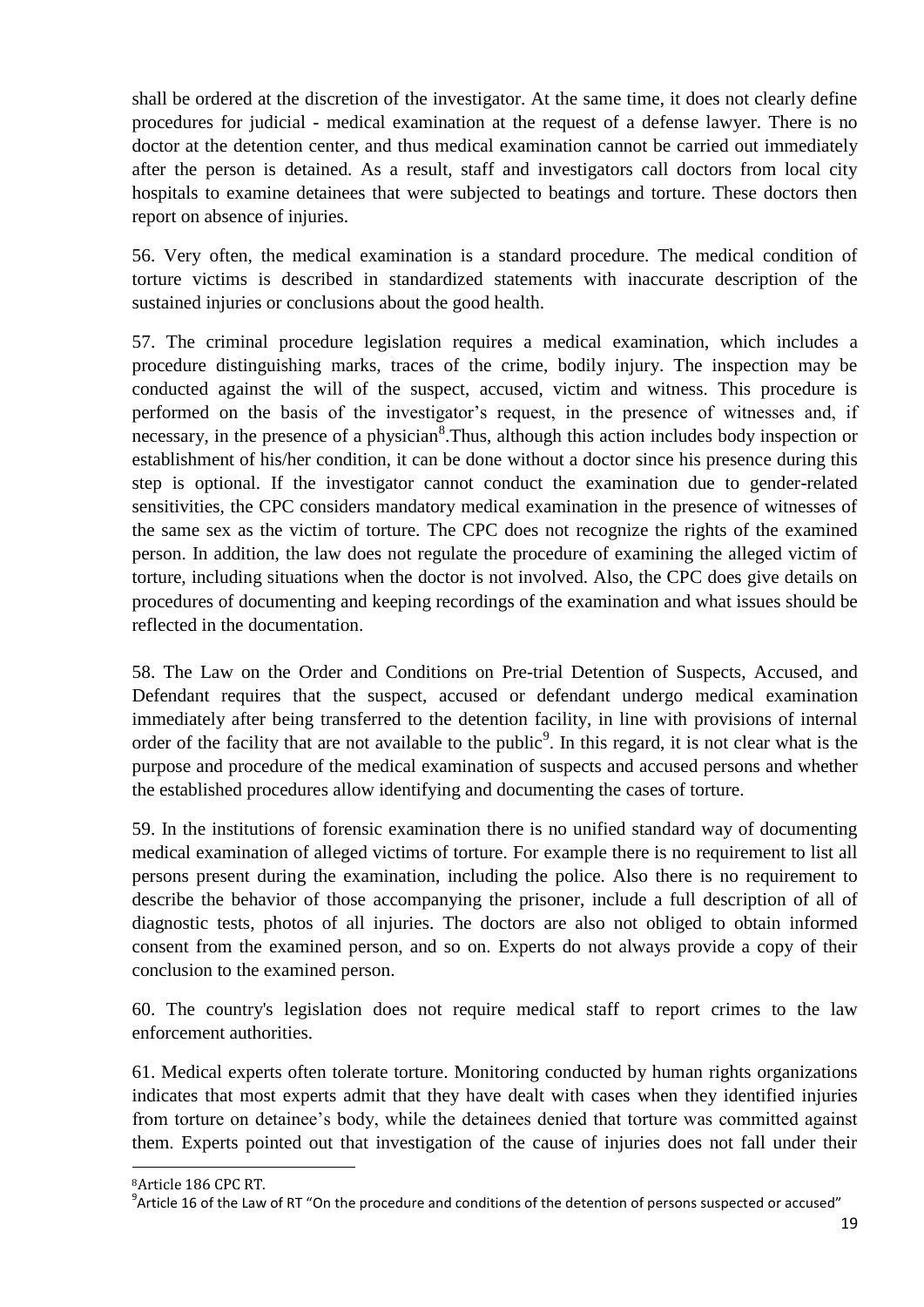shall be ordered at the discretion of the investigator. At the same time, it does not clearly define procedures for judicial - medical examination at the request of a defense lawyer. There is no doctor at the detention center, and thus medical examination cannot be carried out immediately after the person is detained. As a result, staff and investigators call doctors from local city hospitals to examine detainees that were subjected to beatings and torture. These doctors then report on absence of injuries.

56. Very often, the medical examination is a standard procedure. The medical condition of torture victims is described in standardized statements with inaccurate description of the sustained injuries or conclusions about the good health.

57. The criminal procedure legislation requires a medical examination, which includes a procedure distinguishing marks, traces of the crime, bodily injury. The inspection may be conducted against the will of the suspect, accused, victim and witness. This procedure is performed on the basis of the investigator's request, in the presence of witnesses and, if necessary, in the presence of a physician<sup>8</sup>. Thus, although this action includes body inspection or establishment of his/her condition, it can be done without a doctor since his presence during this step is optional. If the investigator cannot conduct the examination due to gender-related sensitivities, the CPC considers mandatory medical examination in the presence of witnesses of the same sex as the victim of torture. The CPC does not recognize the rights of the examined person. In addition, the law does not regulate the procedure of examining the alleged victim of torture, including situations when the doctor is not involved. Also, the CPC does give details on procedures of documenting and keeping recordings of the examination and what issues should be reflected in the documentation.

58. The Law on the Order and Conditions on Pre-trial Detention of Suspects, Accused, and Defendant requires that the suspect, accused or defendant undergo medical examination immediately after being transferred to the detention facility, in line with provisions of internal order of the facility that are not available to the public<sup>9</sup>. In this regard, it is not clear what is the purpose and procedure of the medical examination of suspects and accused persons and whether the established procedures allow identifying and documenting the cases of torture.

59. In the institutions of forensic examination there is no unified standard way of documenting medical examination of alleged victims of torture. For example there is no requirement to list all persons present during the examination, including the police. Also there is no requirement to describe the behavior of those accompanying the prisoner, include a full description of all of diagnostic tests, photos of all injuries. The doctors are also not obliged to obtain informed consent from the examined person, and so on. Experts do not always provide a copy of their conclusion to the examined person.

60. The country's legislation does not require medical staff to report crimes to the law enforcement authorities.

61. Medical experts often tolerate torture. Monitoring conducted by human rights organizations indicates that most experts admit that they have dealt with cases when they identified injuries from torture on detainee's body, while the detainees denied that torture was committed against them. Experts pointed out that investigation of the cause of injuries does not fall under their

1

<sup>8</sup>Article 186 CPC RT.

 $^9$ Article 16 of the Law of RT "On the procedure and conditions of the detention of persons suspected or accused"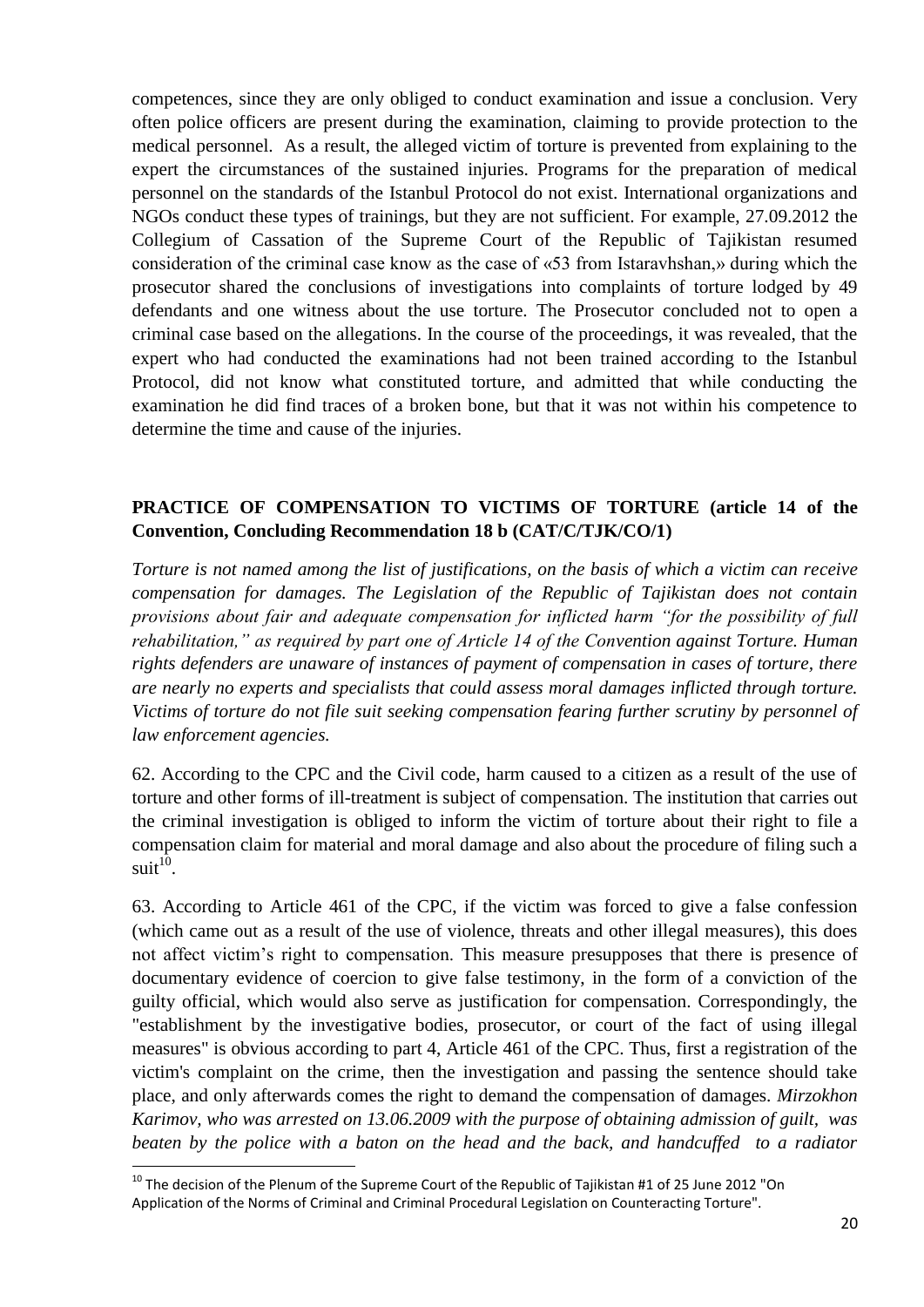competences, since they are only obliged to conduct examination and issue a conclusion. Very often police officers are present during the examination, claiming to provide protection to the medical personnel. As a result, the alleged victim of torture is prevented from explaining to the expert the circumstances of the sustained injuries. Programs for the preparation of medical personnel on the standards of the Istanbul Protocol do not exist. International organizations and NGOs conduct these types of trainings, but they are not sufficient. For example, 27.09.2012 the Collegium of Cassation of the Supreme Court of the Republic of Tajikistan resumed consideration of the criminal case know as the case of «53 from Istaravhshan,» during which the prosecutor shared the conclusions of investigations into complaints of torture lodged by 49 defendants and one witness about the use torture. The Prosecutor concluded not to open a criminal case based on the allegations. In the course of the proceedings, it was revealed, that the expert who had conducted the examinations had not been trained according to the Istanbul Protocol, did not know what constituted torture, and admitted that while conducting the examination he did find traces of a broken bone, but that it was not within his competence to determine the time and cause of the injuries.

### **PRACTICE OF COMPENSATION TO VICTIMS OF TORTURE (article 14 of the Convention, Concluding Recommendation 18 b (CAT/C/TJK/CO/1)**

*Torture is not named among the list of justifications, on the basis of which a victim can receive compensation for damages. The Legislation of the Republic of Tajikistan does not contain provisions about fair and adequate compensation for inflicted harm "for the possibility of full rehabilitation," as required by part one of Article 14 of the Convention against Torture. Human rights defenders are unaware of instances of payment of compensation in cases of torture, there are nearly no experts and specialists that could assess moral damages inflicted through torture. Victims of torture do not file suit seeking compensation fearing further scrutiny by personnel of law enforcement agencies.*

62. According to the CPC and the Civil code, harm caused to a citizen as a result of the use of torture and other forms of ill-treatment is subject of compensation. The institution that carries out the criminal investigation is obliged to inform the victim of torture about their right to file a compensation claim for material and moral damage and also about the procedure of filing such a  $suit<sup>10</sup>$ .

63. According to Article 461 of the CPC, if the victim was forced to give a false confession (which came out as a result of the use of violence, threats and other illegal measures), this does not affect victim's right to compensation. This measure presupposes that there is presence of documentary evidence of coercion to give false testimony, in the form of a conviction of the guilty official, which would also serve as justification for compensation. Correspondingly, the "establishment by the investigative bodies, prosecutor, or court of the fact of using illegal measures" is obvious according to part 4, Article 461 of the CPC. Thus, first a registration of the victim's complaint on the crime, then the investigation and passing the sentence should take place, and only afterwards comes the right to demand the compensation of damages. *Mirzokhon Karimov, who was arrested on 13.06.2009 with the purpose of obtaining admission of guilt, was beaten by the police with a baton on the head and the back, and handcuffed to a radiator* 

 $^{10}$  The decision of the Plenum of the Supreme Court of the Republic of Tajikistan #1 of 25 June 2012 "On Application of the Norms of Criminal and Criminal Procedural Legislation on Counteracting Torture".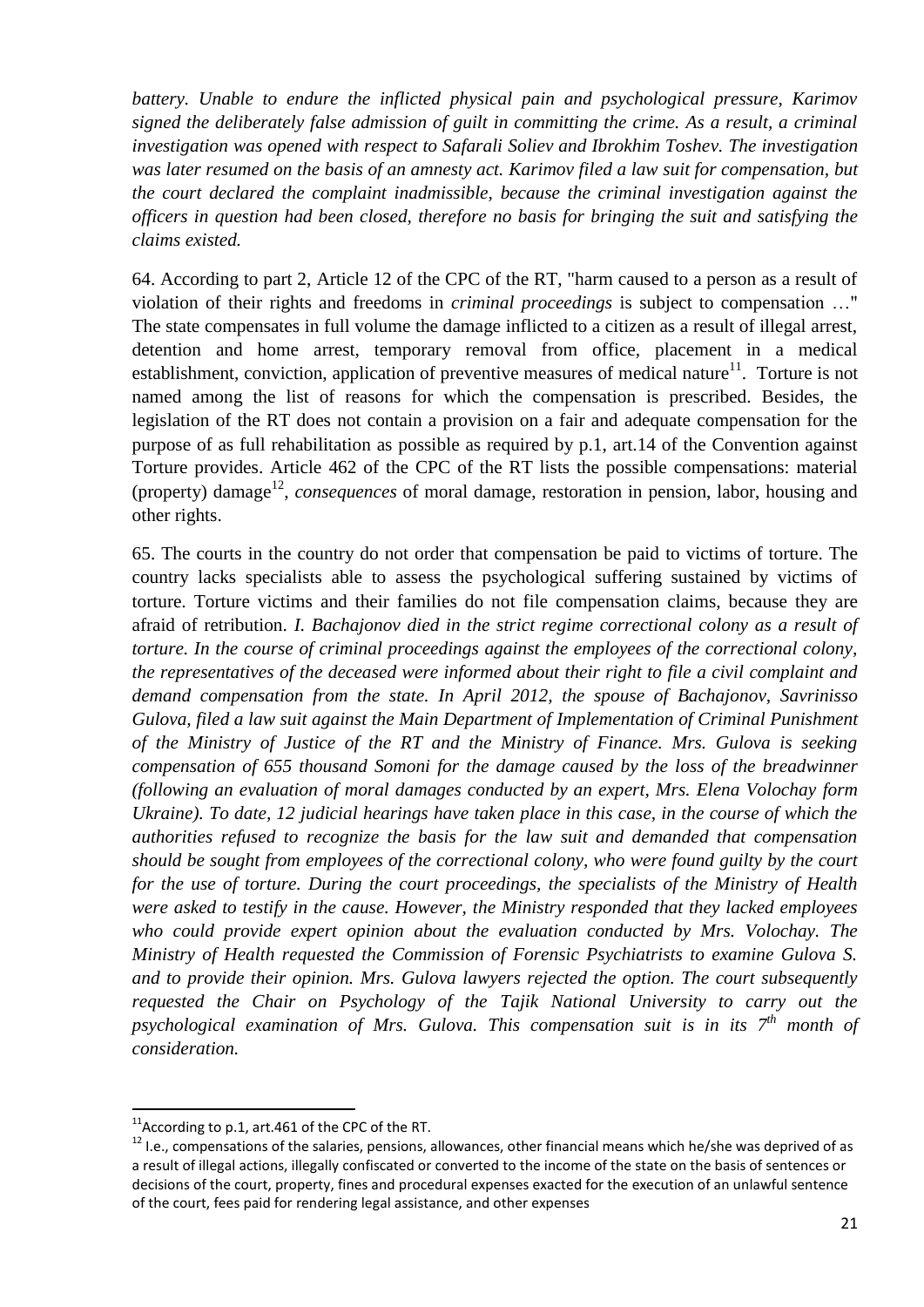*battery. Unable to endure the inflicted physical pain and psychological pressure, Karimov signed the deliberately false admission of guilt in committing the crime. As a result, a criminal investigation was opened with respect to Safarali Soliev and Ibrokhim Toshev. The investigation was later resumed on the basis of an amnesty act. Karimov filed a law suit for compensation, but the court declared the complaint inadmissible, because the criminal investigation against the officers in question had been closed, therefore no basis for bringing the suit and satisfying the claims existed.* 

64. According to part 2, Article 12 of the CPC of the RT, "harm caused to a person as a result of violation of their rights and freedoms in *criminal proceedings* is subject to compensation …" The state compensates in full volume the damage inflicted to a citizen as a result of illegal arrest, detention and home arrest, temporary removal from office, placement in a medical establishment, conviction, application of preventive measures of medical nature<sup>11</sup>. Torture is not named among the list of reasons for which the compensation is prescribed. Besides, the legislation of the RT does not contain a provision on a fair and adequate compensation for the purpose of as full rehabilitation as possible as required by p.1, art.14 of the Convention against Torture provides. Article 462 of the CPC of the RT lists the possible compensations: material (property) damage<sup>12</sup>, *consequences* of moral damage, restoration in pension, labor, housing and other rights.

65. The courts in the country do not order that compensation be paid to victims of torture. The country lacks specialists able to assess the psychological suffering sustained by victims of torture. Torture victims and their families do not file compensation claims, because they are afraid of retribution. *I. Bachajonov died in the strict regime correctional colony as a result of torture. In the course of criminal proceedings against the employees of the correctional colony, the representatives of the deceased were informed about their right to file a civil complaint and demand compensation from the state. In April 2012, the spouse of Bachajonov, Savrinisso Gulova, filed a law suit against the Main Department of Implementation of Criminal Punishment of the Ministry of Justice of the RT and the Ministry of Finance. Mrs. Gulova is seeking compensation of 655 thousand Somoni for the damage caused by the loss of the breadwinner (following an evaluation of moral damages conducted by an expert, Mrs. Elena Volochay form Ukraine). To date, 12 judicial hearings have taken place in this case, in the course of which the authorities refused to recognize the basis for the law suit and demanded that compensation should be sought from employees of the correctional colony, who were found guilty by the court for the use of torture. During the court proceedings, the specialists of the Ministry of Health were asked to testify in the cause. However, the Ministry responded that they lacked employees who could provide expert opinion about the evaluation conducted by Mrs. Volochay. The Ministry of Health requested the Commission of Forensic Psychiatrists to examine Gulova S. and to provide their opinion. Mrs. Gulova lawyers rejected the option. The court subsequently requested the Chair on Psychology of the Tajik National University to carry out the psychological examination of Mrs. Gulova. This compensation suit is in its 7th month of consideration.*

1

<sup>&</sup>lt;sup>11</sup> According to p.1, art.461 of the CPC of the RT.

<sup>&</sup>lt;sup>12</sup> I.e., compensations of the salaries, pensions, allowances, other financial means which he/she was deprived of as a result of illegal actions, illegally confiscated or converted to the income of the state on the basis of sentences or decisions of the court, property, fines and procedural expenses exacted for the execution of an unlawful sentence of the court, fees paid for rendering legal assistance, and other expenses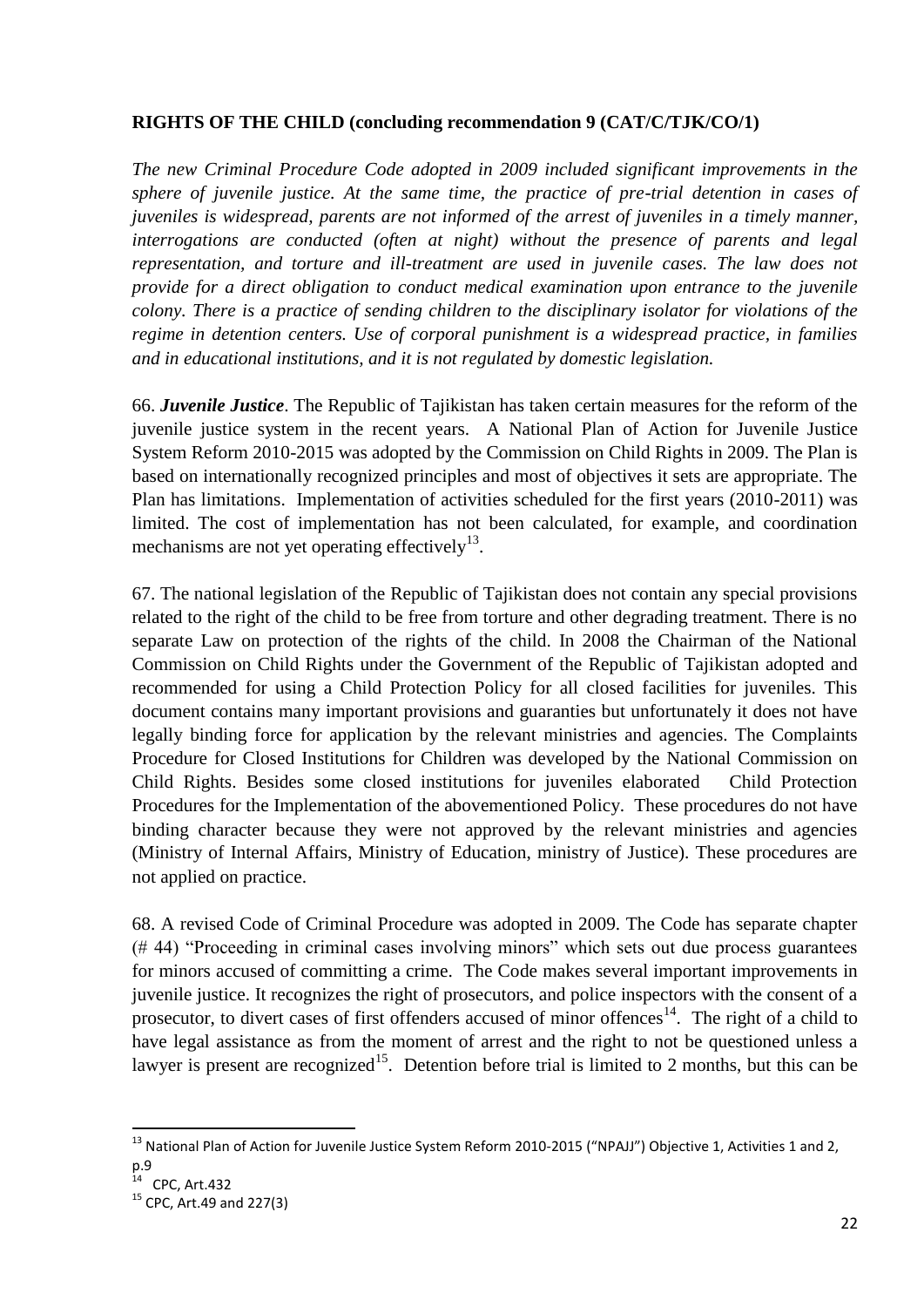#### **RIGHTS OF THE CHILD (concluding recommendation 9 (CAT/C/TJK/CO/1)**

*The new Criminal Procedure Code adopted in 2009 included significant improvements in the sphere of juvenile justice. At the same time, the practice of pre-trial detention in cases of juveniles is widespread, parents are not informed of the arrest of juveniles in a timely manner, interrogations are conducted (often at night) without the presence of parents and legal representation, and torture and ill-treatment are used in juvenile cases. The law does not provide for a direct obligation to conduct medical examination upon entrance to the juvenile colony. There is a practice of sending children to the disciplinary isolator for violations of the regime in detention centers. Use of corporal punishment is a widespread practice, in families and in educational institutions, and it is not regulated by domestic legislation.*

66. *Juvenile Justice*. The Republic of Tajikistan has taken certain measures for the reform of the juvenile justice system in the recent years. A National Plan of Action for Juvenile Justice System Reform 2010-2015 was adopted by the Commission on Child Rights in 2009. The Plan is based on internationally recognized principles and most of objectives it sets are appropriate. The Plan has limitations. Implementation of activities scheduled for the first years (2010-2011) was limited. The cost of implementation has not been calculated, for example, and coordination mechanisms are not yet operating effectively<sup>13</sup>.

67. The national legislation of the Republic of Tajikistan does not contain any special provisions related to the right of the child to be free from torture and other degrading treatment. There is no separate Law on protection of the rights of the child. In 2008 the Chairman of the National Commission on Child Rights under the Government of the Republic of Tajikistan adopted and recommended for using a Child Protection Policy for all closed facilities for juveniles. This document contains many important provisions and guaranties but unfortunately it does not have legally binding force for application by the relevant ministries and agencies. The Complaints Procedure for Closed Institutions for Children was developed by the National Commission on Child Rights. Besides some closed institutions for juveniles elaborated Child Protection Procedures for the Implementation of the abovementioned Policy. These procedures do not have binding character because they were not approved by the relevant ministries and agencies (Ministry of Internal Affairs, Ministry of Education, ministry of Justice). These procedures are not applied on practice.

68. A revised Code of Criminal Procedure was adopted in 2009. The Code has separate chapter (# 44) "Proceeding in criminal cases involving minors" which sets out due process guarantees for minors accused of committing a crime. The Code makes several important improvements in juvenile justice. It recognizes the right of prosecutors, and police inspectors with the consent of a prosecutor, to divert cases of first offenders accused of minor offences<sup>14</sup>. The right of a child to have legal assistance as from the moment of arrest and the right to not be questioned unless a lawyer is present are recognized<sup>15</sup>. Detention before trial is limited to 2 months, but this can be

<sup>&</sup>lt;sup>13</sup> National Plan of Action for Juvenile Justice System Reform 2010-2015 ("NPAJJ") Objective 1, Activities 1 and 2,

p.9<br><sup>14</sup> CPC, Art.432

 $15$  CPC, Art. 49 and 227(3)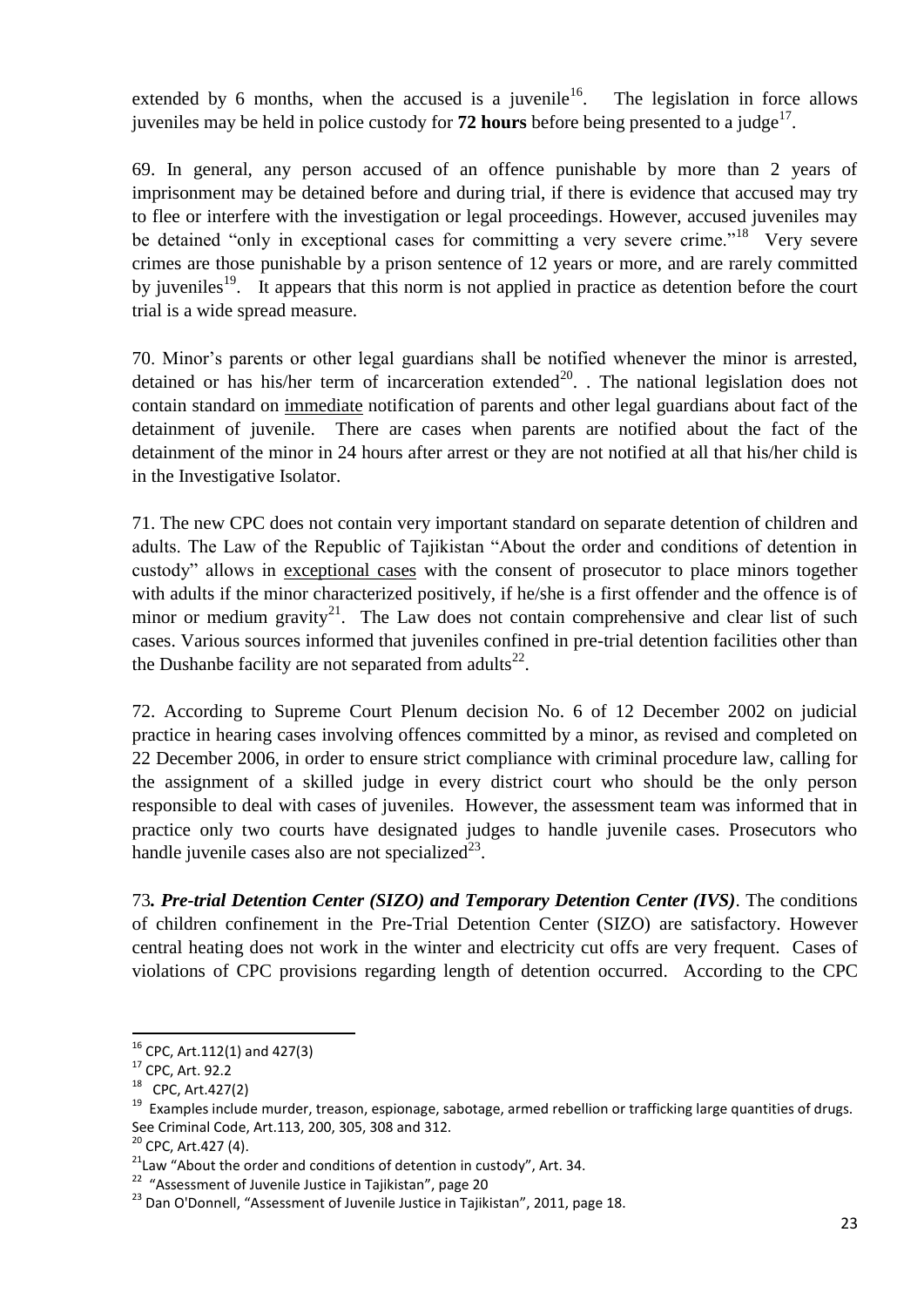extended by 6 months, when the accused is a juvenile<sup>16</sup>. The legislation in force allows juveniles may be held in police custody for  $72$  hours before being presented to a judge<sup>17</sup>.

69. In general, any person accused of an offence punishable by more than 2 years of imprisonment may be detained before and during trial, if there is evidence that accused may try to flee or interfere with the investigation or legal proceedings. However, accused juveniles may be detained "only in exceptional cases for committing a very severe crime."<sup>18</sup> Very severe crimes are those punishable by a prison sentence of 12 years or more, and are rarely committed by juveniles<sup>19</sup>. It appears that this norm is not applied in practice as detention before the court trial is a wide spread measure.

70. Minor's parents or other legal guardians shall be notified whenever the minor is arrested, detained or has his/her term of incarceration extended<sup>20</sup>. . The national legislation does not contain standard on immediate notification of parents and other legal guardians about fact of the detainment of juvenile. There are cases when parents are notified about the fact of the detainment of the minor in 24 hours after arrest or they are not notified at all that his/her child is in the Investigative Isolator.

71. The new CPC does not contain very important standard on separate detention of children and adults. The Law of the Republic of Tajikistan "About the order and conditions of detention in custody" allows in exceptional cases with the consent of prosecutor to place minors together with adults if the minor characterized positively, if he/she is a first offender and the offence is of minor or medium gravity<sup>21</sup>. The Law does not contain comprehensive and clear list of such cases. Various sources informed that juveniles confined in pre-trial detention facilities other than the Dushanbe facility are not separated from adults<sup>22</sup>.

72. According to Supreme Court Plenum decision No. 6 of 12 December 2002 on judicial practice in hearing cases involving offences committed by a minor, as revised and completed on 22 December 2006, in order to ensure strict compliance with criminal procedure law, calling for the assignment of a skilled judge in every district court who should be the only person responsible to deal with cases of juveniles. However, the assessment team was informed that in practice only two courts have designated judges to handle juvenile cases. Prosecutors who handle juvenile cases also are not specialized $^{23}$ .

73*. Pre-trial Detention Center (SIZO) and Temporary Detention Center (IVS)*. The conditions of children confinement in the Pre-Trial Detention Center (SIZO) are satisfactory. However central heating does not work in the winter and electricity cut offs are very frequent. Cases of violations of CPC provisions regarding length of detention occurred. According to the CPC

 $16$  CPC, Art.112(1) and 427(3)

<sup>17</sup> CPC, Art. 92.2

<sup>18</sup> CPC, Art.427(2)

<sup>&</sup>lt;sup>19</sup> Examples include murder, treason, espionage, sabotage, armed rebellion or trafficking large quantities of drugs. See Criminal Code, Art.113, 200, 305, 308 and 312.

<sup>&</sup>lt;sup>20</sup> CPC, Art.427 (4).

 $21$ Law "About the order and conditions of detention in custody", Art. 34.

<sup>&</sup>lt;sup>22</sup> "Assessment of Juvenile Justice in Tajikistan", page 20

<sup>&</sup>lt;sup>23</sup> Dan O'Donnell, "Assessment of Juvenile Justice in Tajikistan", 2011, page 18.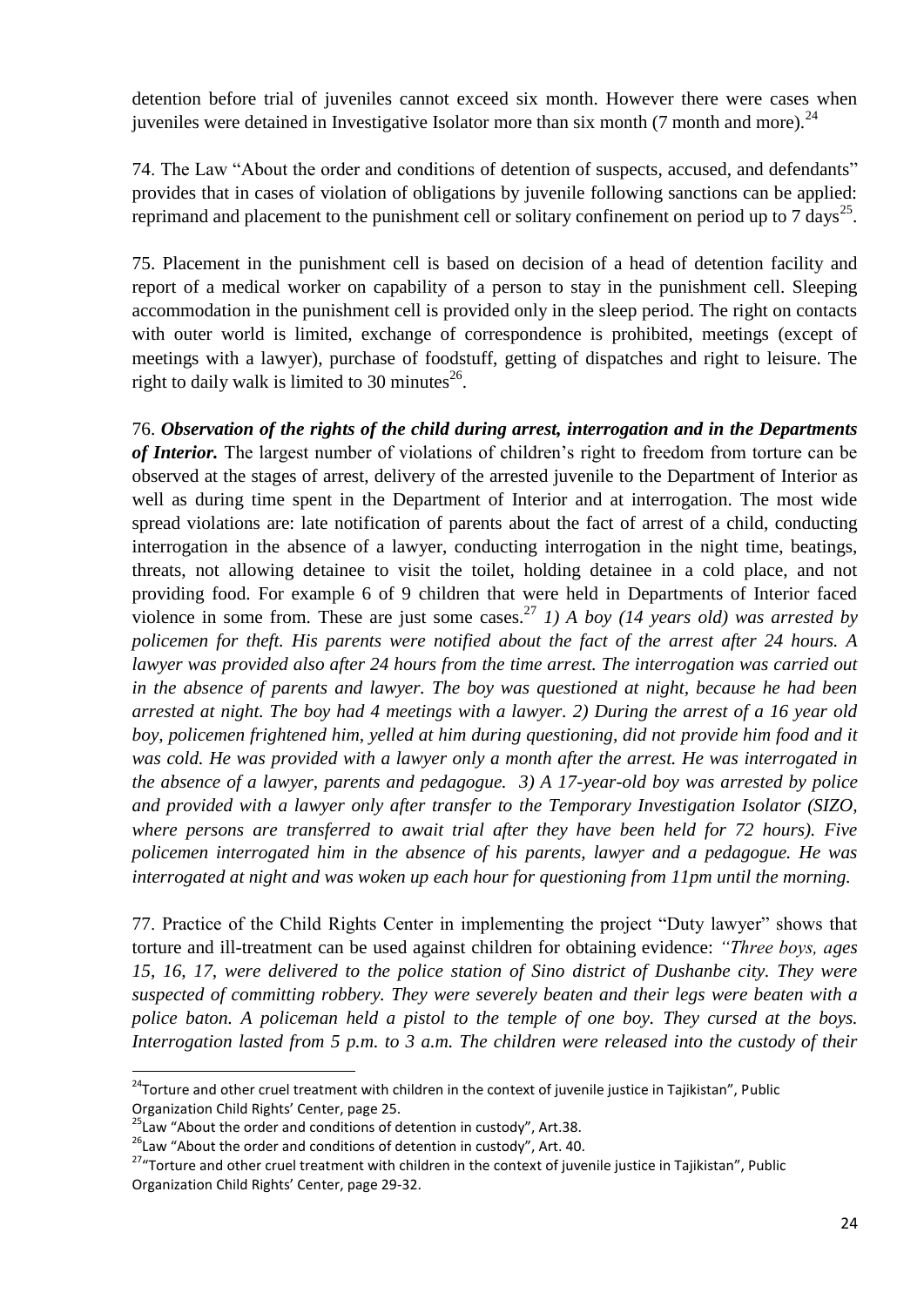detention before trial of juveniles cannot exceed six month. However there were cases when iuveniles were detained in Investigative Isolator more than six month (7 month and more).  $^{24}$ 

74. The Law "About the order and conditions of detention of suspects, accused, and defendants" provides that in cases of violation of obligations by juvenile following sanctions can be applied: reprimand and placement to the punishment cell or solitary confinement on period up to 7 days<sup>25</sup>.

75. Placement in the punishment cell is based on decision of a head of detention facility and report of a medical worker on capability of a person to stay in the punishment cell. Sleeping accommodation in the punishment cell is provided only in the sleep period. The right on contacts with outer world is limited, exchange of correspondence is prohibited, meetings (except of meetings with a lawyer), purchase of foodstuff, getting of dispatches and right to leisure. The right to daily walk is limited to 30 minutes $^{26}$ .

76. *Observation of the rights of the child during arrest, interrogation and in the Departments of Interior.* The largest number of violations of children's right to freedom from torture can be observed at the stages of arrest, delivery of the arrested juvenile to the Department of Interior as well as during time spent in the Department of Interior and at interrogation. The most wide spread violations are: late notification of parents about the fact of arrest of a child, conducting interrogation in the absence of a lawyer, conducting interrogation in the night time, beatings, threats, not allowing detainee to visit the toilet, holding detainee in a cold place, and not providing food. For example 6 of 9 children that were held in Departments of Interior faced violence in some from. These are just some cases.<sup>27</sup> 1) A boy (14 years old) was arrested by *policemen for theft. His parents were notified about the fact of the arrest after 24 hours. A lawyer was provided also after 24 hours from the time arrest. The interrogation was carried out in the absence of parents and lawyer. The boy was questioned at night, because he had been arrested at night. The boy had 4 meetings with a lawyer. 2) During the arrest of a 16 year old boy, policemen frightened him, yelled at him during questioning, did not provide him food and it was cold. He was provided with a lawyer only a month after the arrest. He was interrogated in the absence of a lawyer, parents and pedagogue. 3) A 17-year-old boy was arrested by police and provided with a lawyer only after transfer to the Temporary Investigation Isolator (SIZO, where persons are transferred to await trial after they have been held for 72 hours). Five policemen interrogated him in the absence of his parents, lawyer and a pedagogue. He was interrogated at night and was woken up each hour for questioning from 11pm until the morning.* 

77. Practice of the Child Rights Center in implementing the project "Duty lawyer" shows that torture and ill-treatment can be used against children for obtaining evidence: *"Three boys, ages 15, 16, 17, were delivered to the police station of Sino district of Dushanbe city. They were suspected of committing robbery. They were severely beaten and their legs were beaten with a police baton. A policeman held a pistol to the temple of one boy. They cursed at the boys. Interrogation lasted from 5 p.m. to 3 a.m. The children were released into the custody of their* 

1

<sup>&</sup>lt;sup>24</sup>Torture and other cruel treatment with children in the context of juvenile justice in Tajikistan", Public Organization Child Rights' Center, page 25.

 $^{25}$ Law "About the order and conditions of detention in custody", Art.38.

<sup>&</sup>lt;sup>26</sup>Law "About the order and conditions of detention in custody", Art. 40.

<sup>&</sup>lt;sup>27</sup>"Torture and other cruel treatment with children in the context of juvenile justice in Tajikistan", Public Organization Child Rights' Center, page 29-32.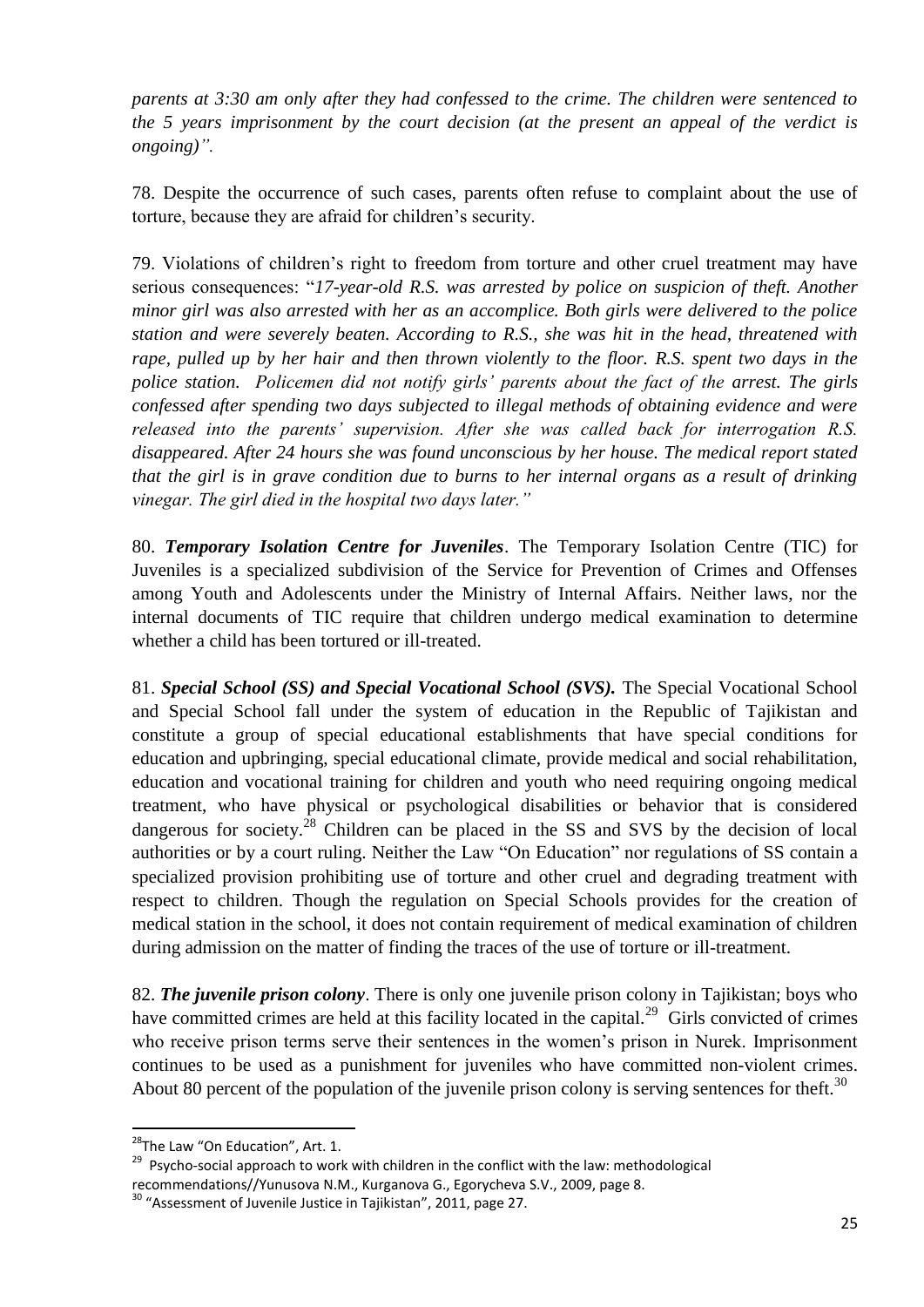*parents at 3:30 am only after they had confessed to the crime. The children were sentenced to the 5 years imprisonment by the court decision (at the present an appeal of the verdict is ongoing)".*

78. Despite the occurrence of such cases, parents often refuse to complaint about the use of torture, because they are afraid for children's security.

79. Violations of children's right to freedom from torture and other cruel treatment may have serious consequences: "*17-year-old R.S. was arrested by police on suspicion of theft. Another minor girl was also arrested with her as an accomplice. Both girls were delivered to the police station and were severely beaten. According to R.S., she was hit in the head, threatened with rape, pulled up by her hair and then thrown violently to the floor. R.S. spent two days in the police station. Policemen did not notify girls' parents about the fact of the arrest. The girls confessed after spending two days subjected to illegal methods of obtaining evidence and were released into the parents' supervision. After she was called back for interrogation R.S. disappeared. After 24 hours she was found unconscious by her house. The medical report stated that the girl is in grave condition due to burns to her internal organs as a result of drinking vinegar. The girl died in the hospital two days later."*

80. *Temporary Isolation Centre for Juveniles*. The Temporary Isolation Centre (TIC) for Juveniles is a specialized subdivision of the Service for Prevention of Crimes and Offenses among Youth and Adolescents under the Ministry of Internal Affairs. Neither laws, nor the internal documents of TIC require that children undergo medical examination to determine whether a child has been tortured or ill-treated.

81. *Special School (SS) and Special Vocational School (SVS).* The Special Vocational School and Special School fall under the system of education in the Republic of Tajikistan and constitute a group of special educational establishments that have special conditions for education and upbringing, special educational climate, provide medical and social rehabilitation, education and vocational training for children and youth who need requiring ongoing medical treatment, who have physical or psychological disabilities or behavior that is considered dangerous for society.<sup>28</sup> Children can be placed in the SS and SVS by the decision of local authorities or by a court ruling. Neither the Law "On Education" nor regulations of SS contain a specialized provision prohibiting use of torture and other cruel and degrading treatment with respect to children. Though the regulation on Special Schools provides for the creation of medical station in the school, it does not contain requirement of medical examination of children during admission on the matter of finding the traces of the use of torture or ill-treatment.

82. *The juvenile prison colony*. There is only one juvenile prison colony in Tajikistan; boys who have committed crimes are held at this facility located in the capital. $^{29}$  Girls convicted of crimes who receive prison terms serve their sentences in the women's prison in Nurek. Imprisonment continues to be used as a punishment for juveniles who have committed non-violent crimes. About 80 percent of the population of the juvenile prison colony is serving sentences for theft.<sup>30</sup>

<sup>&</sup>lt;sup>28</sup>The Law "On Education", Art. 1.

<sup>&</sup>lt;sup>29</sup> Psycho-social approach to work with children in the conflict with the law: methodological recommendations//Yunusova N.M., Kurganova G., Egorycheva S.V., 2009, page 8.

 $30$  "Assessment of Juvenile Justice in Tajikistan", 2011, page 27.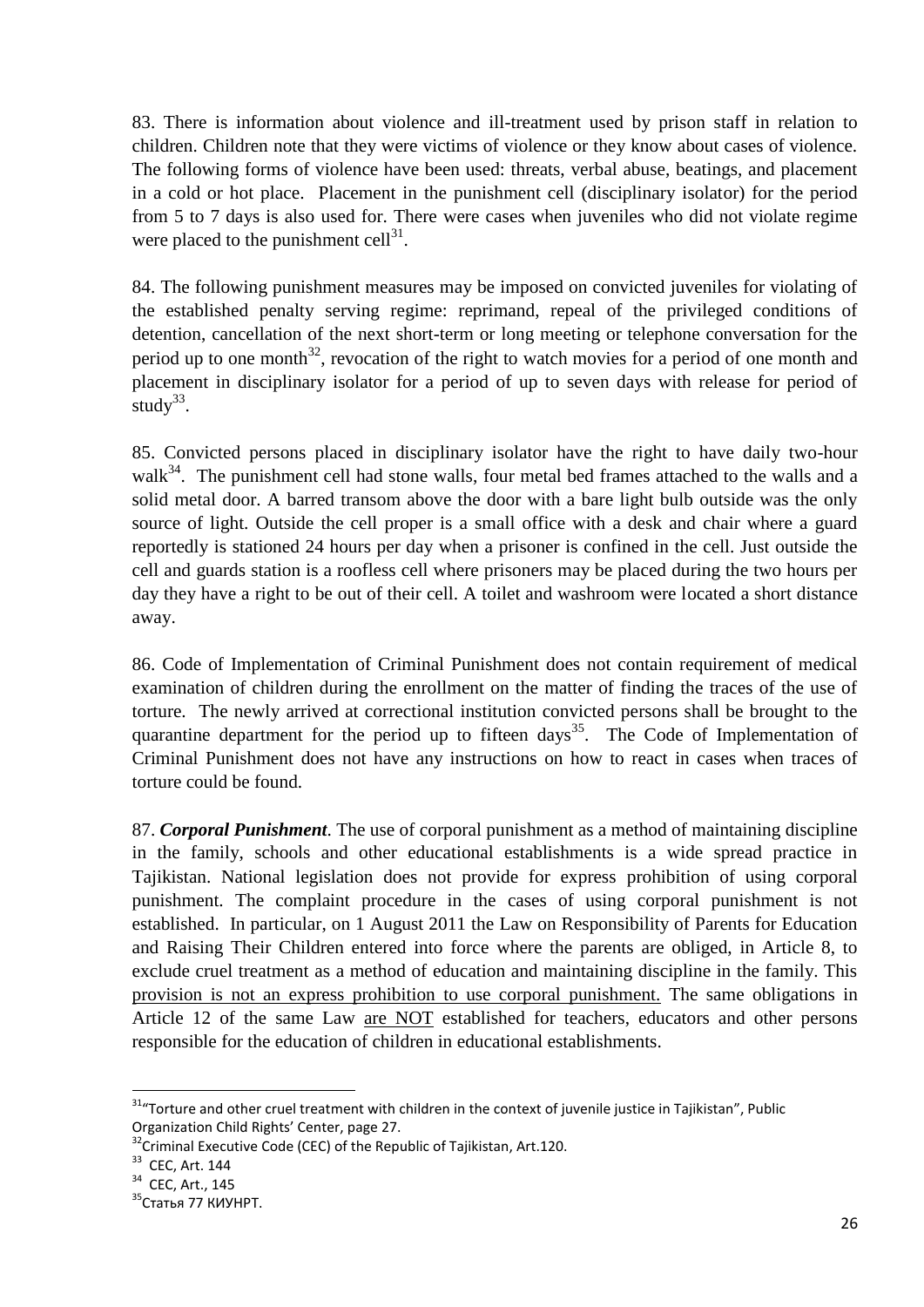83. There is information about violence and ill-treatment used by prison staff in relation to children. Children note that they were victims of violence or they know about cases of violence. The following forms of violence have been used: threats, verbal abuse, beatings, and placement in a cold or hot place. Placement in the punishment cell (disciplinary isolator) for the period from 5 to 7 days is also used for. There were cases when juveniles who did not violate regime were placed to the punishment cell $^{31}$ .

84. The following punishment measures may be imposed on convicted juveniles for violating of the established penalty serving regime: reprimand, repeal of the privileged conditions of detention, cancellation of the next short-term or long meeting or telephone conversation for the period up to one month<sup>32</sup>, revocation of the right to watch movies for a period of one month and placement in disciplinary isolator for a period of up to seven days with release for period of study $33$ .

85. Convicted persons placed in disciplinary isolator have the right to have daily two-hour walk $34$ . The punishment cell had stone walls, four metal bed frames attached to the walls and a solid metal door. A barred transom above the door with a bare light bulb outside was the only source of light. Outside the cell proper is a small office with a desk and chair where a guard reportedly is stationed 24 hours per day when a prisoner is confined in the cell. Just outside the cell and guards station is a roofless cell where prisoners may be placed during the two hours per day they have a right to be out of their cell. A toilet and washroom were located a short distance away.

86. Code of Implementation of Criminal Punishment does not contain requirement of medical examination of children during the enrollment on the matter of finding the traces of the use of torture. The newly arrived at correctional institution convicted persons shall be brought to the quarantine department for the period up to fifteen days<sup>35</sup>. The Code of Implementation of Criminal Punishment does not have any instructions on how to react in cases when traces of torture could be found.

87. *Corporal Punishment*. The use of corporal punishment as a method of maintaining discipline in the family, schools and other educational establishments is a wide spread practice in Tajikistan. National legislation does not provide for express prohibition of using corporal punishment. The complaint procedure in the cases of using corporal punishment is not established. In particular, on 1 August 2011 the Law on Responsibility of Parents for Education and Raising Their Children entered into force where the parents are obliged, in Article 8, to exclude cruel treatment as a method of education and maintaining discipline in the family. This provision is not an express prohibition to use corporal punishment. The same obligations in Article 12 of the same Law are NOT established for teachers, educators and other persons responsible for the education of children in educational establishments.

 $31$ <sup>4</sup>Torture and other cruel treatment with children in the context of juvenile justice in Tajikistan", Public Organization Child Rights' Center, page 27.

<sup>&</sup>lt;sup>32</sup>Criminal Executive Code (CEC) of the Republic of Tajikistan, Art.120.

 $33$  CEC, Art. 144

<sup>&</sup>lt;sup>34</sup> CEC, Art., 145

<sup>35</sup>Статья 77 КИУНРТ.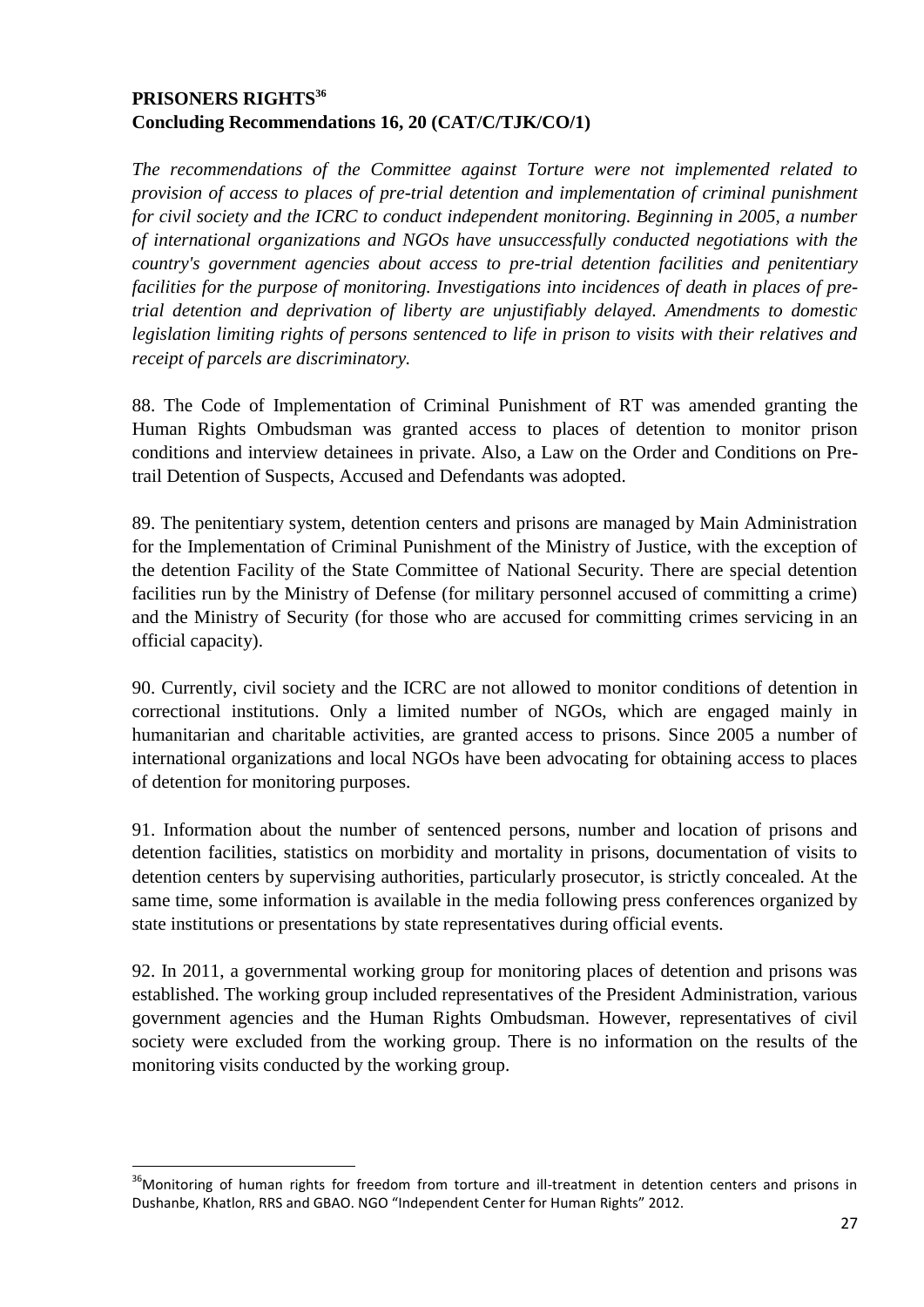### **PRISONERS RIGHTS<sup>36</sup> Concluding Recommendations 16, 20 (CAT/C/TJK/CO/1)**

*The recommendations of the Committee against Torture were not implemented related to provision of access to places of pre-trial detention and implementation of criminal punishment for civil society and the ICRC to conduct independent monitoring. Beginning in 2005, a number of international organizations and NGOs have unsuccessfully conducted negotiations with the country's government agencies about access to pre-trial detention facilities and penitentiary facilities for the purpose of monitoring. Investigations into incidences of death in places of pretrial detention and deprivation of liberty are unjustifiably delayed. Amendments to domestic legislation limiting rights of persons sentenced to life in prison to visits with their relatives and receipt of parcels are discriminatory.*

88. The Code of Implementation of Criminal Punishment of RT was amended granting the Human Rights Ombudsman was granted access to places of detention to monitor prison conditions and interview detainees in private. Also, a Law on the Order and Conditions on Pretrail Detention of Suspects, Accused and Defendants was adopted.

89. The penitentiary system, detention centers and prisons are managed by Main Administration for the Implementation of Criminal Punishment of the Ministry of Justice, with the exception of the detention Facility of the State Committee of National Security. There are special detention facilities run by the Ministry of Defense (for military personnel accused of committing a crime) and the Ministry of Security (for those who are accused for committing crimes servicing in an official capacity).

90. Currently, civil society and the ICRC are not allowed to monitor conditions of detention in correctional institutions. Only a limited number of NGOs, which are engaged mainly in humanitarian and charitable activities, are granted access to prisons. Since 2005 a number of international organizations and local NGOs have been advocating for obtaining access to places of detention for monitoring purposes.

91. Information about the number of sentenced persons, number and location of prisons and detention facilities, statistics on morbidity and mortality in prisons, documentation of visits to detention centers by supervising authorities, particularly prosecutor, is strictly concealed. At the same time, some information is available in the media following press conferences organized by state institutions or presentations by state representatives during official events.

92. In 2011, a governmental working group for monitoring places of detention and prisons was established. The working group included representatives of the President Administration, various government agencies and the Human Rights Ombudsman. However, representatives of civil society were excluded from the working group. There is no information on the results of the monitoring visits conducted by the working group.

<sup>&</sup>lt;sup>36</sup>Monitoring of human rights for freedom from torture and ill-treatment in detention centers and prisons in Dushanbe, Khatlon, RRS and GBAO. NGO "Independent Center for Human Rights" 2012.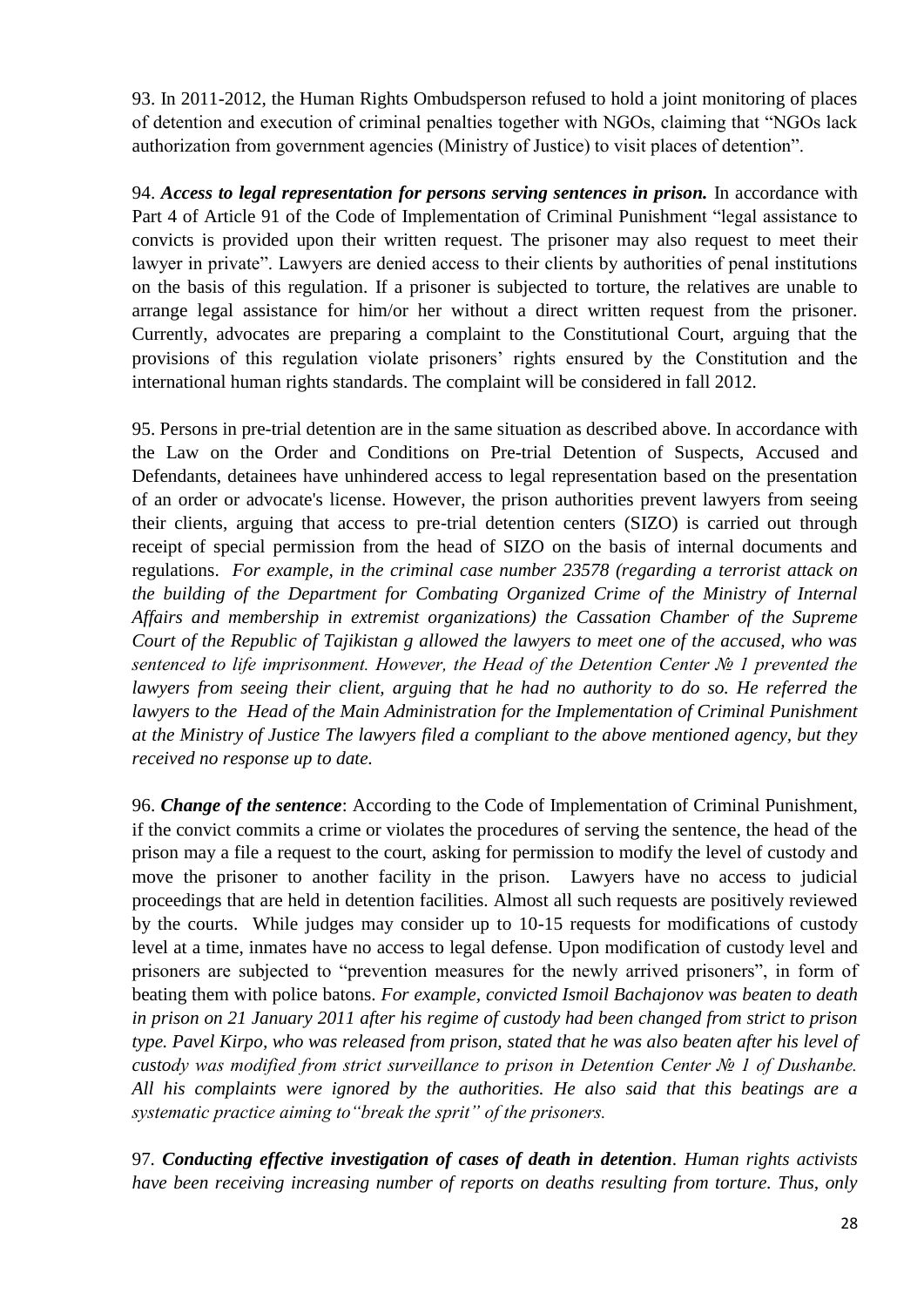93. In 2011-2012, the Human Rights Ombudsperson refused to hold a joint monitoring of places of detention and execution of criminal penalties together with NGOs, claiming that "NGOs lack authorization from government agencies (Ministry of Justice) to visit places of detention".

94. *Access to legal representation for persons serving sentences in prison.* In accordance with Part 4 of Article 91 of the Code of Implementation of Criminal Punishment "legal assistance to convicts is provided upon their written request. The prisoner may also request to meet their lawyer in private". Lawyers are denied access to their clients by authorities of penal institutions on the basis of this regulation. If a prisoner is subjected to torture, the relatives are unable to arrange legal assistance for him/or her without a direct written request from the prisoner. Currently, advocates are preparing a complaint to the Constitutional Court, arguing that the provisions of this regulation violate prisoners' rights ensured by the Constitution and the international human rights standards. The complaint will be considered in fall 2012.

95. Persons in pre-trial detention are in the same situation as described above. In accordance with the Law on the Order and Conditions on Pre-trial Detention of Suspects, Accused and Defendants, detainees have unhindered access to legal representation based on the presentation of an order or advocate's license. However, the prison authorities prevent lawyers from seeing their clients, arguing that access to pre-trial detention centers (SIZO) is carried out through receipt of special permission from the head of SIZO on the basis of internal documents and regulations. *For example, in the criminal case number 23578 (regarding a terrorist attack on the building of the Department for Combating Organized Crime of the Ministry of Internal Affairs and membership in extremist organizations) the Cassation Chamber of the Supreme Court of the Republic of Tajikistan g allowed the lawyers to meet one of the accused, who was sentenced to life imprisonment. However, the Head of the Detention Center № 1 prevented the lawyers from seeing their client, arguing that he had no authority to do so. He referred the*  lawyers to the Head of the Main Administration for the Implementation of Criminal Punishment *at the Ministry of Justice The lawyers filed a compliant to the above mentioned agency, but they received no response up to date.*

96. *Change of the sentence*: According to the Code of Implementation of Criminal Punishment, if the convict commits a crime or violates the procedures of serving the sentence, the head of the prison may a file a request to the court, asking for permission to modify the level of custody and move the prisoner to another facility in the prison. Lawyers have no access to judicial proceedings that are held in detention facilities. Almost all such requests are positively reviewed by the courts. While judges may consider up to 10-15 requests for modifications of custody level at a time, inmates have no access to legal defense. Upon modification of custody level and prisoners are subjected to "prevention measures for the newly arrived prisoners", in form of beating them with police batons. *For example, convicted Ismoil Bachajonov was beaten to death in prison on 21 January 2011 after his regime of custody had been changed from strict to prison type. Pavel Kirpo, who was released from prison, stated that he was also beaten after his level of custody was modified from strict surveillance to prison in Detention Center № 1 of Dushanbe. All his complaints were ignored by the authorities. He also said that this beatings are a systematic practice aiming to"break the sprit" of the prisoners.*

97*. Conducting effective investigation of cases of death in detention. Human rights activists have been receiving increasing number of reports on deaths resulting from torture. Thus, only*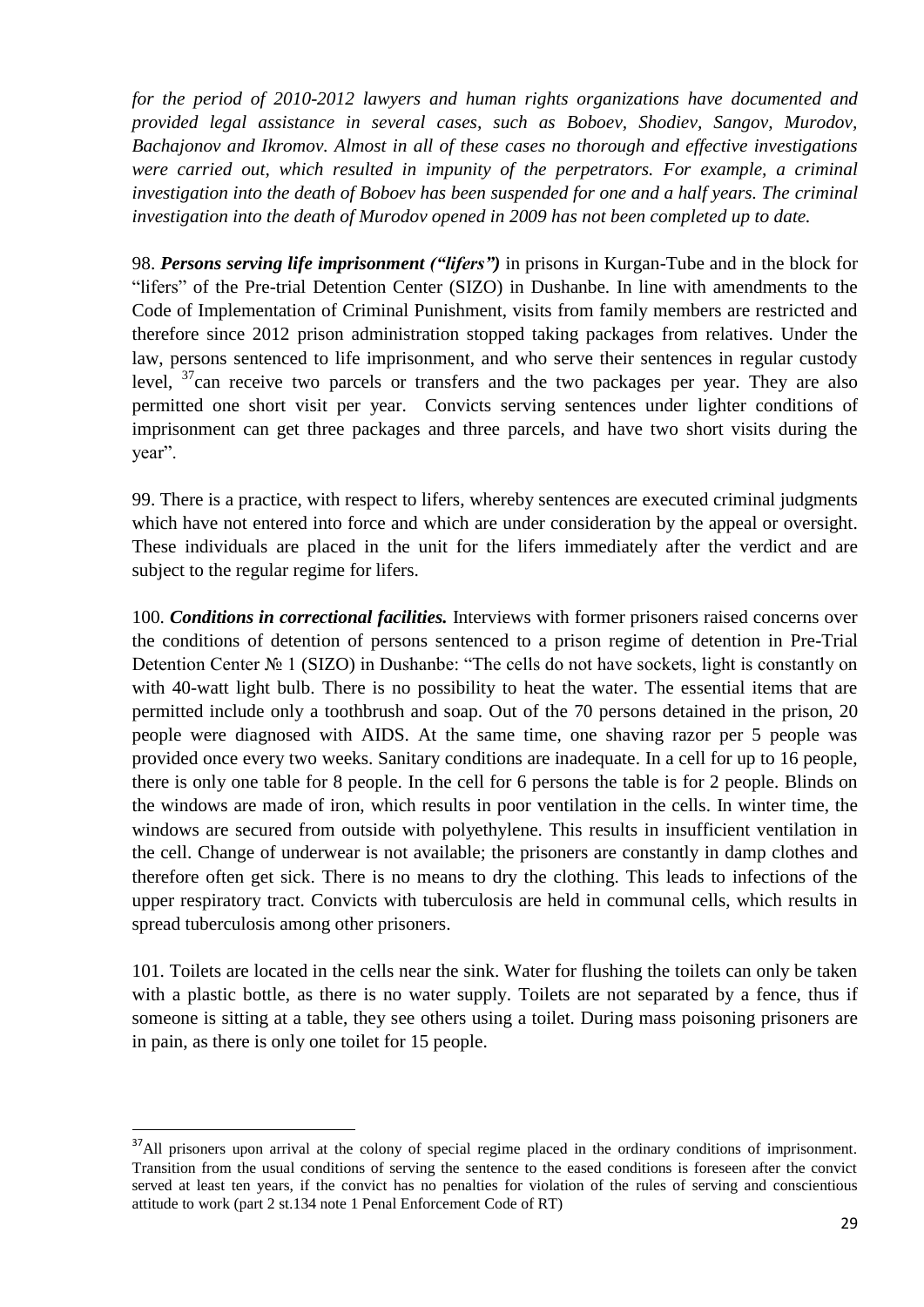*for the period of 2010-2012 lawyers and human rights organizations have documented and provided legal assistance in several cases, such as Boboev, Shodiev, Sangov, Murodov, Bachajonov and Ikromov. Almost in all of these cases no thorough and effective investigations were carried out, which resulted in impunity of the perpetrators. For example, a criminal investigation into the death of Boboev has been suspended for one and a half years. The criminal investigation into the death of Murodov opened in 2009 has not been completed up to date.*

98. *Persons serving life imprisonment ("lifers")* in prisons in Kurgan-Tube and in the block for "lifers" of the Pre-trial Detention Center (SIZO) in Dushanbe. In line with amendments to the Code of Implementation of Criminal Punishment, visits from family members are restricted and therefore since 2012 prison administration stopped taking packages from relatives. Under the law, persons sentenced to life imprisonment, and who serve their sentences in regular custody level,  $37$ can receive two parcels or transfers and the two packages per year. They are also permitted one short visit per year. Convicts serving sentences under lighter conditions of imprisonment can get three packages and three parcels, and have two short visits during the year".

99. There is a practice, with respect to lifers, whereby sentences are executed criminal judgments which have not entered into force and which are under consideration by the appeal or oversight. These individuals are placed in the unit for the lifers immediately after the verdict and are subject to the regular regime for lifers.

100. *Conditions in correctional facilities.* Interviews with former prisoners raised concerns over the conditions of detention of persons sentenced to a prison regime of detention in Pre-Trial Detention Center Nº 1 (SIZO) in Dushanbe: "The cells do not have sockets, light is constantly on with 40-watt light bulb. There is no possibility to heat the water. The essential items that are permitted include only a toothbrush and soap. Out of the 70 persons detained in the prison, 20 people were diagnosed with AIDS. At the same time, one shaving razor per 5 people was provided once every two weeks. Sanitary conditions are inadequate. In a cell for up to 16 people, there is only one table for 8 people. In the cell for 6 persons the table is for 2 people. Blinds on the windows are made of iron, which results in poor ventilation in the cells. In winter time, the windows are secured from outside with polyethylene. This results in insufficient ventilation in the cell. Change of underwear is not available; the prisoners are constantly in damp clothes and therefore often get sick. There is no means to dry the clothing. This leads to infections of the upper respiratory tract. Convicts with tuberculosis are held in communal cells, which results in spread tuberculosis among other prisoners.

101. Toilets are located in the cells near the sink. Water for flushing the toilets can only be taken with a plastic bottle, as there is no water supply. Toilets are not separated by a fence, thus if someone is sitting at a table, they see others using a toilet. During mass poisoning prisoners are in pain, as there is only one toilet for 15 people.

 $\overline{\phantom{a}}$ 

<sup>&</sup>lt;sup>37</sup>All prisoners upon arrival at the colony of special regime placed in the ordinary conditions of imprisonment. Transition from the usual conditions of serving the sentence to the eased conditions is foreseen after the convict served at least ten years, if the convict has no penalties for violation of the rules of serving and conscientious attitude to work (part 2 st.134 note 1 Penal Enforcement Code of RT)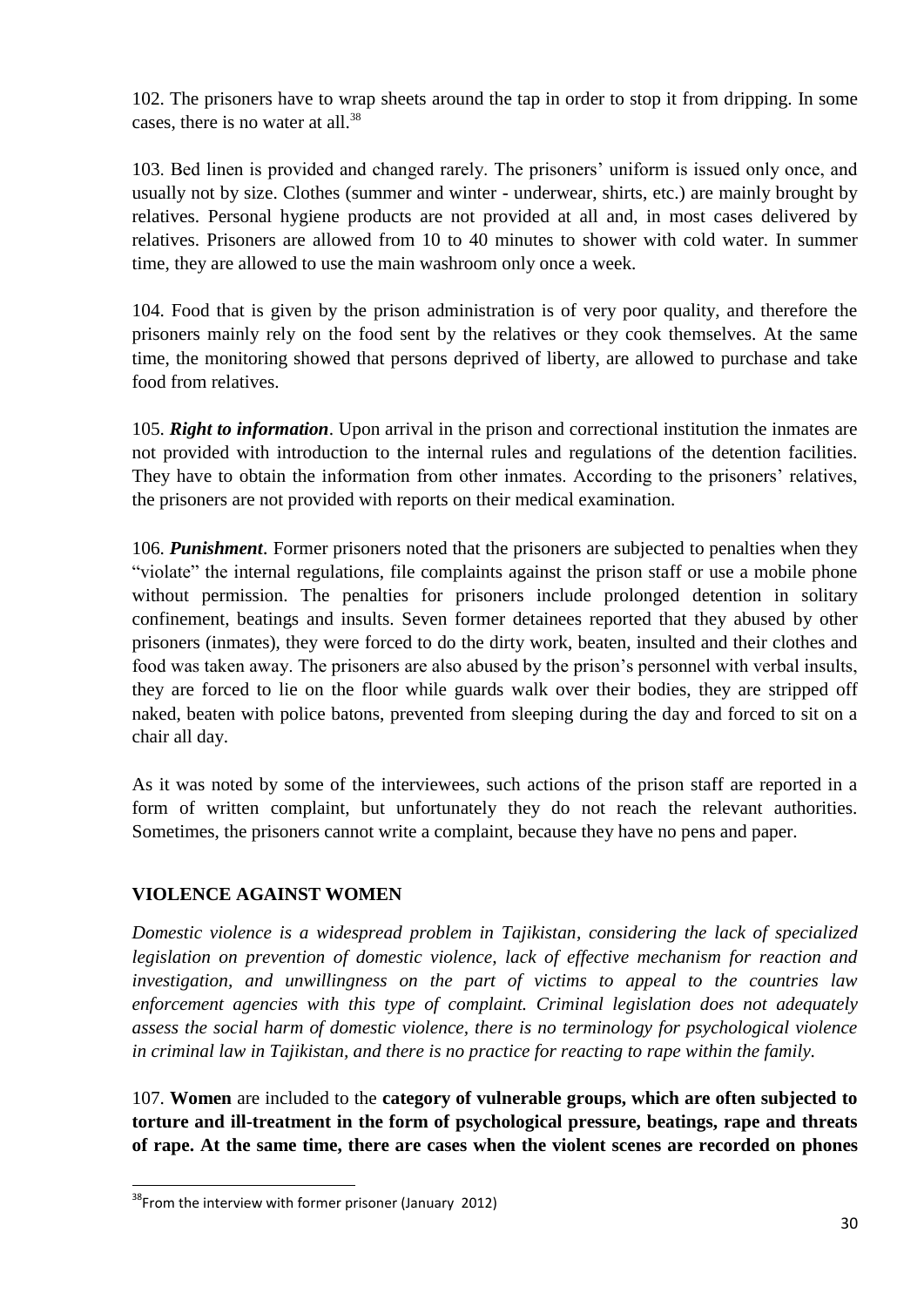102. The prisoners have to wrap sheets around the tap in order to stop it from dripping. In some cases, there is no water at all.<sup>38</sup>

103. Bed linen is provided and changed rarely. The prisoners' uniform is issued only once, and usually not by size. Clothes (summer and winter - underwear, shirts, etc.) are mainly brought by relatives. Personal hygiene products are not provided at all and, in most cases delivered by relatives. Prisoners are allowed from 10 to 40 minutes to shower with cold water. In summer time, they are allowed to use the main washroom only once a week.

104. Food that is given by the prison administration is of very poor quality, and therefore the prisoners mainly rely on the food sent by the relatives or they cook themselves. At the same time, the monitoring showed that persons deprived of liberty, are allowed to purchase and take food from relatives.

105. *Right to information*. Upon arrival in the prison and correctional institution the inmates are not provided with introduction to the internal rules and regulations of the detention facilities. They have to obtain the information from other inmates. According to the prisoners' relatives, the prisoners are not provided with reports on their medical examination.

106. *Punishment*. Former prisoners noted that the prisoners are subjected to penalties when they "violate" the internal regulations, file complaints against the prison staff or use a mobile phone without permission. The penalties for prisoners include prolonged detention in solitary confinement, beatings and insults. Seven former detainees reported that they abused by other prisoners (inmates), they were forced to do the dirty work, beaten, insulted and their clothes and food was taken away. The prisoners are also abused by the prison's personnel with verbal insults, they are forced to lie on the floor while guards walk over their bodies, they are stripped off naked, beaten with police batons, prevented from sleeping during the day and forced to sit on a chair all day.

As it was noted by some of the interviewees, such actions of the prison staff are reported in a form of written complaint, but unfortunately they do not reach the relevant authorities. Sometimes, the prisoners cannot write a complaint, because they have no pens and paper.

### **VIOLENCE AGAINST WOMEN**

*Domestic violence is a widespread problem in Tajikistan, considering the lack of specialized legislation on prevention of domestic violence, lack of effective mechanism for reaction and investigation, and unwillingness on the part of victims to appeal to the countries law enforcement agencies with this type of complaint. Criminal legislation does not adequately assess the social harm of domestic violence, there is no terminology for psychological violence in criminal law in Tajikistan, and there is no practice for reacting to rape within the family.*

107. **Women** are included to the **category of vulnerable groups, which are often subjected to torture and ill-treatment in the form of psychological pressure, beatings, rape and threats of rape. At the same time, there are cases when the violent scenes are recorded on phones** 

 $\overline{a}$ 

 $38$ From the interview with former prisoner (January 2012)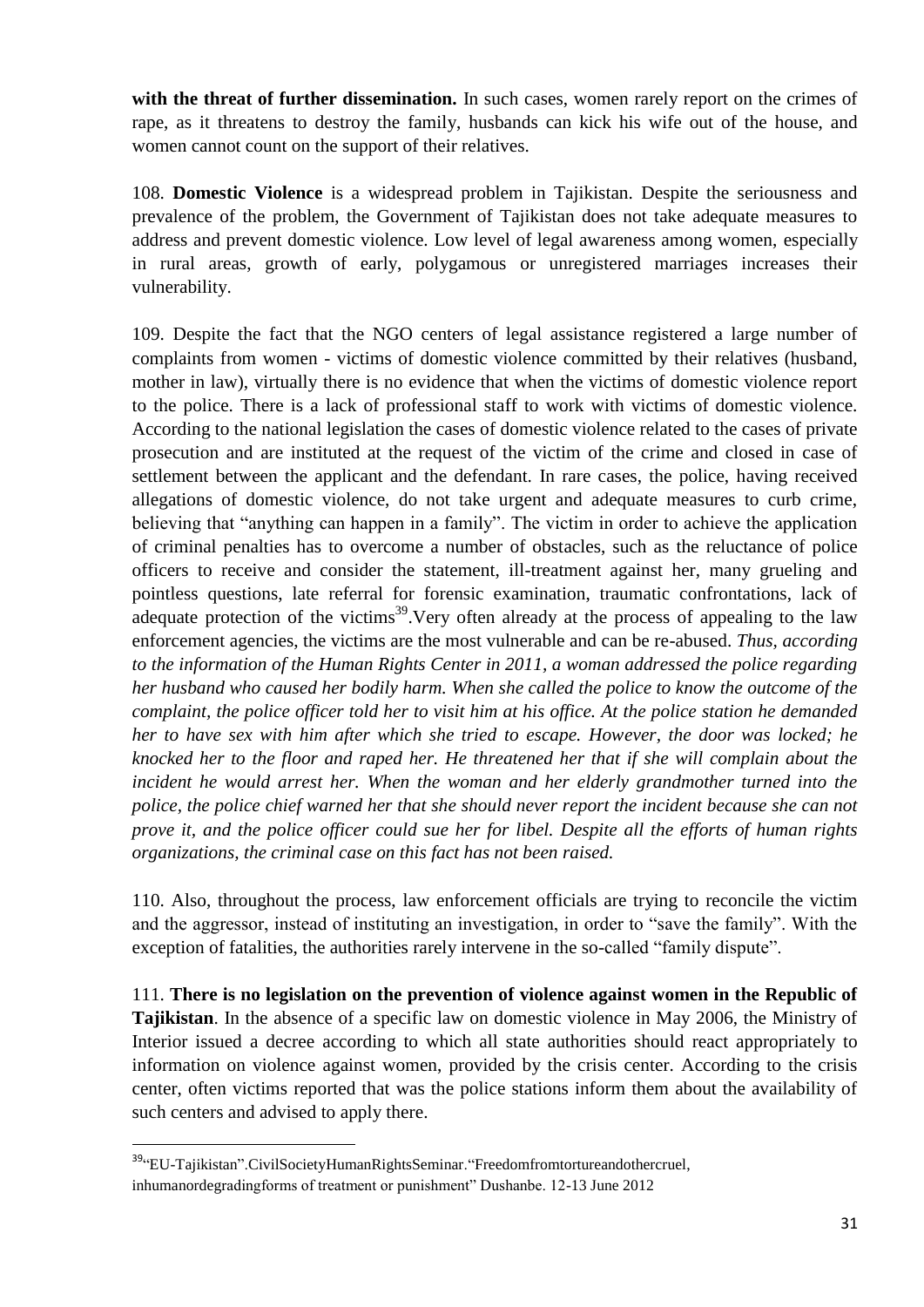**with the threat of further dissemination.** In such cases, women rarely report on the crimes of rape, as it threatens to destroy the family, husbands can kick his wife out of the house, and women cannot count on the support of their relatives.

108. **Domestic Violence** is a widespread problem in Tajikistan. Despite the seriousness and prevalence of the problem, the Government of Tajikistan does not take adequate measures to address and prevent domestic violence. Low level of legal awareness among women, especially in rural areas, growth of early, polygamous or unregistered marriages increases their vulnerability.

109. Despite the fact that the NGO centers of legal assistance registered a large number of complaints from women - victims of domestic violence committed by their relatives (husband, mother in law), virtually there is no evidence that when the victims of domestic violence report to the police. There is a lack of professional staff to work with victims of domestic violence. According to the national legislation the cases of domestic violence related to the cases of private prosecution and are instituted at the request of the victim of the crime and closed in case of settlement between the applicant and the defendant. In rare cases, the police, having received allegations of domestic violence, do not take urgent and adequate measures to curb crime, believing that "anything can happen in a family". The victim in order to achieve the application of criminal penalties has to overcome a number of obstacles, such as the reluctance of police officers to receive and consider the statement, ill-treatment against her, many grueling and pointless questions, late referral for forensic examination, traumatic confrontations, lack of adequate protection of the victims<sup>39</sup>. Very often already at the process of appealing to the law enforcement agencies, the victims are the most vulnerable and can be re-abused. *Thus, according to the information of the Human Rights Center in 2011, a woman addressed the police regarding her husband who caused her bodily harm. When she called the police to know the outcome of the complaint, the police officer told her to visit him at his office. At the police station he demanded her to have sex with him after which she tried to escape. However, the door was locked; he knocked her to the floor and raped her. He threatened her that if she will complain about the incident he would arrest her. When the woman and her elderly grandmother turned into the police, the police chief warned her that she should never report the incident because she can not prove it, and the police officer could sue her for libel. Despite all the efforts of human rights organizations, the criminal case on this fact has not been raised.*

110. Also, throughout the process, law enforcement officials are trying to reconcile the victim and the aggressor, instead of instituting an investigation, in order to "save the family". With the exception of fatalities, the authorities rarely intervene in the so-called "family dispute".

111. **There is no legislation on the prevention of violence against women in the Republic of Tajikistan**. In the absence of a specific law on domestic violence in May 2006, the Ministry of Interior issued a decree according to which all state authorities should react appropriately to information on violence against women, provided by the crisis center. According to the crisis center, often victims reported that was the police stations inform them about the availability of such centers and advised to apply there.

<sup>&</sup>lt;sup>39</sup>"EU-Tajikistan".CivilSocietyHumanRightsSeminar."Freedomfromtortureandothercruel, inhumanordegradingforms of treatment or punishment" Dushanbe. 12-13 June 2012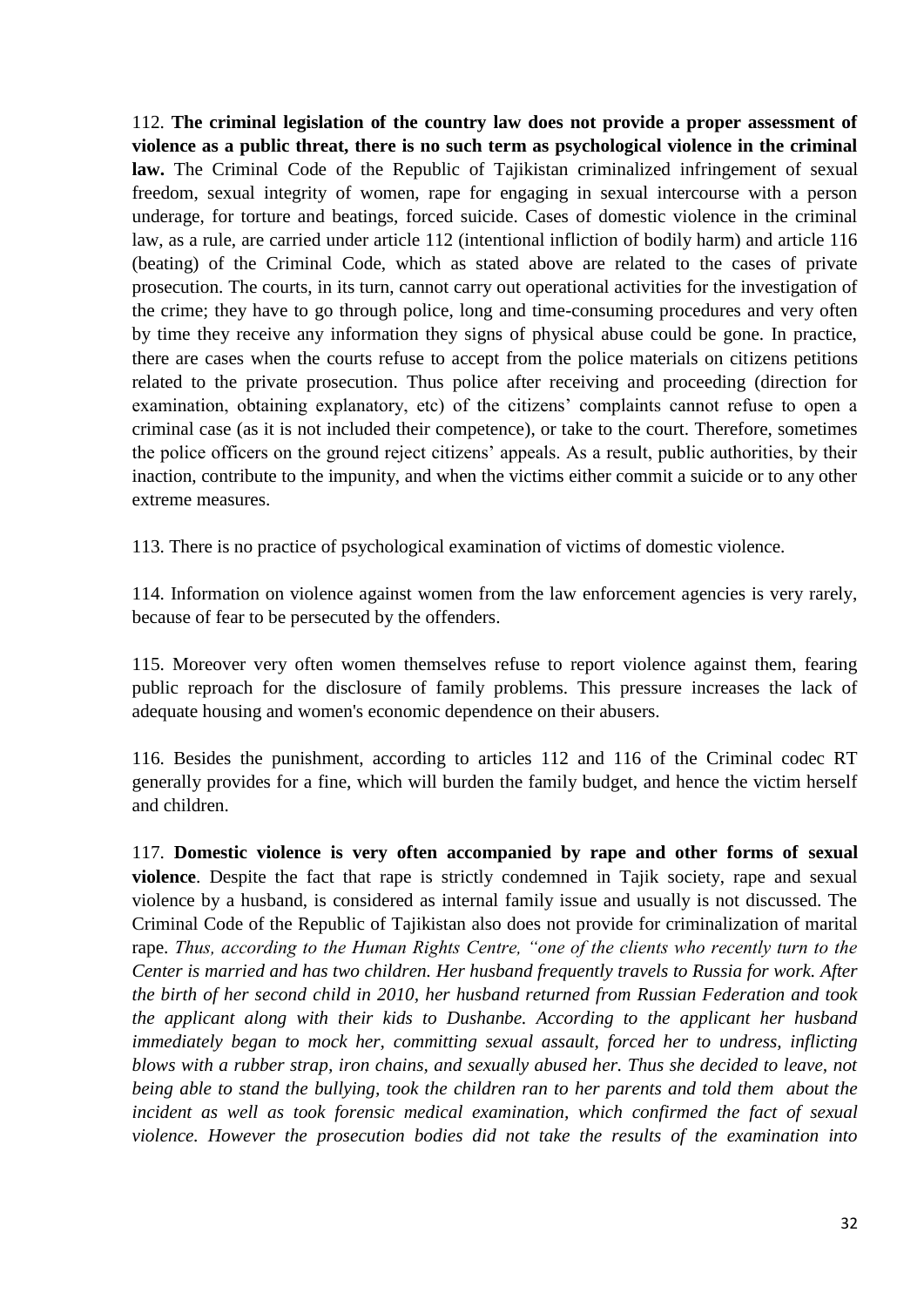112. **The criminal legislation of the country law does not provide a proper assessment of violence as a public threat, there is no such term as psychological violence in the criminal law.** The Criminal Code of the Republic of Tajikistan criminalized infringement of sexual freedom, sexual integrity of women, rape for engaging in sexual intercourse with a person underage, for torture and beatings, forced suicide. Cases of domestic violence in the criminal law, as a rule, are carried under article 112 (intentional infliction of bodily harm) and article 116 (beating) of the Criminal Code, which as stated above are related to the cases of private prosecution. The courts, in its turn, cannot carry out operational activities for the investigation of the crime; they have to go through police, long and time-consuming procedures and very often by time they receive any information they signs of physical abuse could be gone. In practice, there are cases when the courts refuse to accept from the police materials on citizens petitions related to the private prosecution. Thus police after receiving and proceeding (direction for examination, obtaining explanatory, etc) of the citizens' complaints cannot refuse to open a criminal case (as it is not included their competence), or take to the court. Therefore, sometimes the police officers on the ground reject citizens' appeals. As a result, public authorities, by their inaction, contribute to the impunity, and when the victims either commit a suicide or to any other extreme measures.

113. There is no practice of psychological examination of victims of domestic violence.

114. Information on violence against women from the law enforcement agencies is very rarely, because of fear to be persecuted by the offenders.

115. Moreover very often women themselves refuse to report violence against them, fearing public reproach for the disclosure of family problems. This pressure increases the lack of adequate housing and women's economic dependence on their abusers.

116. Besides the punishment, according to articles 112 and 116 of the Criminal codec RT generally provides for a fine, which will burden the family budget, and hence the victim herself and children.

117. **Domestic violence is very often accompanied by rape and other forms of sexual violence**. Despite the fact that rape is strictly condemned in Tajik society, rape and sexual violence by a husband, is considered as internal family issue and usually is not discussed. The Criminal Code of the Republic of Tajikistan also does not provide for criminalization of marital rape. *Thus, according to the Human Rights Centre, "one of the clients who recently turn to the Center is married and has two children. Her husband frequently travels to Russia for work. After the birth of her second child in 2010, her husband returned from Russian Federation and took the applicant along with their kids to Dushanbe. According to the applicant her husband immediately began to mock her, committing sexual assault, forced her to undress, inflicting blows with a rubber strap, iron chains, and sexually abused her. Thus she decided to leave, not being able to stand the bullying, took the children ran to her parents and told them about the incident as well as took forensic medical examination, which confirmed the fact of sexual violence. However the prosecution bodies did not take the results of the examination into*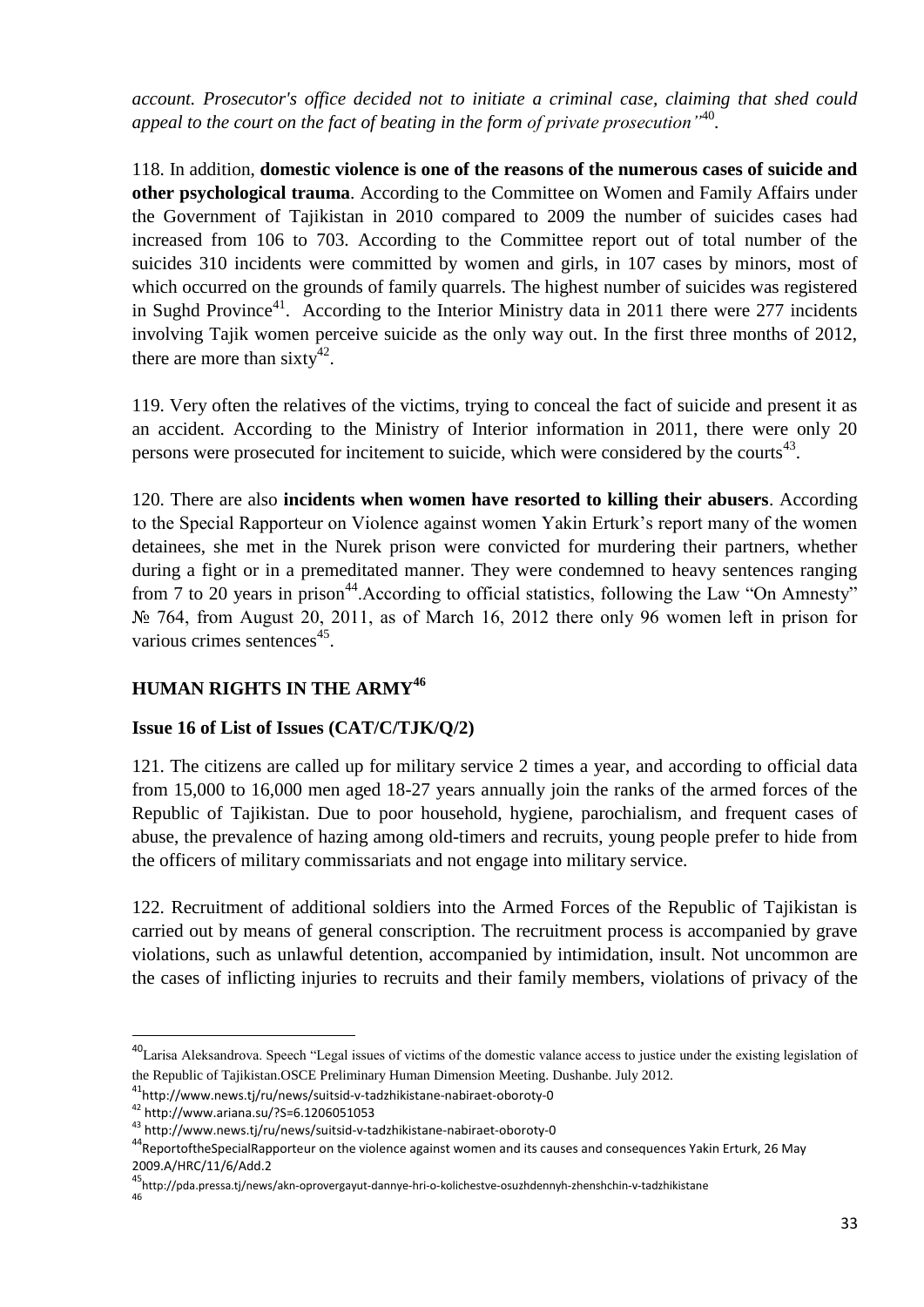*account. Prosecutor's office decided not to initiate a criminal case, claiming that shed could appeal to the court on the fact of beating in the form of private prosecution"*<sup>40</sup> *.*

118. In addition, **domestic violence is one of the reasons of the numerous cases of suicide and other psychological trauma**. According to the Committee on Women and Family Affairs under the Government of Tajikistan in 2010 compared to 2009 the number of suicides cases had increased from 106 to 703. According to the Committee report out of total number of the suicides 310 incidents were committed by women and girls, in 107 cases by minors, most of which occurred on the grounds of family quarrels. The highest number of suicides was registered in Sughd Province<sup>41</sup>. According to the Interior Ministry data in 2011 there were 277 incidents involving Tajik women perceive suicide as the only way out. In the first three months of 2012, there are more than sixty<sup>42</sup>.

119. Very often the relatives of the victims, trying to conceal the fact of suicide and present it as an accident. According to the Ministry of Interior information in 2011, there were only 20 persons were prosecuted for incitement to suicide, which were considered by the courts $43$ .

120. There are also **incidents when women have resorted to killing their abusers**. According to the Special Rapporteur on Violence against women Yakin Erturk's report many of the women detainees, she met in the Nurek prison were convicted for murdering their partners, whether during a fight or in a premeditated manner. They were condemned to heavy sentences ranging from 7 to 20 years in prison<sup>44</sup>. According to official statistics, following the Law "On Amnesty" № 764, from August 20, 2011, as of March 16, 2012 there only 96 women left in prison for various crimes sentences<sup>45</sup>.

# **HUMAN RIGHTS IN THE ARMY<sup>46</sup>**

### **Issue 16 of List of Issues (CAT/C/TJK/Q/2)**

121. The citizens are called up for military service 2 times a year, and according to official data from 15,000 to 16,000 men aged 18-27 years annually join the ranks of the armed forces of the Republic of Tajikistan. Due to poor household, hygiene, parochialism, and frequent cases of abuse, the prevalence of hazing among old-timers and recruits, young people prefer to hide from the officers of military commissariats and not engage into military service.

122. Recruitment of additional soldiers into the Armed Forces of the Republic of Tajikistan is carried out by means of general conscription. The recruitment process is accompanied by grave violations, such as unlawful detention, accompanied by intimidation, insult. Not uncommon are the cases of inflicting injuries to recruits and their family members, violations of privacy of the

1

<sup>&</sup>lt;sup>40</sup>Larisa Aleksandrova. Speech "Legal issues of victims of the domestic valance access to justice under the existing legislation of the Republic of Tajikistan.OSCE Preliminary Human Dimension Meeting. Dushanbe. July 2012.

<sup>41</sup>http://www.news.tj/ru/news/suitsid-v-tadzhikistane-nabiraet-oboroty-0

<sup>42</sup> http://www.ariana.su/?S=6.1206051053

<sup>43</sup> http://www.news.tj/ru/news/suitsid-v-tadzhikistane-nabiraet-oboroty-0

<sup>44</sup>ReportoftheSpecialRapporteur on the violence against women and its causes and consequences Yakin Erturk, 26 May 2009.A/HRC/11/6/Add.2

<sup>45</sup>http://pda.pressa.tj/news/akn-oprovergayut-dannye-hri-o-kolichestve-osuzhdennyh-zhenshchin-v-tadzhikistane

<sup>46</sup>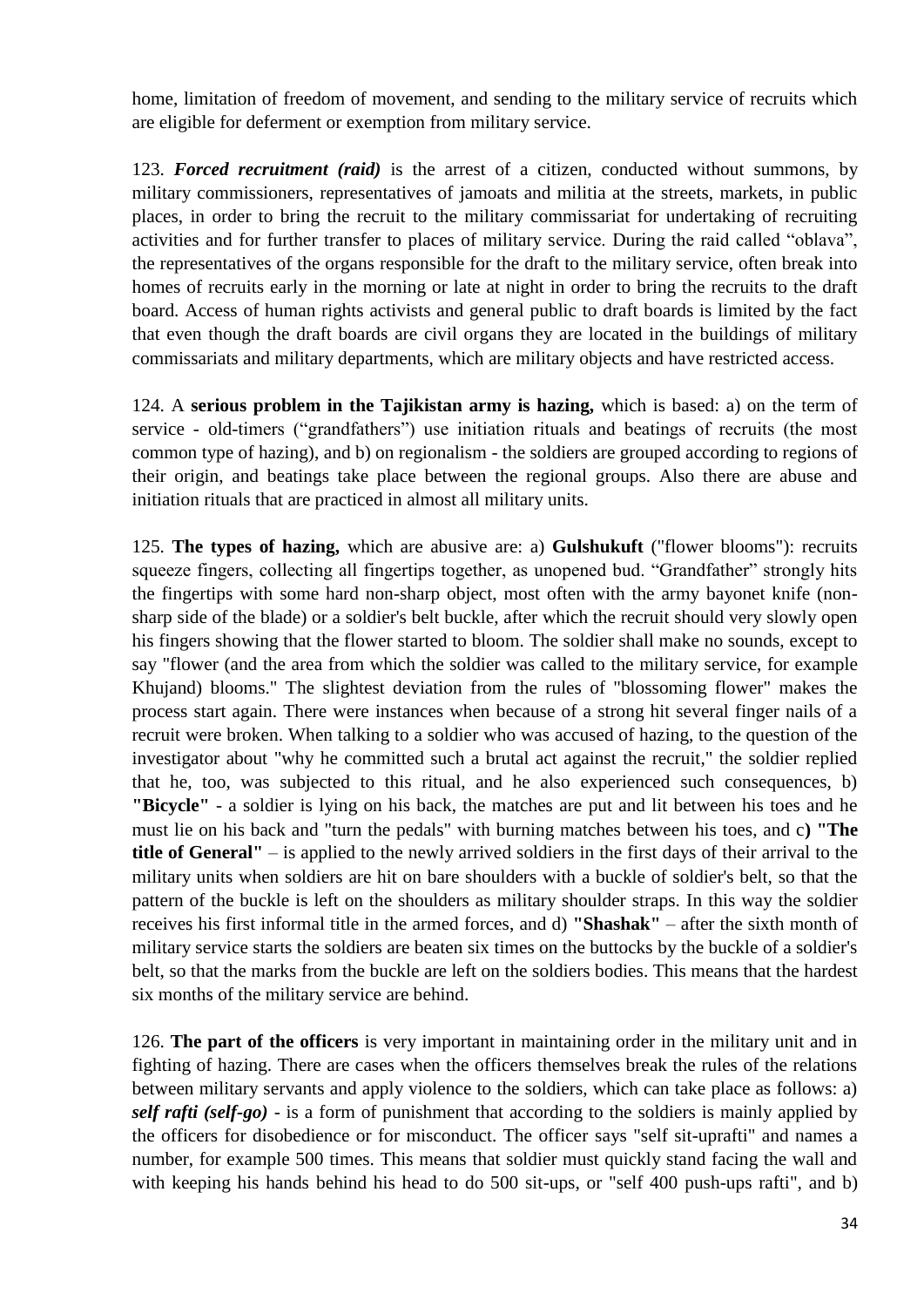home, limitation of freedom of movement, and sending to the military service of recruits which are eligible for deferment or exemption from military service.

123. *Forced recruitment (raid)* is the arrest of a citizen, conducted without summons, by military commissioners, representatives of jamoats and militia at the streets, markets, in public places, in order to bring the recruit to the military commissariat for undertaking of recruiting activities and for further transfer to places of military service. During the raid called "oblava", the representatives of the organs responsible for the draft to the military service, often break into homes of recruits early in the morning or late at night in order to bring the recruits to the draft board. Access of human rights activists and general public to draft boards is limited by the fact that even though the draft boards are civil organs they are located in the buildings of military commissariats and military departments, which are military objects and have restricted access.

124. A **serious problem in the Tajikistan army is hazing,** which is based: a) on the term of service - old-timers ("grandfathers") use initiation rituals and beatings of recruits (the most common type of hazing), and b) on regionalism - the soldiers are grouped according to regions of their origin, and beatings take place between the regional groups. Also there are abuse and initiation rituals that are practiced in almost all military units.

125. **The types of hazing,** which are abusive are: a) **Gulshukuft** ("flower blooms"): recruits squeeze fingers, collecting all fingertips together, as unopened bud. "Grandfather" strongly hits the fingertips with some hard non-sharp object, most often with the army bayonet knife (nonsharp side of the blade) or a soldier's belt buckle, after which the recruit should very slowly open his fingers showing that the flower started to bloom. The soldier shall make no sounds, except to say "flower (and the area from which the soldier was called to the military service, for example Khujand) blooms." The slightest deviation from the rules of "blossoming flower" makes the process start again. There were instances when because of a strong hit several finger nails of a recruit were broken. When talking to a soldier who was accused of hazing, to the question of the investigator about "why he committed such a brutal act against the recruit," the soldier replied that he, too, was subjected to this ritual, and he also experienced such consequences, b) **"Bicycle"** - a soldier is lying on his back, the matches are put and lit between his toes and he must lie on his back and "turn the pedals" with burning matches between his toes, and c**) "The title of General"** – is applied to the newly arrived soldiers in the first days of their arrival to the military units when soldiers are hit on bare shoulders with a buckle of soldier's belt, so that the pattern of the buckle is left on the shoulders as military shoulder straps. In this way the soldier receives his first informal title in the armed forces, and d) **"Shashak"** – after the sixth month of military service starts the soldiers are beaten six times on the buttocks by the buckle of a soldier's belt, so that the marks from the buckle are left on the soldiers bodies. This means that the hardest six months of the military service are behind.

126. **The part of the officers** is very important in maintaining order in the military unit and in fighting of hazing. There are cases when the officers themselves break the rules of the relations between military servants and apply violence to the soldiers, which can take place as follows: a) *self rafti (self-go)* - is a form of punishment that according to the soldiers is mainly applied by the officers for disobedience or for misconduct. The officer says "self sit-uprafti" and names a number, for example 500 times. This means that soldier must quickly stand facing the wall and with keeping his hands behind his head to do 500 sit-ups, or "self 400 push-ups rafti", and b)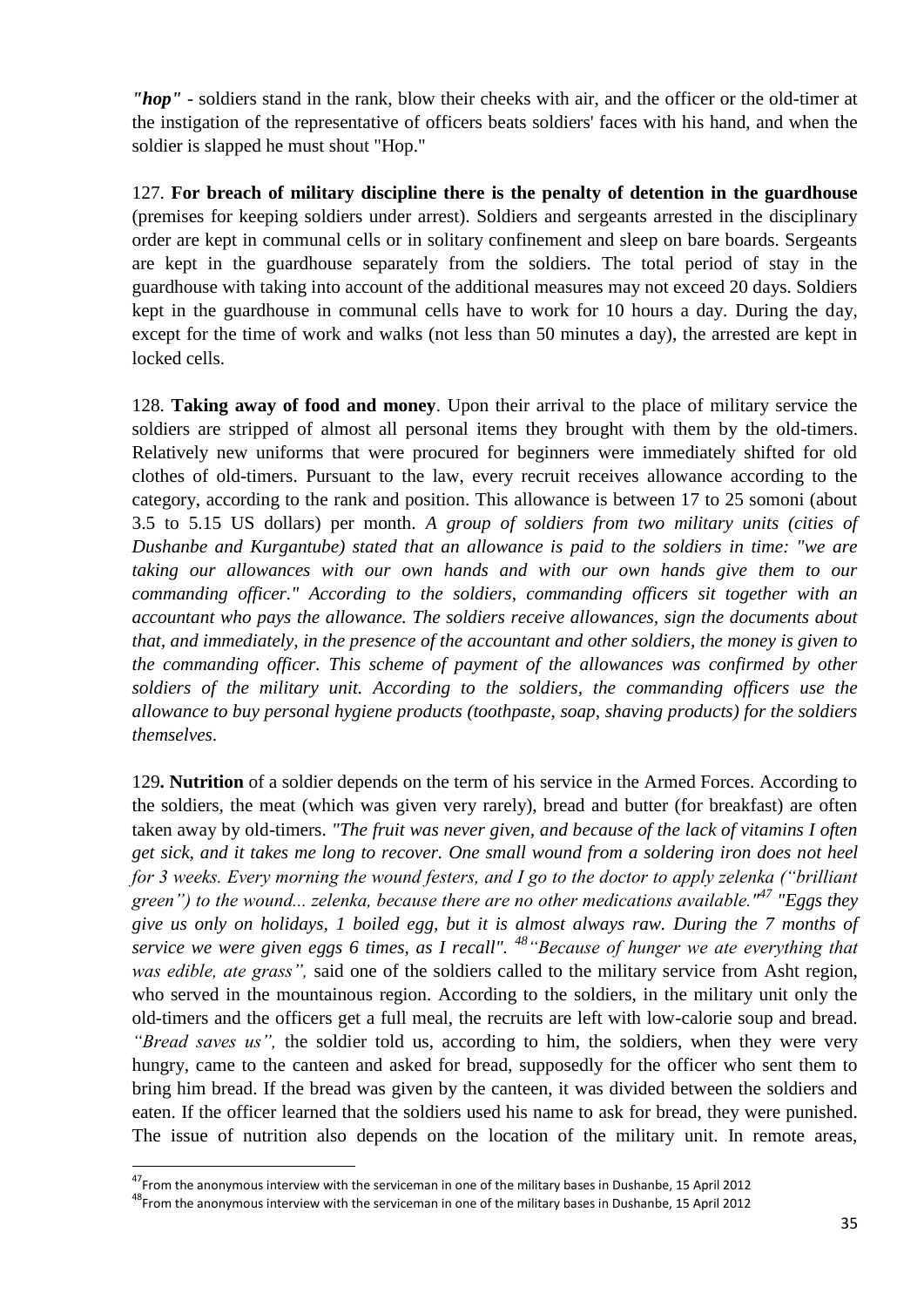*"hop"* - soldiers stand in the rank, blow their cheeks with air, and the officer or the old-timer at the instigation of the representative of officers beats soldiers' faces with his hand, and when the soldier is slapped he must shout "Hop."

127. **For breach of military discipline there is the penalty of detention in the guardhouse** (premises for keeping soldiers under arrest). Soldiers and sergeants arrested in the disciplinary order are kept in communal cells or in solitary confinement and sleep on bare boards. Sergeants are kept in the guardhouse separately from the soldiers. The total period of stay in the guardhouse with taking into account of the additional measures may not exceed 20 days. Soldiers kept in the guardhouse in communal cells have to work for 10 hours a day. During the day, except for the time of work and walks (not less than 50 minutes a day), the arrested are kept in locked cells.

128. **Taking away of food and money**. Upon their arrival to the place of military service the soldiers are stripped of almost all personal items they brought with them by the old-timers. Relatively new uniforms that were procured for beginners were immediately shifted for old clothes of old-timers. Pursuant to the law, every recruit receives allowance according to the category, according to the rank and position. This allowance is between 17 to 25 somoni (about 3.5 to 5.15 US dollars) per month. *A group of soldiers from two military units (cities of Dushanbe and Kurgantube) stated that an allowance is paid to the soldiers in time: "we are taking our allowances with our own hands and with our own hands give them to our commanding officer." According to the soldiers, commanding officers sit together with an accountant who pays the allowance. The soldiers receive allowances, sign the documents about that, and immediately, in the presence of the accountant and other soldiers, the money is given to the commanding officer. This scheme of payment of the allowances was confirmed by other soldiers of the military unit. According to the soldiers, the commanding officers use the allowance to buy personal hygiene products (toothpaste, soap, shaving products) for the soldiers themselves*.

129**. Nutrition** of a soldier depends on the term of his service in the Armed Forces. According to the soldiers, the meat (which was given very rarely), bread and butter (for breakfast) are often taken away by old-timers. *"The fruit was never given, and because of the lack of vitamins I often get sick, and it takes me long to recover. One small wound from a soldering iron does not heel for 3 weeks. Every morning the wound festers, and I go to the doctor to apply zelenka ("brilliant green") to the wound... zelenka, because there are no other medications available."<sup>47</sup> "Eggs they give us only on holidays, 1 boiled egg, but it is almost always raw. During the 7 months of service we were given eggs 6 times, as I recall". <sup>48</sup>"Because of hunger we ate everything that was edible, ate grass",* said one of the soldiers called to the military service from Asht region, who served in the mountainous region. According to the soldiers, in the military unit only the old-timers and the officers get a full meal, the recruits are left with low-calorie soup and bread. *"Bread saves us",* the soldier told us, according to him, the soldiers, when they were very hungry, came to the canteen and asked for bread, supposedly for the officer who sent them to bring him bread. If the bread was given by the canteen, it was divided between the soldiers and eaten. If the officer learned that the soldiers used his name to ask for bread, they were punished. The issue of nutrition also depends on the location of the military unit. In remote areas,

<sup>47</sup>From the anonymous interview with the serviceman in one of the military bases in Dushanbe, 15 April 2012

<sup>48</sup>From the anonymous interview with the serviceman in one of the military bases in Dushanbe, 15 April 2012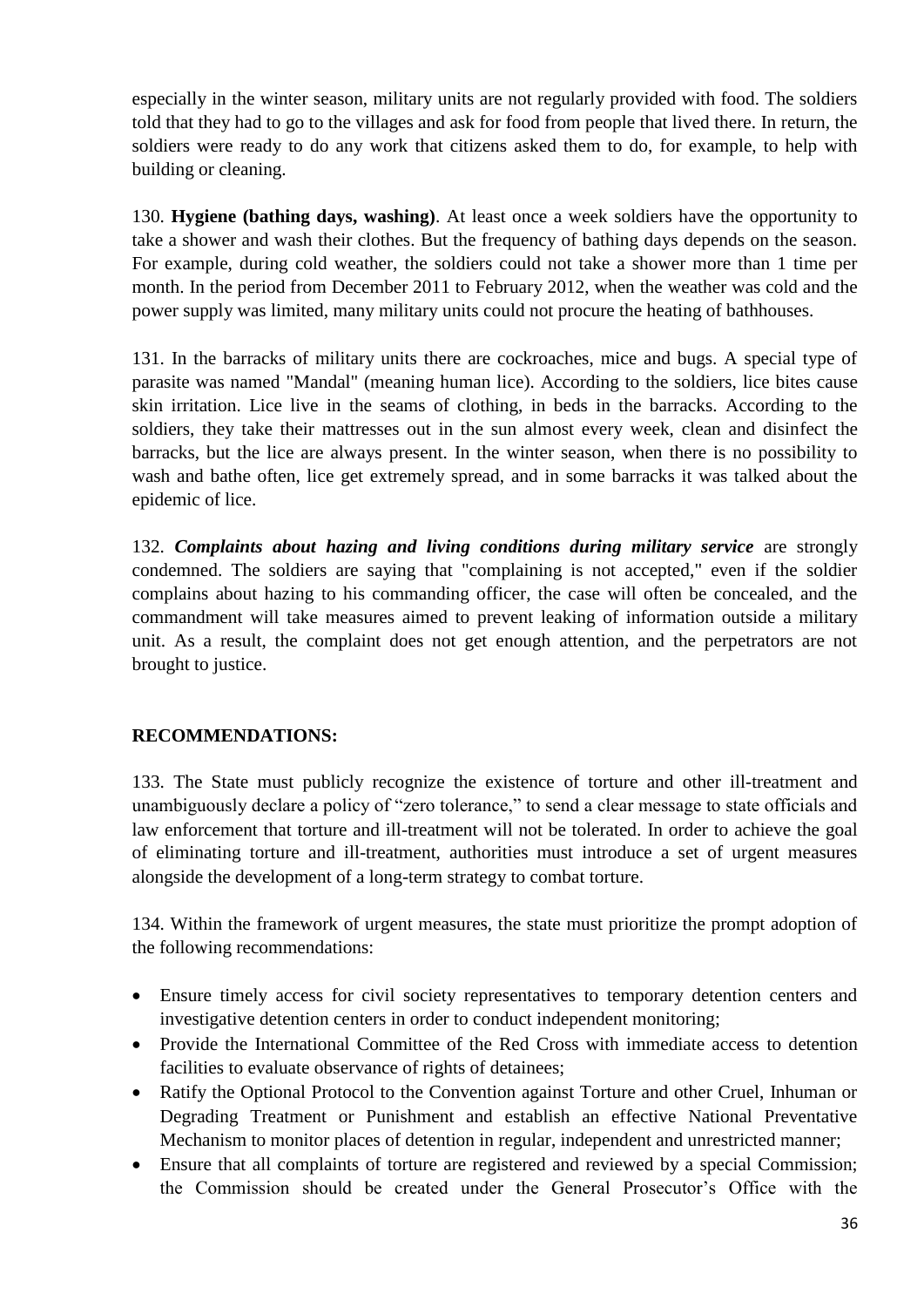especially in the winter season, military units are not regularly provided with food. The soldiers told that they had to go to the villages and ask for food from people that lived there. In return, the soldiers were ready to do any work that citizens asked them to do, for example, to help with building or cleaning.

130. **Hygiene (bathing days, washing)**. At least once a week soldiers have the opportunity to take a shower and wash their clothes. But the frequency of bathing days depends on the season. For example, during cold weather, the soldiers could not take a shower more than 1 time per month. In the period from December 2011 to February 2012, when the weather was cold and the power supply was limited, many military units could not procure the heating of bathhouses.

131. In the barracks of military units there are cockroaches, mice and bugs. A special type of parasite was named "Mandal" (meaning human lice). According to the soldiers, lice bites cause skin irritation. Lice live in the seams of clothing, in beds in the barracks. According to the soldiers, they take their mattresses out in the sun almost every week, clean and disinfect the barracks, but the lice are always present. In the winter season, when there is no possibility to wash and bathe often, lice get extremely spread, and in some barracks it was talked about the epidemic of lice.

132. *Complaints about hazing and living conditions during military service* are strongly condemned. The soldiers are saying that "complaining is not accepted," even if the soldier complains about hazing to his commanding officer, the case will often be concealed, and the commandment will take measures aimed to prevent leaking of information outside a military unit. As a result, the complaint does not get enough attention, and the perpetrators are not brought to justice.

### **RECOMMENDATIONS:**

133. The State must publicly recognize the existence of torture and other ill-treatment and unambiguously declare a policy of "zero tolerance," to send a clear message to state officials and law enforcement that torture and ill-treatment will not be tolerated. In order to achieve the goal of eliminating torture and ill-treatment, authorities must introduce a set of urgent measures alongside the development of a long-term strategy to combat torture.

134. Within the framework of urgent measures, the state must prioritize the prompt adoption of the following recommendations:

- Ensure timely access for civil society representatives to temporary detention centers and investigative detention centers in order to conduct independent monitoring;
- Provide the International Committee of the Red Cross with immediate access to detention facilities to evaluate observance of rights of detainees;
- Ratify the Optional Protocol to the Convention against Torture and other Cruel, Inhuman or Degrading Treatment or Punishment and establish an effective National Preventative Mechanism to monitor places of detention in regular, independent and unrestricted manner;
- Ensure that all complaints of torture are registered and reviewed by a special Commission; the Commission should be created under the General Prosecutor's Office with the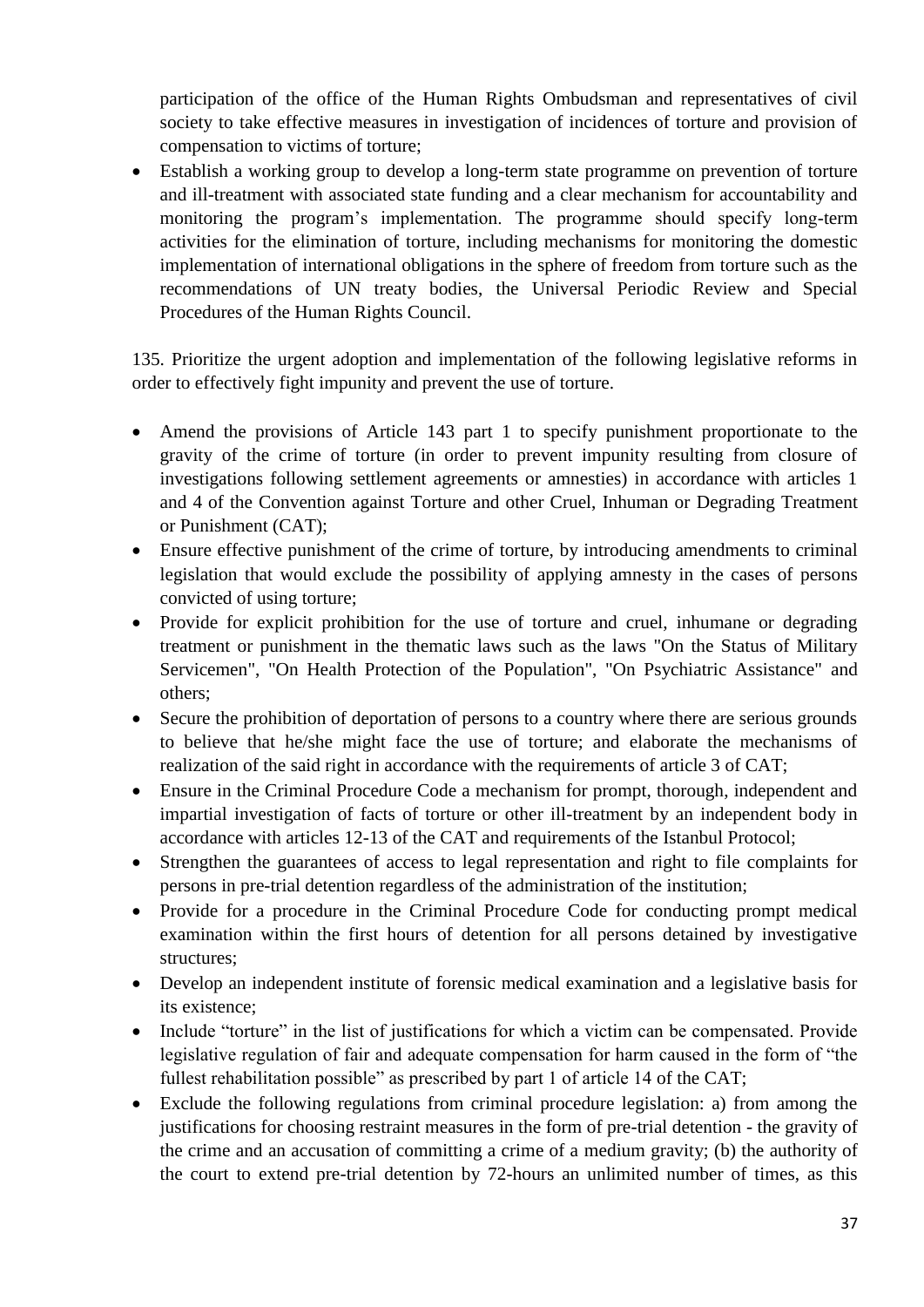participation of the office of the Human Rights Ombudsman and representatives of civil society to take effective measures in investigation of incidences of torture and provision of compensation to victims of torture;

 Establish a working group to develop a long-term state programme on prevention of torture and ill-treatment with associated state funding and a clear mechanism for accountability and monitoring the program's implementation. The programme should specify long-term activities for the elimination of torture, including mechanisms for monitoring the domestic implementation of international obligations in the sphere of freedom from torture such as the recommendations of UN treaty bodies, the Universal Periodic Review and Special Procedures of the Human Rights Council.

135. Prioritize the urgent adoption and implementation of the following legislative reforms in order to effectively fight impunity and prevent the use of torture.

- Amend the provisions of Article 143 part 1 to specify punishment proportionate to the gravity of the crime of torture (in order to prevent impunity resulting from closure of investigations following settlement agreements or amnesties) in accordance with articles 1 and 4 of the Convention against Torture and other Cruel, Inhuman or Degrading Treatment or Punishment (CAT);
- Ensure effective punishment of the crime of torture, by introducing amendments to criminal legislation that would exclude the possibility of applying amnesty in the cases of persons convicted of using torture;
- Provide for explicit prohibition for the use of torture and cruel, inhumane or degrading treatment or punishment in the thematic laws such as the laws "On the Status of Military Servicemen", "On Health Protection of the Population", "On Psychiatric Assistance" and others;
- Secure the prohibition of deportation of persons to a country where there are serious grounds to believe that he/she might face the use of torture; and elaborate the mechanisms of realization of the said right in accordance with the requirements of article 3 of CAT;
- Ensure in the Criminal Procedure Code a mechanism for prompt, thorough, independent and impartial investigation of facts of torture or other ill-treatment by an independent body in accordance with articles 12-13 of the CAT and requirements of the Istanbul Protocol;
- Strengthen the guarantees of access to legal representation and right to file complaints for persons in pre-trial detention regardless of the administration of the institution;
- Provide for a procedure in the Criminal Procedure Code for conducting prompt medical examination within the first hours of detention for all persons detained by investigative structures;
- Develop an independent institute of forensic medical examination and a legislative basis for its existence;
- Include "torture" in the list of justifications for which a victim can be compensated. Provide legislative regulation of fair and adequate compensation for harm caused in the form of "the fullest rehabilitation possible" as prescribed by part 1 of article 14 of the CAT;
- Exclude the following regulations from criminal procedure legislation: a) from among the justifications for choosing restraint measures in the form of pre-trial detention - the gravity of the crime and an accusation of committing a crime of a medium gravity; (b) the authority of the court to extend pre-trial detention by 72-hours an unlimited number of times, as this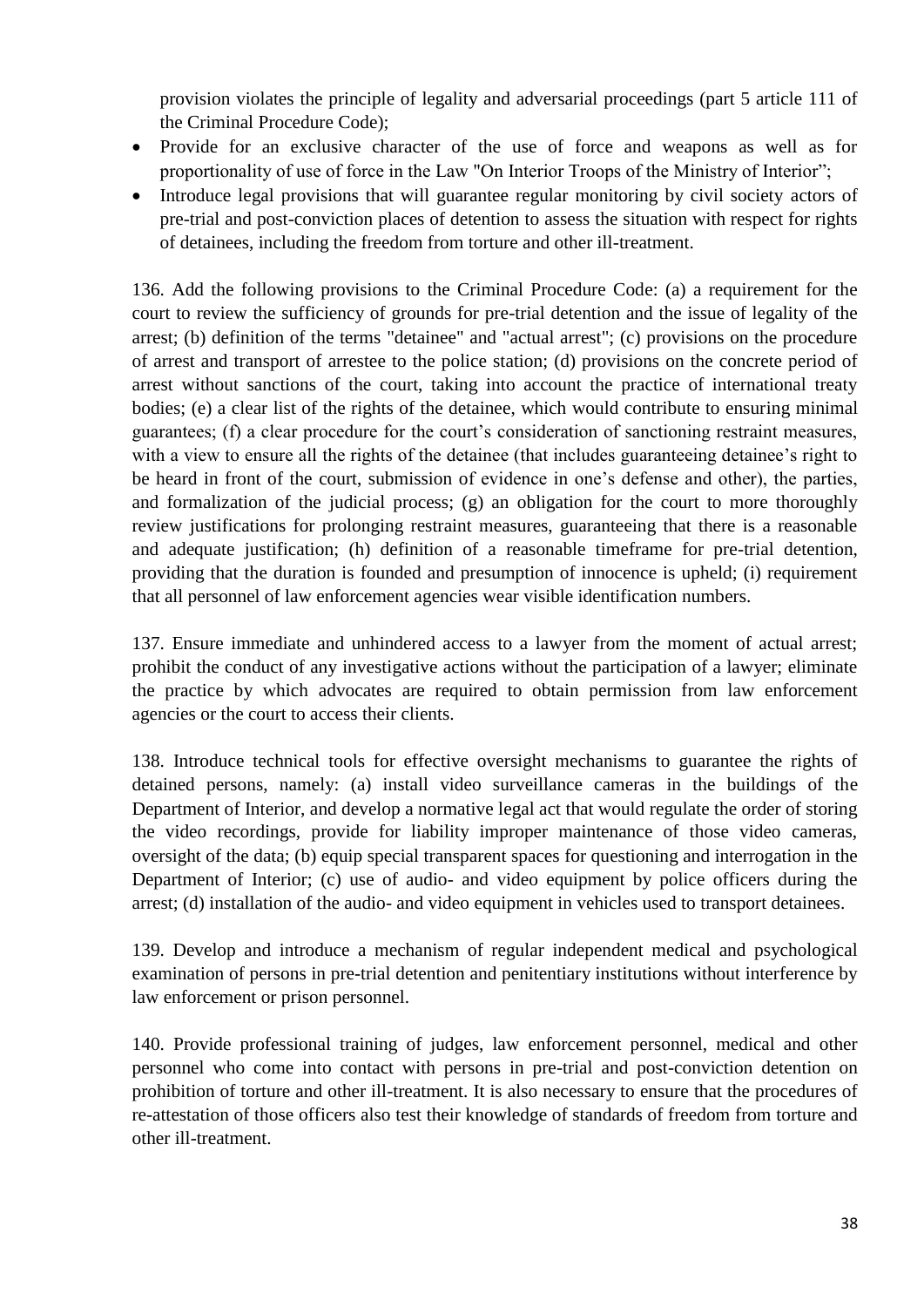provision violates the principle of legality and adversarial proceedings (part 5 article 111 of the Criminal Procedure Code);

- Provide for an exclusive character of the use of force and weapons as well as for proportionality of use of force in the Law "On Interior Troops of the Ministry of Interior";
- Introduce legal provisions that will guarantee regular monitoring by civil society actors of pre-trial and post-conviction places of detention to assess the situation with respect for rights of detainees, including the freedom from torture and other ill-treatment.

136. Add the following provisions to the Criminal Procedure Code: (a) a requirement for the court to review the sufficiency of grounds for pre-trial detention and the issue of legality of the arrest; (b) definition of the terms "detainee" and "actual arrest"; (c) provisions on the procedure of arrest and transport of arrestee to the police station; (d) provisions on the concrete period of arrest without sanctions of the court, taking into account the practice of international treaty bodies; (e) a clear list of the rights of the detainee, which would contribute to ensuring minimal guarantees; (f) a clear procedure for the court's consideration of sanctioning restraint measures, with a view to ensure all the rights of the detainee (that includes guaranteeing detainee's right to be heard in front of the court, submission of evidence in one's defense and other), the parties, and formalization of the judicial process; (g) an obligation for the court to more thoroughly review justifications for prolonging restraint measures, guaranteeing that there is a reasonable and adequate justification; (h) definition of a reasonable timeframe for pre-trial detention, providing that the duration is founded and presumption of innocence is upheld; (i) requirement that all personnel of law enforcement agencies wear visible identification numbers.

137. Ensure immediate and unhindered access to a lawyer from the moment of actual arrest; prohibit the conduct of any investigative actions without the participation of a lawyer; eliminate the practice by which advocates are required to obtain permission from law enforcement agencies or the court to access their clients.

138. Introduce technical tools for effective oversight mechanisms to guarantee the rights of detained persons, namely: (a) install video surveillance cameras in the buildings of the Department of Interior, and develop a normative legal act that would regulate the order of storing the video recordings, provide for liability improper maintenance of those video cameras, oversight of the data; (b) equip special transparent spaces for questioning and interrogation in the Department of Interior; (c) use of audio- and video equipment by police officers during the arrest; (d) installation of the audio- and video equipment in vehicles used to transport detainees.

139. Develop and introduce a mechanism of regular independent medical and psychological examination of persons in pre-trial detention and penitentiary institutions without interference by law enforcement or prison personnel.

140. Provide professional training of judges, law enforcement personnel, medical and other personnel who come into contact with persons in pre-trial and post-conviction detention on prohibition of torture and other ill-treatment. It is also necessary to ensure that the procedures of re-attestation of those officers also test their knowledge of standards of freedom from torture and other ill-treatment.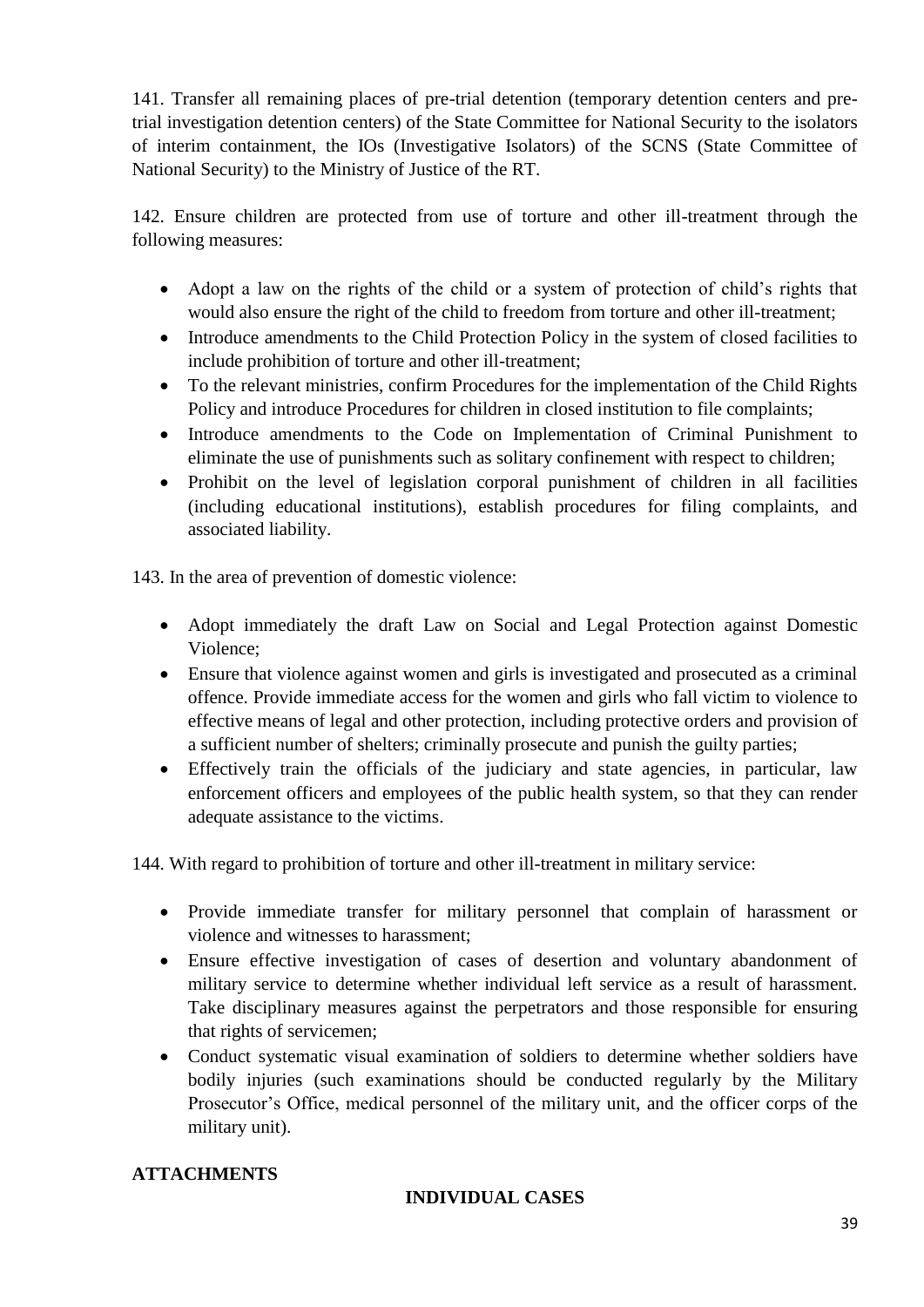141. Transfer all remaining places of pre-trial detention (temporary detention centers and pretrial investigation detention centers) of the State Committee for National Security to the isolators of interim containment, the IOs (Investigative Isolators) of the SCNS (State Committee of National Security) to the Ministry of Justice of the RT.

142. Ensure children are protected from use of torture and other ill-treatment through the following measures:

- Adopt a law on the rights of the child or a system of protection of child's rights that would also ensure the right of the child to freedom from torture and other ill-treatment;
- Introduce amendments to the Child Protection Policy in the system of closed facilities to include prohibition of torture and other ill-treatment;
- To the relevant ministries, confirm Procedures for the implementation of the Child Rights Policy and introduce Procedures for children in closed institution to file complaints;
- Introduce amendments to the Code on Implementation of Criminal Punishment to eliminate the use of punishments such as solitary confinement with respect to children;
- Prohibit on the level of legislation corporal punishment of children in all facilities (including educational institutions), establish procedures for filing complaints, and associated liability.

143. In the area of prevention of domestic violence:

- Adopt immediately the draft Law on Social and Legal Protection against Domestic Violence;
- Ensure that violence against women and girls is investigated and prosecuted as a criminal offence. Provide immediate access for the women and girls who fall victim to violence to effective means of legal and other protection, including protective orders and provision of a sufficient number of shelters; criminally prosecute and punish the guilty parties;
- Effectively train the officials of the judiciary and state agencies, in particular, law enforcement officers and employees of the public health system, so that they can render adequate assistance to the victims.

144. With regard to prohibition of torture and other ill-treatment in military service:

- Provide immediate transfer for military personnel that complain of harassment or violence and witnesses to harassment;
- Ensure effective investigation of cases of desertion and voluntary abandonment of military service to determine whether individual left service as a result of harassment. Take disciplinary measures against the perpetrators and those responsible for ensuring that rights of servicemen;
- Conduct systematic visual examination of soldiers to determine whether soldiers have bodily injuries (such examinations should be conducted regularly by the Military Prosecutor's Office, medical personnel of the military unit, and the officer corps of the military unit).

### **ATTACHMENTS**

#### **INDIVIDUAL CASES**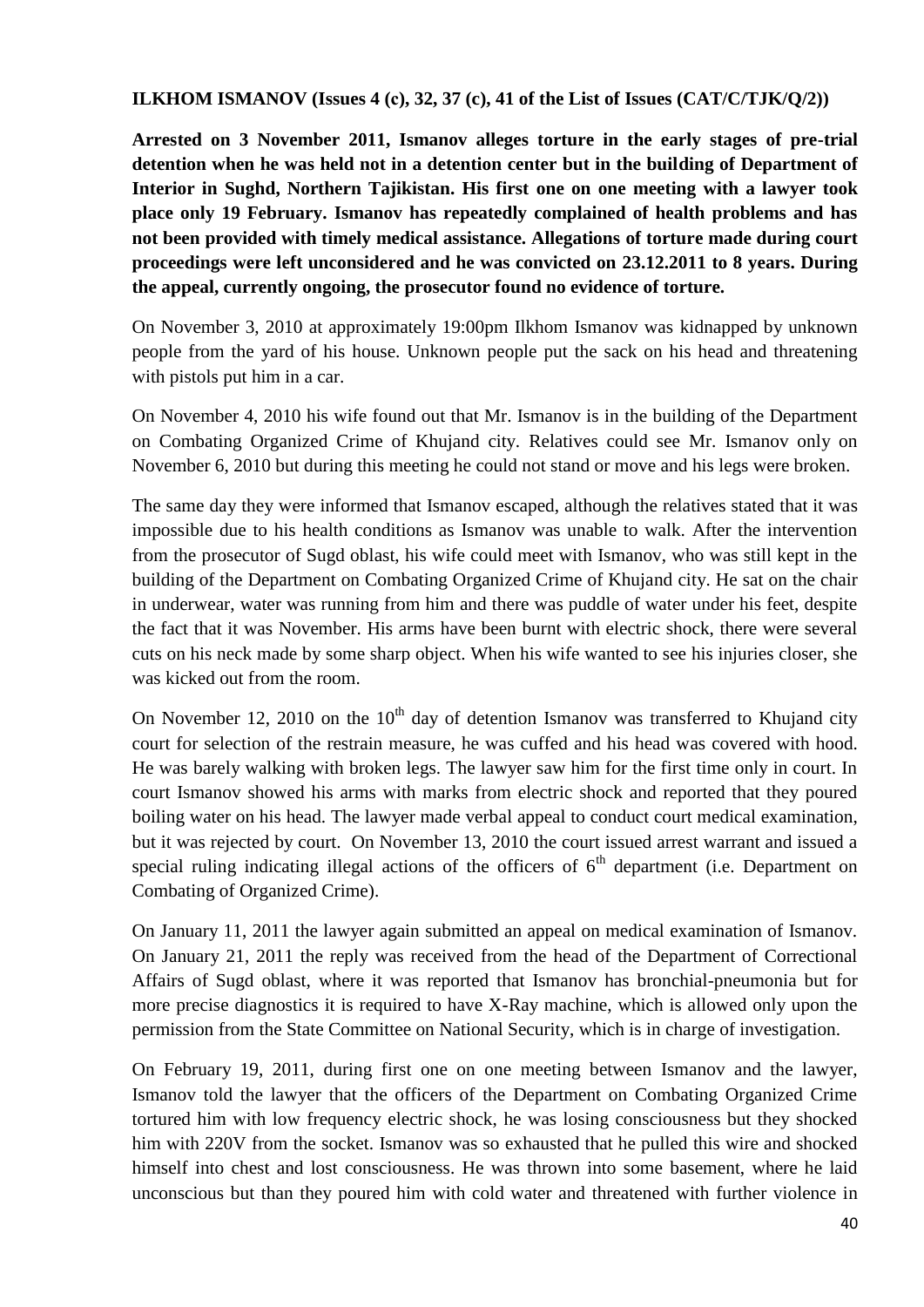#### **ILKHOM ISMANOV (Issues 4 (с), 32, 37 (c), 41 of the List of Issues (CAT/C/TJK/Q/2))**

**Arrested on 3 November 2011, Ismanov alleges torture in the early stages of pre-trial detention when he was held not in a detention center but in the building of Department of Interior in Sughd, Northern Tajikistan. His first one on one meeting with a lawyer took place only 19 February. Ismanov has repeatedly complained of health problems and has not been provided with timely medical assistance. Allegations of torture made during court proceedings were left unconsidered and he was convicted on 23.12.2011 to 8 years. During the appeal, currently ongoing, the prosecutor found no evidence of torture.**

On November 3, 2010 at approximately 19:00pm Ilkhom Ismanov was kidnapped by unknown people from the yard of his house. Unknown people put the sack on his head and threatening with pistols put him in a car.

On November 4, 2010 his wife found out that Mr. Ismanov is in the building of the Department on Combating Organized Crime of Khujand city. Relatives could see Mr. Ismanov only on November 6, 2010 but during this meeting he could not stand or move and his legs were broken.

The same day they were informed that Ismanov escaped, although the relatives stated that it was impossible due to his health conditions as Ismanov was unable to walk. After the intervention from the prosecutor of Sugd oblast, his wife could meet with Ismanov, who was still kept in the building of the Department on Combating Organized Crime of Khujand city. He sat on the chair in underwear, water was running from him and there was puddle of water under his feet, despite the fact that it was November. His arms have been burnt with electric shock, there were several cuts on his neck made by some sharp object. When his wife wanted to see his injuries closer, she was kicked out from the room.

On November 12, 2010 on the  $10<sup>th</sup>$  day of detention Ismanov was transferred to Khujand city court for selection of the restrain measure, he was cuffed and his head was covered with hood. He was barely walking with broken legs. The lawyer saw him for the first time only in court. In court Ismanov showed his arms with marks from electric shock and reported that they poured boiling water on his head. The lawyer made verbal appeal to conduct court medical examination, but it was rejected by court. On November 13, 2010 the court issued arrest warrant and issued a special ruling indicating illegal actions of the officers of  $6<sup>th</sup>$  department (i.e. Department on Combating of Organized Crime).

On January 11, 2011 the lawyer again submitted an appeal on medical examination of Ismanov. On January 21, 2011 the reply was received from the head of the Department of Correctional Affairs of Sugd oblast, where it was reported that Ismanov has bronchial-pneumonia but for more precise diagnostics it is required to have X-Ray machine, which is allowed only upon the permission from the State Committee on National Security, which is in charge of investigation.

On February 19, 2011, during first one on one meeting between Ismanov and the lawyer, Ismanov told the lawyer that the officers of the Department on Combating Organized Crime tortured him with low frequency electric shock, he was losing consciousness but they shocked him with 220V from the socket. Ismanov was so exhausted that he pulled this wire and shocked himself into chest and lost consciousness. He was thrown into some basement, where he laid unconscious but than they poured him with cold water and threatened with further violence in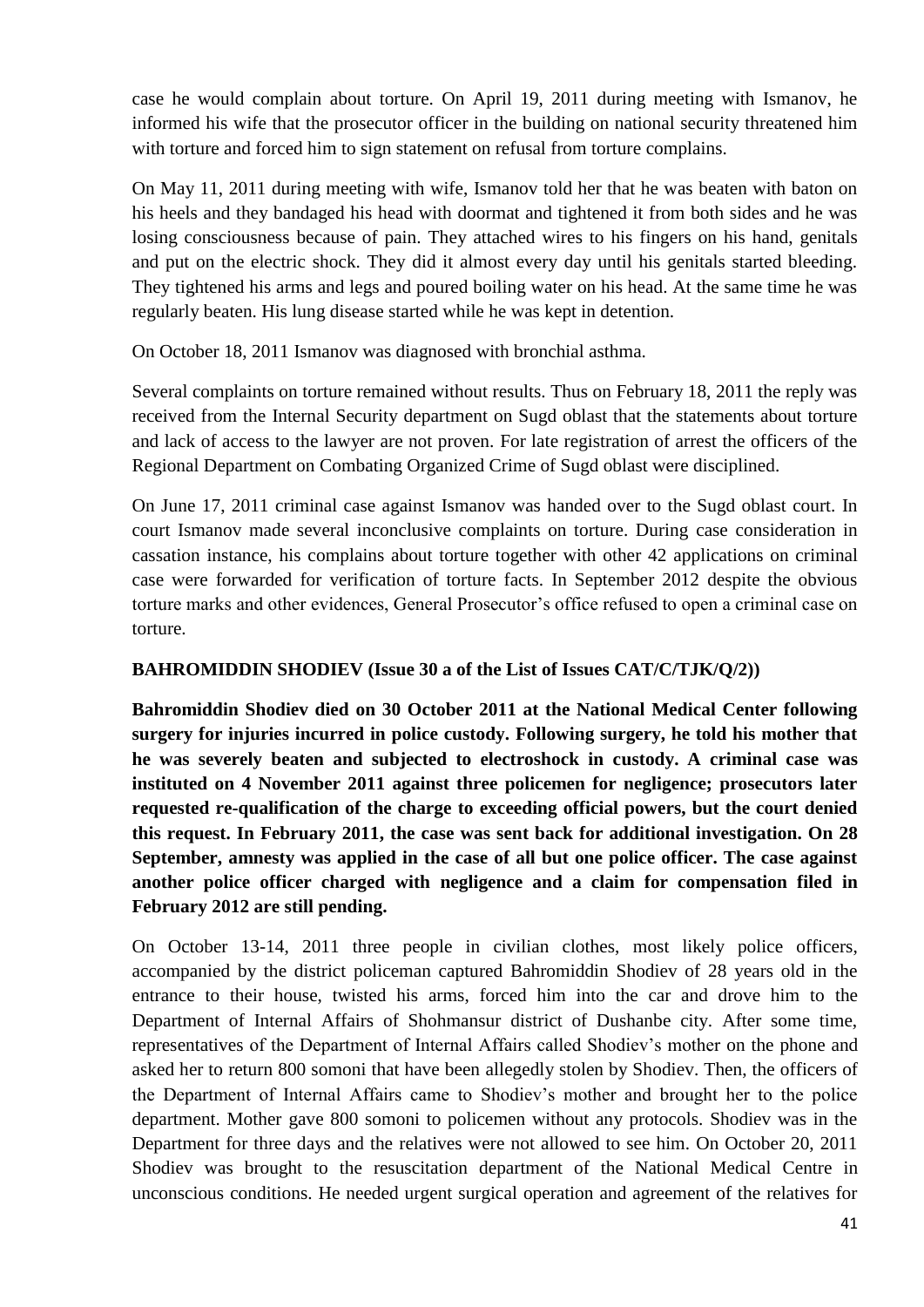case he would complain about torture. On April 19, 2011 during meeting with Ismanov, he informed his wife that the prosecutor officer in the building on national security threatened him with torture and forced him to sign statement on refusal from torture complains.

On May 11, 2011 during meeting with wife, Ismanov told her that he was beaten with baton on his heels and they bandaged his head with doormat and tightened it from both sides and he was losing consciousness because of pain. They attached wires to his fingers on his hand, genitals and put on the electric shock. They did it almost every day until his genitals started bleeding. They tightened his arms and legs and poured boiling water on his head. At the same time he was regularly beaten. His lung disease started while he was kept in detention.

On October 18, 2011 Ismanov was diagnosed with bronchial asthma.

Several complaints on torture remained without results. Thus on February 18, 2011 the reply was received from the Internal Security department on Sugd oblast that the statements about torture and lack of access to the lawyer are not proven. For late registration of arrest the officers of the Regional Department on Combating Organized Crime of Sugd oblast were disciplined.

On June 17, 2011 criminal case against Ismanov was handed over to the Sugd oblast court. In court Ismanov made several inconclusive complaints on torture. During case consideration in cassation instance, his complains about torture together with other 42 applications on criminal case were forwarded for verification of torture facts. In September 2012 despite the obvious torture marks and other evidences, General Prosecutor's office refused to open a criminal case on torture.

#### **BAHROMIDDIN SHODIEV (Issue 30 a of the List of Issues CAT/C/TJK/Q/2))**

**Bahromiddin Shodiev died on 30 October 2011 at the National Medical Center following surgery for injuries incurred in police custody. Following surgery, he told his mother that he was severely beaten and subjected to electroshock in custody. A criminal case was instituted on 4 November 2011 against three policemen for negligence; prosecutors later requested re-qualification of the charge to exceeding official powers, but the court denied this request. In February 2011, the case was sent back for additional investigation. On 28 September, amnesty was applied in the case of all but one police officer. The case against another police officer charged with negligence and a claim for compensation filed in February 2012 are still pending.**

On October 13-14, 2011 three people in civilian clothes, most likely police officers, accompanied by the district policeman captured Bahromiddin Shodiev of 28 years old in the entrance to their house, twisted his arms, forced him into the car and drove him to the Department of Internal Affairs of Shohmansur district of Dushanbe city. After some time, representatives of the Department of Internal Affairs called Shodiev's mother on the phone and asked her to return 800 somoni that have been allegedly stolen by Shodiev. Then, the officers of the Department of Internal Affairs came to Shodiev's mother and brought her to the police department. Mother gave 800 somoni to policemen without any protocols. Shodiev was in the Department for three days and the relatives were not allowed to see him. On October 20, 2011 Shodiev was brought to the resuscitation department of the National Medical Centre in unconscious conditions. He needed urgent surgical operation and agreement of the relatives for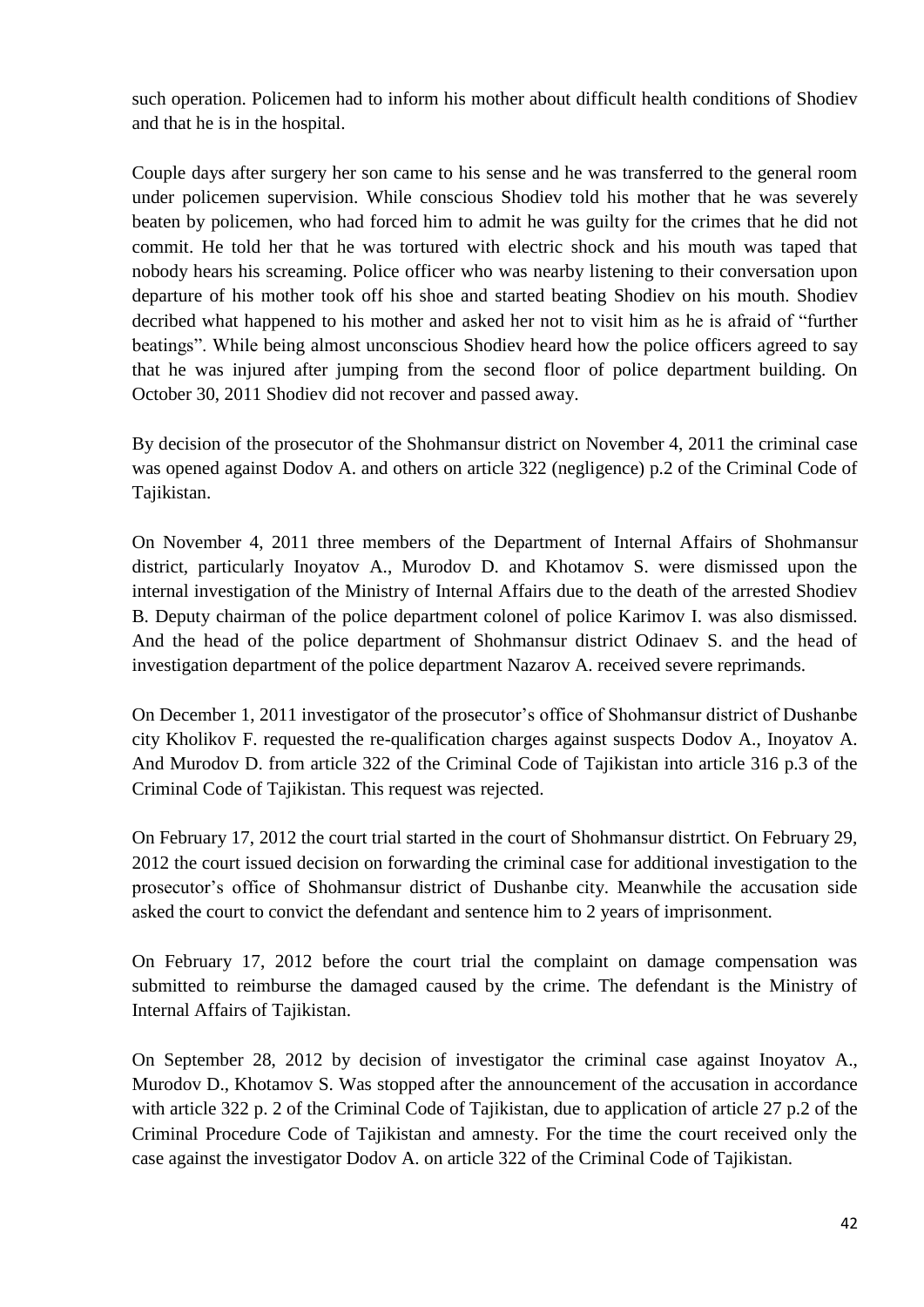such operation. Policemen had to inform his mother about difficult health conditions of Shodiev and that he is in the hospital.

Couple days after surgery her son came to his sense and he was transferred to the general room under policemen supervision. While conscious Shodiev told his mother that he was severely beaten by policemen, who had forced him to admit he was guilty for the crimes that he did not commit. He told her that he was tortured with electric shock and his mouth was taped that nobody hears his screaming. Police officer who was nearby listening to their conversation upon departure of his mother took off his shoe and started beating Shodiev on his mouth. Shodiev decribed what happened to his mother and asked her not to visit him as he is afraid of "further beatings". While being almost unconscious Shodiev heard how the police officers agreed to say that he was injured after jumping from the second floor of police department building. On October 30, 2011 Shodiev did not recover and passed away.

By decision of the prosecutor of the Shohmansur district on November 4, 2011 the criminal case was opened against Dodov A. and others on article 322 (negligence) p.2 of the Criminal Code of Tajikistan.

On November 4, 2011 three members of the Department of Internal Affairs of Shohmansur district, particularly Inoyatov A., Murodov D. and Khotamov S. were dismissed upon the internal investigation of the Ministry of Internal Affairs due to the death of the arrested Shodiev B. Deputy chairman of the police department colonel of police Karimov I. was also dismissed. And the head of the police department of Shohmansur district Odinaev S. and the head of investigation department of the police department Nazarov A. received severe reprimands.

On December 1, 2011 investigator of the prosecutor's office of Shohmansur district of Dushanbe city Kholikov F. requested the re-qualification charges against suspects Dodov A., Inoyatov A. And Murodov D. from article 322 of the Criminal Code of Tajikistan into article 316 p.3 of the Criminal Code of Tajikistan. This request was rejected.

On February 17, 2012 the court trial started in the court of Shohmansur distrtict. On February 29, 2012 the court issued decision on forwarding the criminal case for additional investigation to the prosecutor's office of Shohmansur district of Dushanbe city. Meanwhile the accusation side asked the court to convict the defendant and sentence him to 2 years of imprisonment.

On February 17, 2012 before the court trial the complaint on damage compensation was submitted to reimburse the damaged caused by the crime. The defendant is the Ministry of Internal Affairs of Tajikistan.

On September 28, 2012 by decision of investigator the criminal case against Inoyatov A., Murodov D., Khotamov S. Was stopped after the announcement of the accusation in accordance with article 322 p. 2 of the Criminal Code of Tajikistan, due to application of article 27 p.2 of the Criminal Procedure Code of Tajikistan and amnesty. For the time the court received only the case against the investigator Dodov A. on article 322 of the Criminal Code of Tajikistan.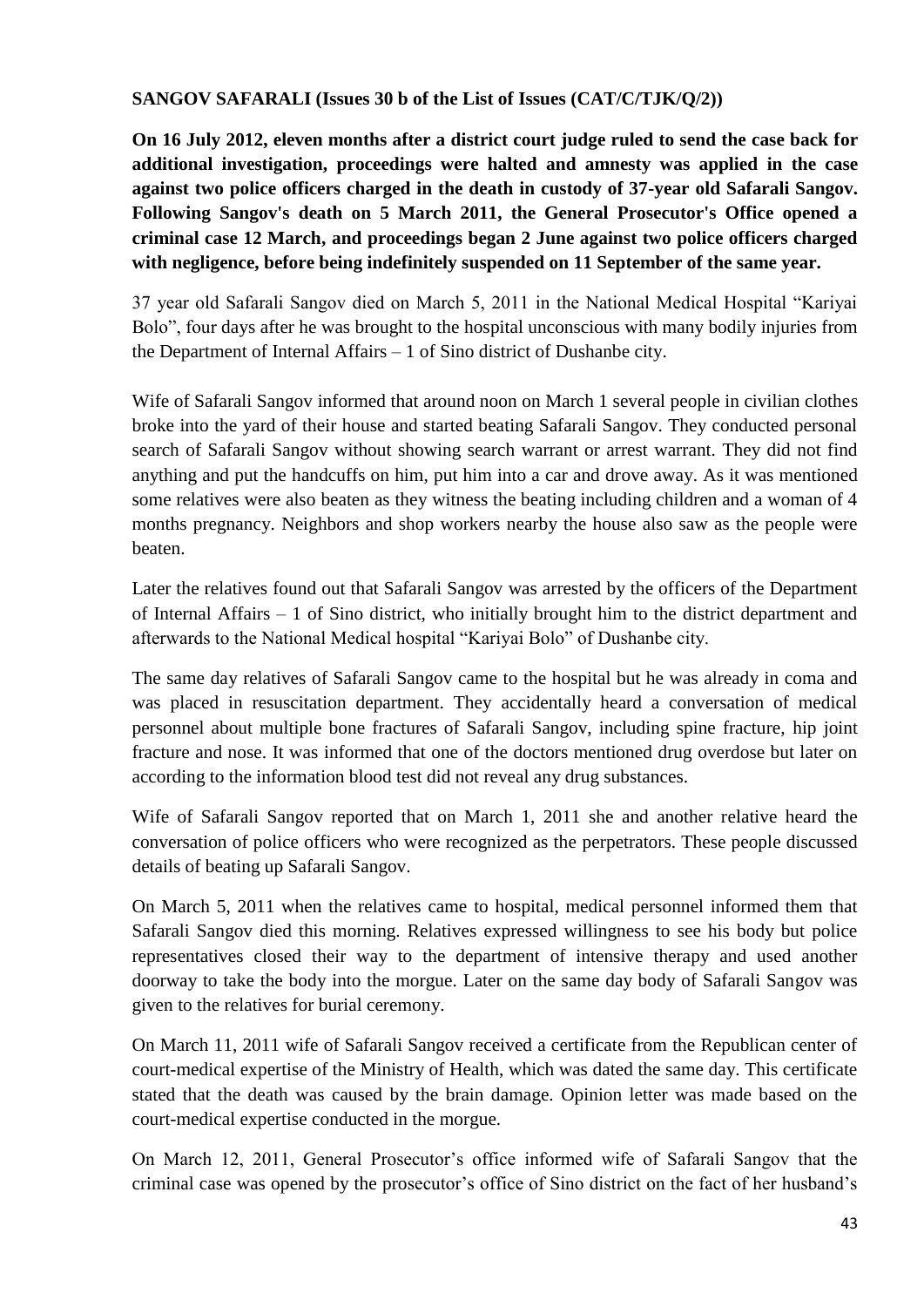**SANGOV SAFARALI (Issues 30 b of the List of Issues (CAT/C/TJK/Q/2))**

**On 16 July 2012, eleven months after a district court judge ruled to send the case back for additional investigation, proceedings were halted and amnesty was applied in the case against two police officers charged in the death in custody of 37-year old Safarali Sangov. Following Sangov's death on 5 March 2011, the General Prosecutor's Office opened a criminal case 12 March, and proceedings began 2 June against two police officers charged with negligence, before being indefinitely suspended on 11 September of the same year.**

37 year old Safarali Sangov died on March 5, 2011 in the National Medical Hospital "Kariyai Bolo", four days after he was brought to the hospital unconscious with many bodily injuries from the Department of Internal Affairs – 1 of Sino district of Dushanbe city.

Wife of Safarali Sangov informed that around noon on March 1 several people in civilian clothes broke into the yard of their house and started beating Safarali Sangov. They conducted personal search of Safarali Sangov without showing search warrant or arrest warrant. They did not find anything and put the handcuffs on him, put him into a car and drove away. As it was mentioned some relatives were also beaten as they witness the beating including children and a woman of 4 months pregnancy. Neighbors and shop workers nearby the house also saw as the people were beaten.

Later the relatives found out that Safarali Sangov was arrested by the officers of the Department of Internal Affairs – 1 of Sino district, who initially brought him to the district department and afterwards to the National Medical hospital "Kariyai Bolo" of Dushanbe city.

The same day relatives of Safarali Sangov came to the hospital but he was already in coma and was placed in resuscitation department. They accidentally heard a conversation of medical personnel about multiple bone fractures of Safarali Sangov, including spine fracture, hip joint fracture and nose. It was informed that one of the doctors mentioned drug overdose but later on according to the information blood test did not reveal any drug substances.

Wife of Safarali Sangov reported that on March 1, 2011 she and another relative heard the conversation of police officers who were recognized as the perpetrators. These people discussed details of beating up Safarali Sangov.

On March 5, 2011 when the relatives came to hospital, medical personnel informed them that Safarali Sangov died this morning. Relatives expressed willingness to see his body but police representatives closed their way to the department of intensive therapy and used another doorway to take the body into the morgue. Later on the same day body of Safarali Sangov was given to the relatives for burial ceremony.

On March 11, 2011 wife of Safarali Sangov received a certificate from the Republican center of court-medical expertise of the Ministry of Health, which was dated the same day. This certificate stated that the death was caused by the brain damage. Opinion letter was made based on the court-medical expertise conducted in the morgue.

On March 12, 2011, General Prosecutor's office informed wife of Safarali Sangov that the criminal case was opened by the prosecutor's office of Sino district on the fact of her husband's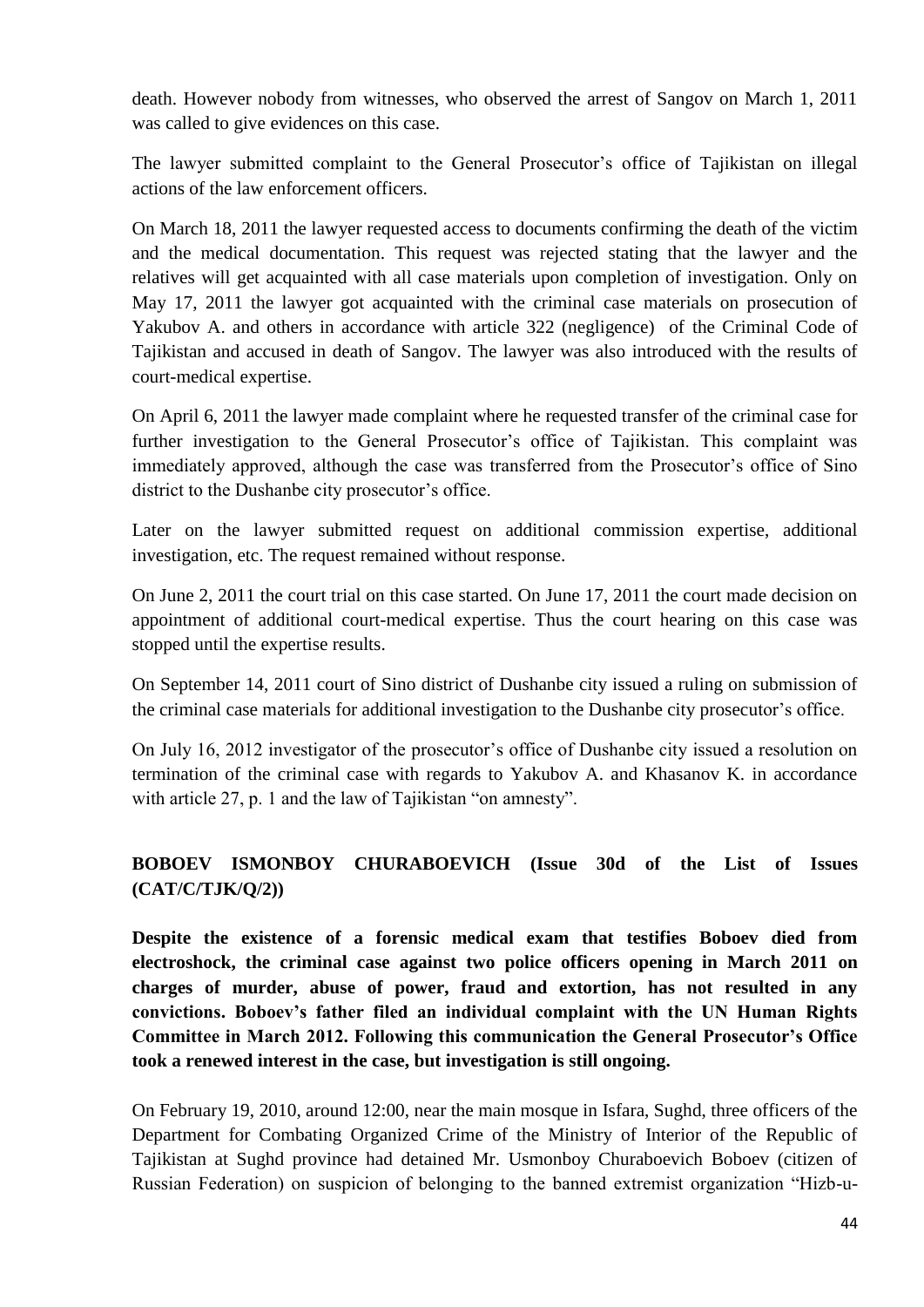death. However nobody from witnesses, who observed the arrest of Sangov on March 1, 2011 was called to give evidences on this case.

The lawyer submitted complaint to the General Prosecutor's office of Tajikistan on illegal actions of the law enforcement officers.

On March 18, 2011 the lawyer requested access to documents confirming the death of the victim and the medical documentation. This request was rejected stating that the lawyer and the relatives will get acquainted with all case materials upon completion of investigation. Only on May 17, 2011 the lawyer got acquainted with the criminal case materials on prosecution of Yakubov A. and others in accordance with article 322 (negligence) of the Criminal Code of Tajikistan and accused in death of Sangov. The lawyer was also introduced with the results of court-medical expertise.

On April 6, 2011 the lawyer made complaint where he requested transfer of the criminal case for further investigation to the General Prosecutor's office of Tajikistan. This complaint was immediately approved, although the case was transferred from the Prosecutor's office of Sino district to the Dushanbe city prosecutor's office.

Later on the lawyer submitted request on additional commission expertise, additional investigation, etc. The request remained without response.

On June 2, 2011 the court trial on this case started. On June 17, 2011 the court made decision on appointment of additional court-medical expertise. Thus the court hearing on this case was stopped until the expertise results.

On September 14, 2011 court of Sino district of Dushanbe city issued a ruling on submission of the criminal case materials for additional investigation to the Dushanbe city prosecutor's office.

On July 16, 2012 investigator of the prosecutor's office of Dushanbe city issued a resolution on termination of the criminal case with regards to Yakubov A. and Khasanov K. in accordance with article 27, p. 1 and the law of Tajikistan "on amnesty".

# **BOBOEV ISMONBOY CHURABOEVICH (Issue 30d of the List of Issues (CAT/C/TJK/Q/2))**

**Despite the existence of a forensic medical exam that testifies Boboev died from electroshock, the criminal case against two police officers opening in March 2011 on charges of murder, abuse of power, fraud and extortion, has not resulted in any convictions. Boboev's father filed an individual complaint with the UN Human Rights Committee in March 2012. Following this communication the General Prosecutor's Office took a renewed interest in the case, but investigation is still ongoing.**

On February 19, 2010, around 12:00, near the main mosque in Isfara, Sughd, three officers of the Department for Combating Organized Crime of the Ministry of Interior of the Republic of Tajikistan at Sughd province had detained Mr. Usmonboy Churaboevich Boboev (citizen of Russian Federation) on suspicion of belonging to the banned extremist organization "Hizb-u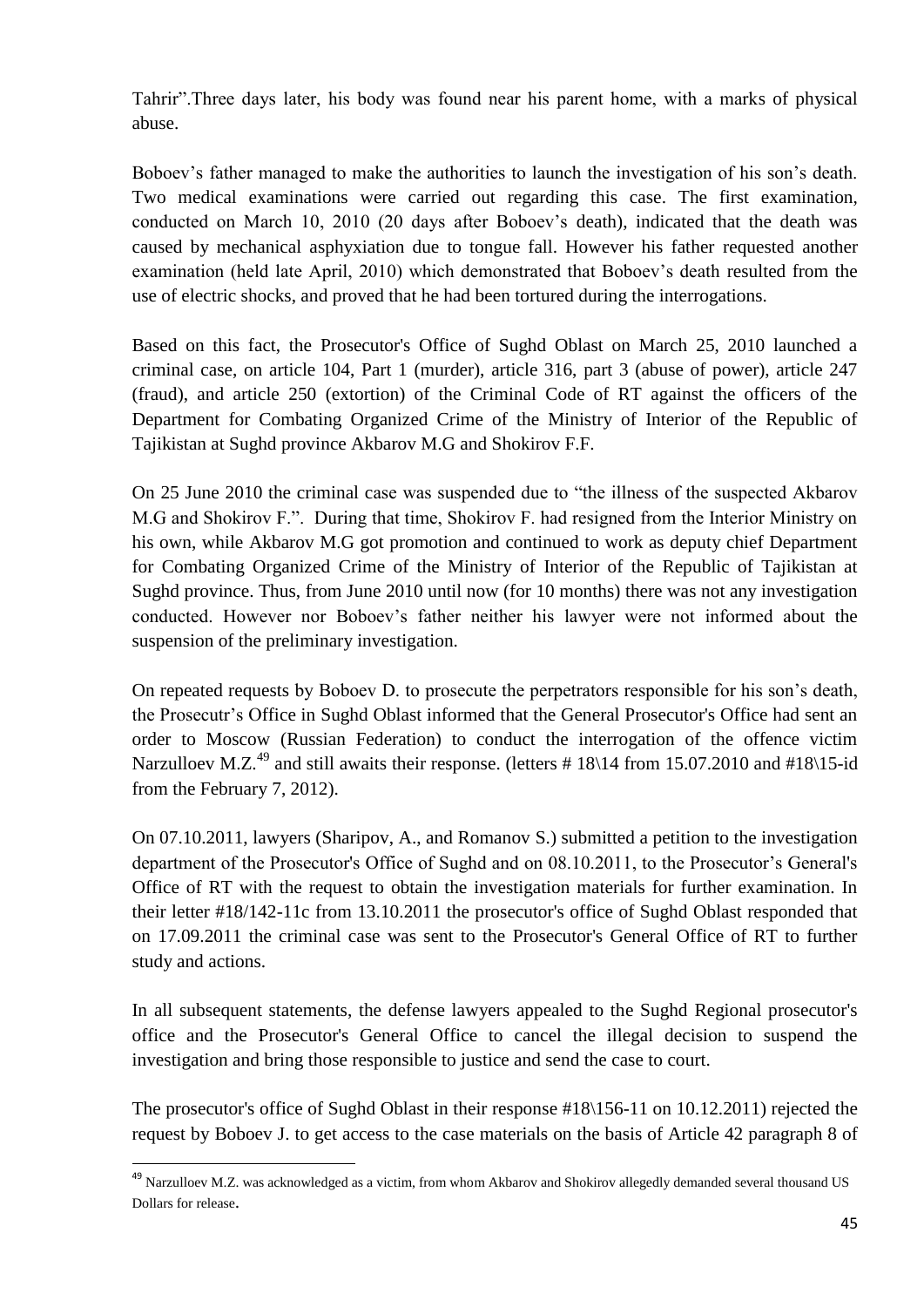Tahrir".Three days later, his body was found near his parent home, with a marks of physical abuse.

Boboev's father managed to make the authorities to launch the investigation of his son's death. Two medical examinations were carried out regarding this case. The first examination, conducted on March 10, 2010 (20 days after Boboev's death), indicated that the death was caused by mechanical asphyxiation due to tongue fall. However his father requested another examination (held late April, 2010) which demonstrated that Boboev's death resulted from the use of electric shocks, and proved that he had been tortured during the interrogations.

Based on this fact, the Prosecutor's Office of Sughd Oblast on March 25, 2010 launched a criminal case, on article 104, Part 1 (murder), article 316, part 3 (abuse of power), article 247 (fraud), and article 250 (extortion) of the Criminal Code of RT against the officers of the Department for Combating Organized Crime of the Ministry of Interior of the Republic of Tajikistan at Sughd province Akbarov M.G and Shokirov F.F.

On 25 June 2010 the criminal case was suspended due to "the illness of the suspected Akbarov M.G and Shokirov F.". During that time, Shokirov F. had resigned from the Interior Ministry on his own, while Akbarov M.G got promotion and continued to work as deputy chief Department for Combating Organized Crime of the Ministry of Interior of the Republic of Tajikistan at Sughd province. Thus, from June 2010 until now (for 10 months) there was not any investigation conducted. However nor Boboev's father neither his lawyer were not informed about the suspension of the preliminary investigation.

On repeated requests by Boboev D. to prosecute the perpetrators responsible for his son's death, the Prosecutr's Office in Sughd Oblast informed that the General Prosecutor's Office had sent an order to Moscow (Russian Federation) to conduct the interrogation of the offence victim Narzulloev M.Z.<sup>49</sup> and still awaits their response. (letters # 18\14 from 15.07.2010 and #18\15-id from the February 7, 2012).

On 07.10.2011, lawyers (Sharipov, A., and Romanov S.) submitted a petition to the investigation department of the Prosecutor's Office of Sughd and on 08.10.2011, to the Prosecutor's General's Office of RT with the request to obtain the investigation materials for further examination. In their letter #18/142-11c from 13.10.2011 the prosecutor's office of Sughd Oblast responded that on 17.09.2011 the criminal case was sent to the Prosecutor's General Office of RT to further study and actions.

In all subsequent statements, the defense lawyers appealed to the Sughd Regional prosecutor's office and the Prosecutor's General Office to cancel the illegal decision to suspend the investigation and bring those responsible to justice and send the case to court.

The prosecutor's office of Sughd Oblast in their response #18\156-11 on 10.12.2011) rejected the request by Boboev J. to get access to the case materials on the basis of Article 42 paragraph 8 of

<sup>&</sup>lt;sup>49</sup> Narzulloev M.Z. was acknowledged as a victim, from whom Akbarov and Shokirov allegedly demanded several thousand US Dollars for release.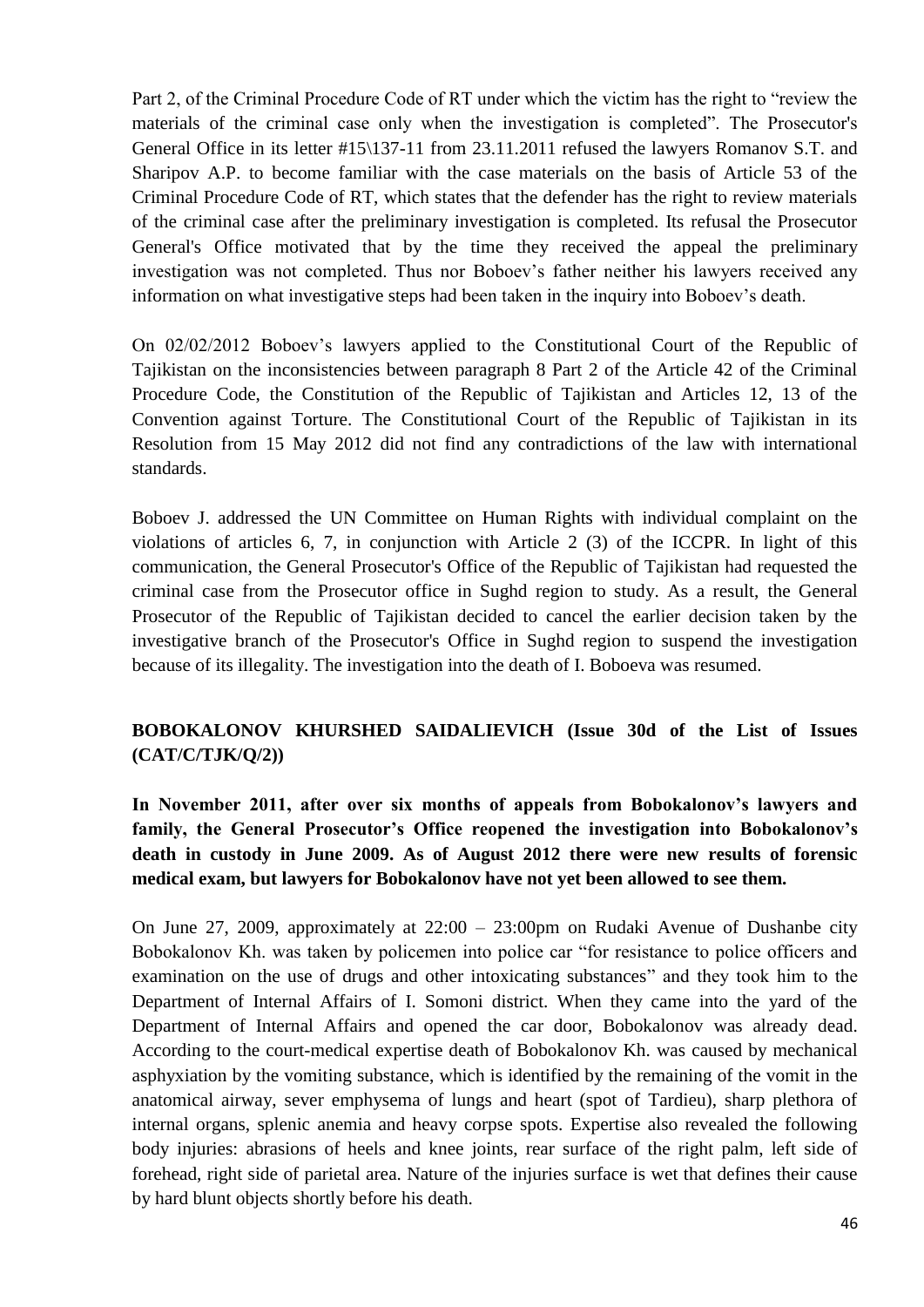Part 2, of the Criminal Procedure Code of RT under which the victim has the right to "review the materials of the criminal case only when the investigation is completed". The Prosecutor's General Office in its letter #15\137-11 from 23.11.2011 refused the lawyers Romanov S.T. and Sharipov A.P. to become familiar with the case materials on the basis of Article 53 of the Criminal Procedure Code of RT, which states that the defender has the right to review materials of the criminal case after the preliminary investigation is completed. Its refusal the Prosecutor General's Office motivated that by the time they received the appeal the preliminary investigation was not completed. Thus nor Boboev's father neither his lawyers received any information on what investigative steps had been taken in the inquiry into Boboev's death.

On 02/02/2012 Boboev's lawyers applied to the Constitutional Court of the Republic of Tajikistan on the inconsistencies between paragraph 8 Part 2 of the Article 42 of the Criminal Procedure Code, the Constitution of the Republic of Tajikistan and Articles 12, 13 of the Convention against Torture. The Constitutional Court of the Republic of Tajikistan in its Resolution from 15 May 2012 did not find any contradictions of the law with international standards.

Boboev J. addressed the UN Committee on Human Rights with individual complaint on the violations of articles 6, 7, in conjunction with Article 2 (3) of the ICCPR. In light of this communication, the General Prosecutor's Office of the Republic of Tajikistan had requested the criminal case from the Prosecutor office in Sughd region to study. As a result, the General Prosecutor of the Republic of Tajikistan decided to cancel the earlier decision taken by the investigative branch of the Prosecutor's Office in Sughd region to suspend the investigation because of its illegality. The investigation into the death of I. Boboeva was resumed.

# **BOBOKALONOV KHURSHED SAIDALIEVICH (Issue 30d of the List of Issues (CAT/C/TJK/Q/2))**

**In November 2011, after over six months of appeals from Bobokalonov's lawyers and family, the General Prosecutor's Office reopened the investigation into Bobokalonov's death in custody in June 2009. As of August 2012 there were new results of forensic medical exam, but lawyers for Bobokalonov have not yet been allowed to see them.** 

On June 27, 2009, approximately at  $22:00 - 23:00$  pm on Rudaki Avenue of Dushanbe city Bobokalonov Kh. was taken by policemen into police car "for resistance to police officers and examination on the use of drugs and other intoxicating substances" and they took him to the Department of Internal Affairs of I. Somoni district. When they came into the yard of the Department of Internal Affairs and opened the car door, Bobokalonov was already dead. According to the court-medical expertise death of Bobokalonov Kh. was caused by mechanical asphyxiation by the vomiting substance, which is identified by the remaining of the vomit in the anatomical airway, sever emphysema of lungs and heart (spot of Tardieu), sharp plethora of internal organs, splenic anemia and heavy corpse spots. Expertise also revealed the following body injuries: abrasions of heels and knee joints, rear surface of the right palm, left side of forehead, right side of parietal area. Nature of the injuries surface is wet that defines their cause by hard blunt objects shortly before his death.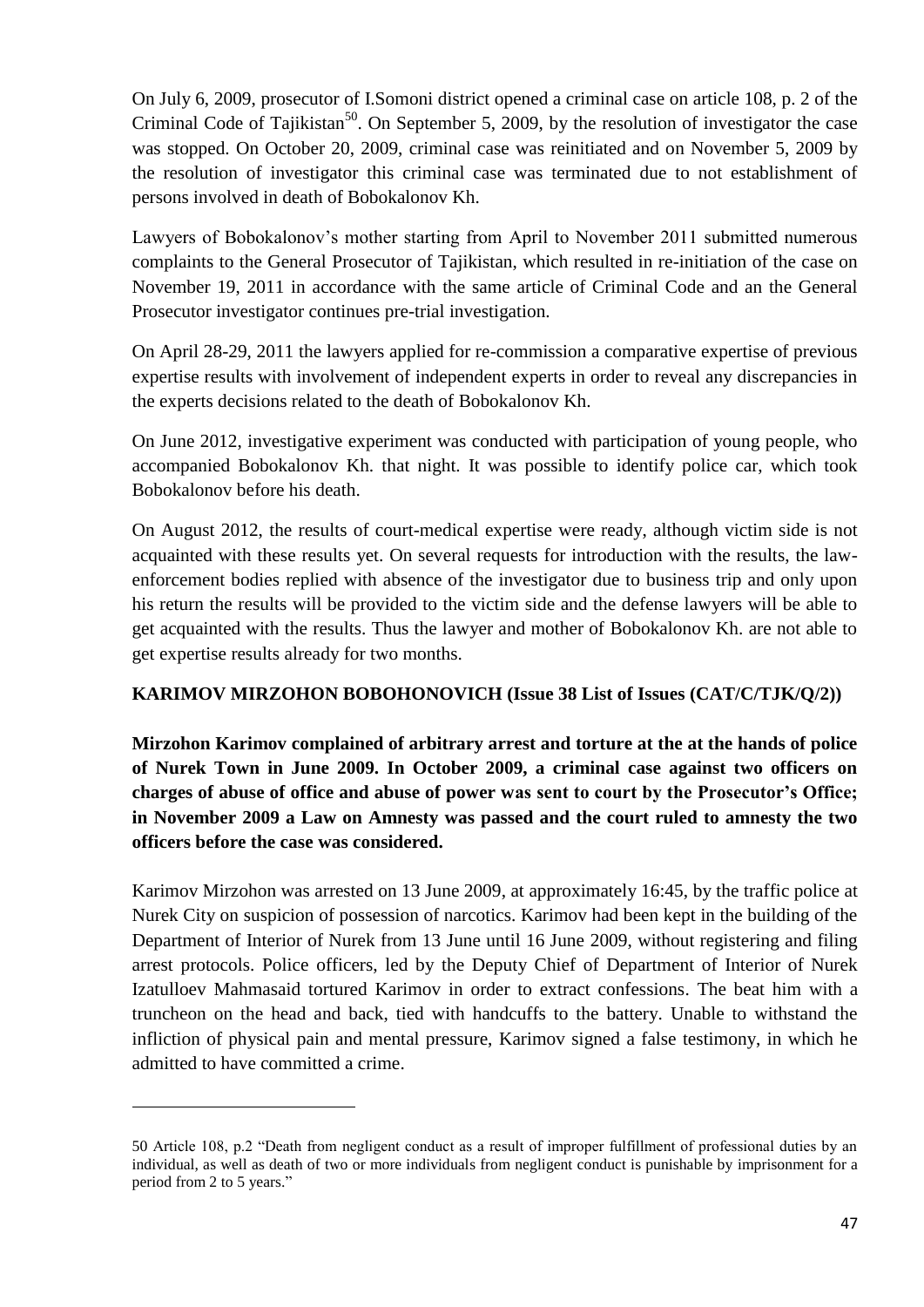On July 6, 2009, prosecutor of I.Somoni district opened a criminal case on article 108, p. 2 of the Criminal Code of Tajikistan<sup>50</sup>. On September 5, 2009, by the resolution of investigator the case was stopped. On October 20, 2009, criminal case was reinitiated and on November 5, 2009 by the resolution of investigator this criminal case was terminated due to not establishment of persons involved in death of Bobokalonov Kh.

Lawyers of Bobokalonov's mother starting from April to November 2011 submitted numerous complaints to the General Prosecutor of Tajikistan, which resulted in re-initiation of the case on November 19, 2011 in accordance with the same article of Criminal Code and an the General Prosecutor investigator continues pre-trial investigation.

On April 28-29, 2011 the lawyers applied for re-commission a comparative expertise of previous expertise results with involvement of independent experts in order to reveal any discrepancies in the experts decisions related to the death of Bobokalonov Kh.

On June 2012, investigative experiment was conducted with participation of young people, who accompanied Bobokalonov Kh. that night. It was possible to identify police car, which took Bobokalonov before his death.

On August 2012, the results of court-medical expertise were ready, although victim side is not acquainted with these results yet. On several requests for introduction with the results, the lawenforcement bodies replied with absence of the investigator due to business trip and only upon his return the results will be provided to the victim side and the defense lawyers will be able to get acquainted with the results. Thus the lawyer and mother of Bobokalonov Kh. are not able to get expertise results already for two months.

### **KARIMOV MIRZOHON BOBOHONOVICH (Issue 38 List of Issues (CAT/C/TJK/Q/2))**

**Mirzohon Karimov complained of arbitrary arrest and torture at the at the hands of police of Nurek Town in June 2009. In October 2009, a criminal case against two officers on charges of abuse of office and abuse of power was sent to court by the Prosecutor's Office; in November 2009 a Law on Amnesty was passed and the court ruled to amnesty the two officers before the case was considered.** 

Karimov Mirzohon was arrested on 13 June 2009, at approximately 16:45, by the traffic police at Nurek City on suspicion of possession of narcotics. Karimov had been kept in the building of the Department of Interior of Nurek from 13 June until 16 June 2009, without registering and filing arrest protocols. Police officers, led by the Deputy Chief of Department of Interior of Nurek Izatulloev Mahmasaid tortured Karimov in order to extract confessions. The beat him with a truncheon on the head and back, tied with handcuffs to the battery. Unable to withstand the infliction of physical pain and mental pressure, Karimov signed a false testimony, in which he admitted to have committed a crime.

1

<sup>50</sup> Article 108, p.2 "Death from negligent conduct as a result of improper fulfillment of professional duties by an individual, as well as death of two or more individuals from negligent conduct is punishable by imprisonment for a period from 2 to 5 years."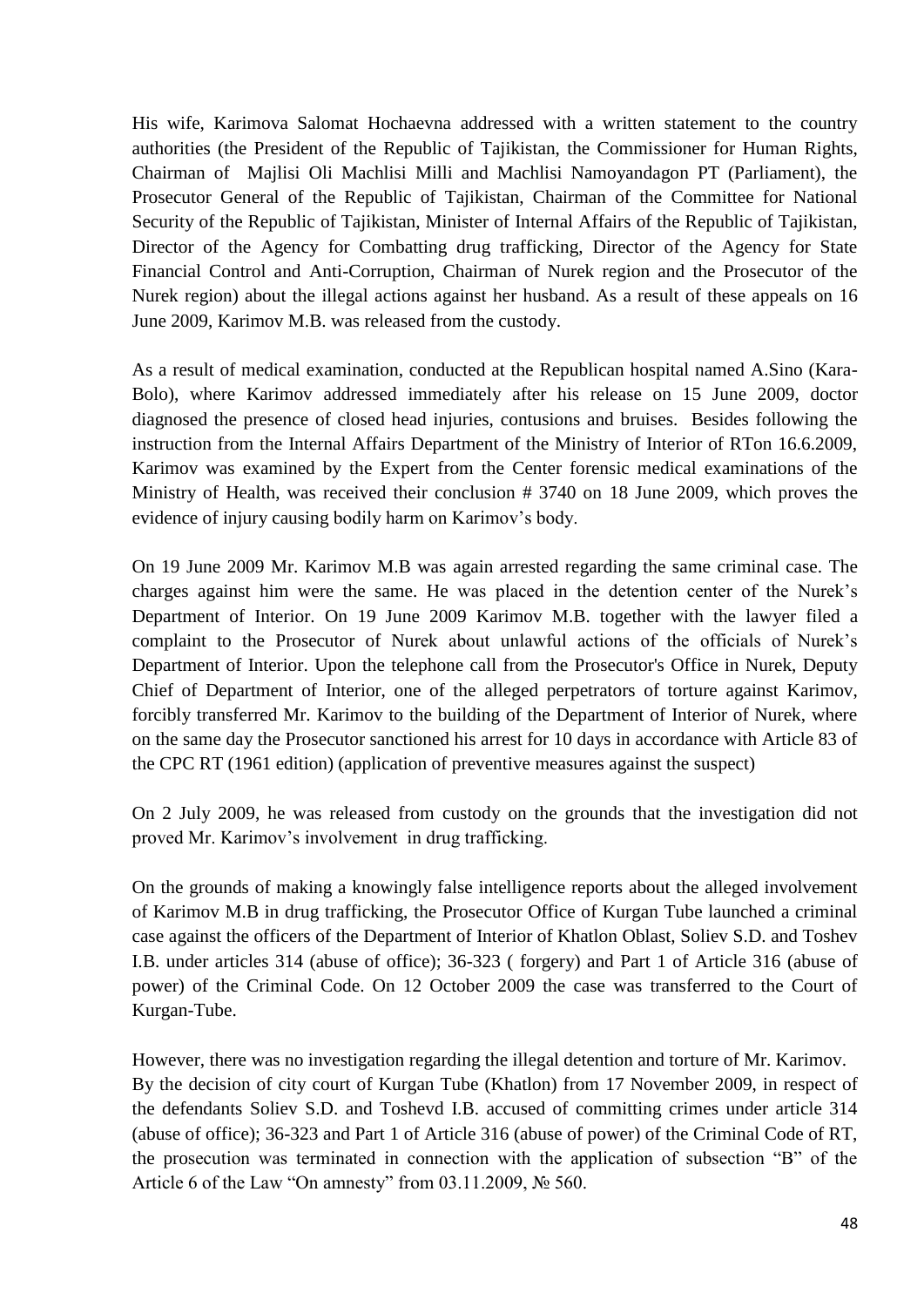His wife, Karimova Salomat Hochaevna addressed with a written statement to the country authorities (the President of the Republic of Tajikistan, the Commissioner for Human Rights, Chairman of Majlisi Oli Machlisi Milli and Machlisi Namoyandagon PT (Parliament), the Prosecutor General of the Republic of Tajikistan, Chairman of the Committee for National Security of the Republic of Tajikistan, Minister of Internal Affairs of the Republic of Tajikistan, Director of the Agency for Combatting drug trafficking, Director of the Agency for State Financial Control and Anti-Corruption, Chairman of Nurek region and the Prosecutor of the Nurek region) about the illegal actions against her husband. As a result of these appeals on 16 June 2009, Karimov M.B. was released from the custody.

As a result of medical examination, conducted at the Republican hospital named A.Sino (Kara-Bolo), where Karimov addressed immediately after his release on 15 June 2009, doctor diagnosed the presence of closed head injuries, contusions and bruises. Besides following the instruction from the Internal Affairs Department of the Ministry of Interior of RTon 16.6.2009, Karimov was examined by the Expert from the Center forensic medical examinations of the Ministry of Health, was received their conclusion # 3740 on 18 June 2009, which proves the evidence of injury causing bodily harm on Karimov's body.

On 19 June 2009 Mr. Karimov M.B was again arrested regarding the same criminal case. The charges against him were the same. He was placed in the detention center of the Nurek's Department of Interior. On 19 June 2009 Karimov M.B. together with the lawyer filed a complaint to the Prosecutor of Nurek about unlawful actions of the officials of Nurek's Department of Interior. Upon the telephone call from the Prosecutor's Office in Nurek, Deputy Chief of Department of Interior, one of the alleged perpetrators of torture against Karimov, forcibly transferred Mr. Karimov to the building of the Department of Interior of Nurek, where on the same day the Prosecutor sanctioned his arrest for 10 days in accordance with Article 83 of the CPC RT (1961 edition) (application of preventive measures against the suspect)

On 2 July 2009, he was released from custody on the grounds that the investigation did not proved Mr. Karimov's involvement in drug trafficking.

On the grounds of making a knowingly false intelligence reports about the alleged involvement of Karimov M.B in drug trafficking, the Prosecutor Office of Kurgan Tube launched a criminal case against the officers of the Department of Interior of Khatlon Oblast, Soliev S.D. and Toshev I.B. under articles 314 (abuse of office); 36-323 ( forgery) and Part 1 of Article 316 (abuse of power) of the Criminal Code. On 12 October 2009 the case was transferred to the Court of Kurgan-Tube.

However, there was no investigation regarding the illegal detention and torture of Mr. Karimov. By the decision of city court of Kurgan Tube (Khatlon) from 17 November 2009, in respect of the defendants Soliev S.D. and Toshevd I.B. accused of committing crimes under article 314 (abuse of office); 36-323 and Part 1 of Article 316 (abuse of power) of the Criminal Code of RT, the prosecution was terminated in connection with the application of subsection "B" of the Article 6 of the Law "On amnesty" from 03.11.2009, № 560.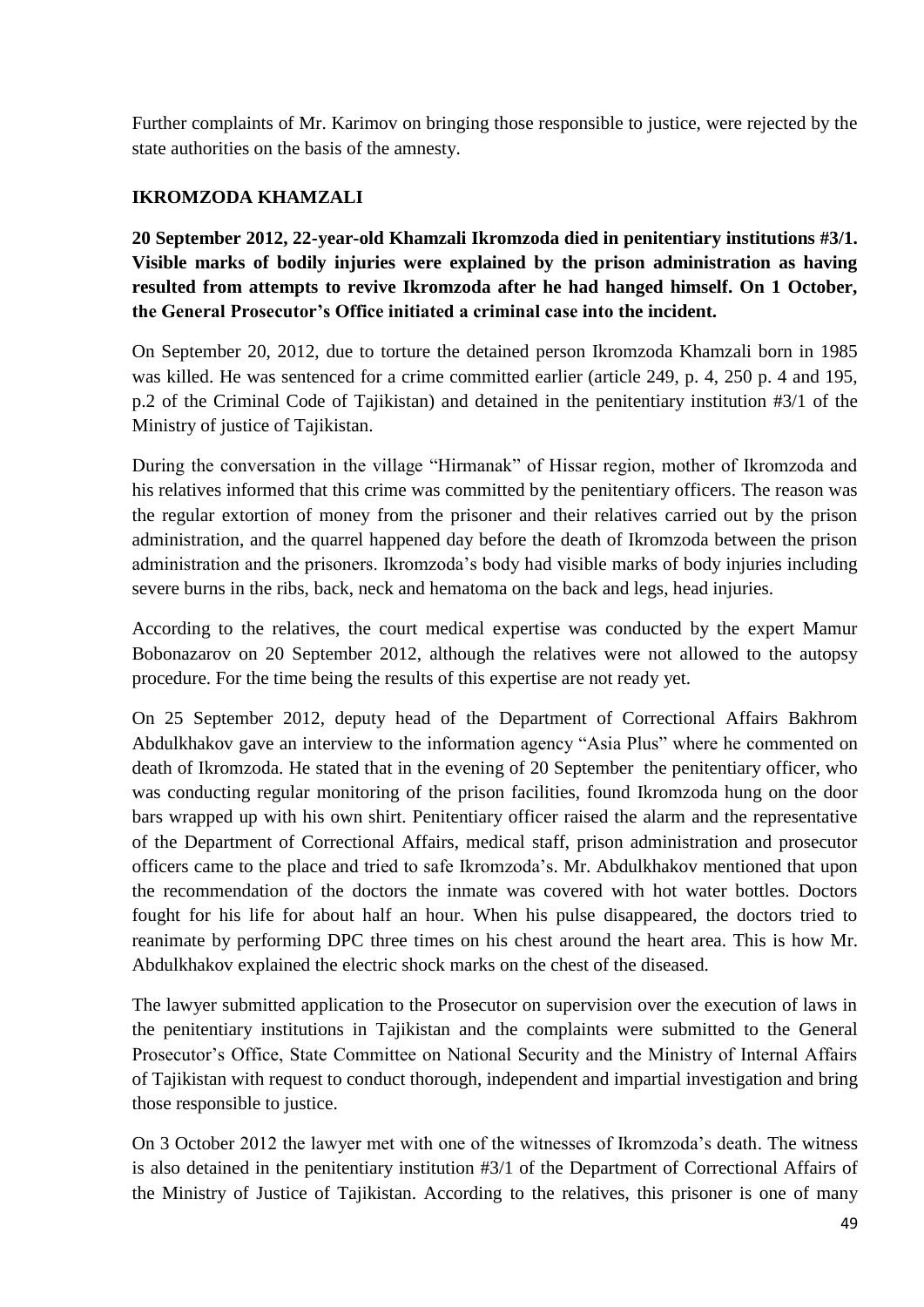Further complaints of Mr. Karimov on bringing those responsible to justice, were rejected by the state authorities on the basis of the amnesty.

# **IKROMZODA KHAMZALI**

**20 September 2012, 22-year-old Khamzali Ikromzoda died in penitentiary institutions #3/1. Visible marks of bodily injuries were explained by the prison administration as having resulted from attempts to revive Ikromzoda after he had hanged himself. On 1 October, the General Prosecutor's Office initiated a criminal case into the incident.** 

On September 20, 2012, due to torture the detained person Ikromzoda Khamzali born in 1985 was killed. He was sentenced for a crime committed earlier (article 249, p. 4, 250 p. 4 and 195, p.2 of the Criminal Code of Tajikistan) and detained in the penitentiary institution #3/1 of the Ministry of justice of Tajikistan.

During the conversation in the village "Hirmanak" of Hissar region, mother of Ikromzoda and his relatives informed that this crime was committed by the penitentiary officers. The reason was the regular extortion of money from the prisoner and their relatives carried out by the prison administration, and the quarrel happened day before the death of Ikromzoda between the prison administration and the prisoners. Ikromzoda's body had visible marks of body injuries including severe burns in the ribs, back, neck and hematoma on the back and legs, head injuries.

According to the relatives, the court medical expertise was conducted by the expert Mamur Bobonazarov on 20 September 2012, although the relatives were not allowed to the autopsy procedure. For the time being the results of this expertise are not ready yet.

On 25 September 2012, deputy head of the Department of Correctional Affairs Bakhrom Abdulkhakov gave an interview to the information agency "Asia Plus" where he commented on death of Ikromzoda. He stated that in the evening of 20 September the penitentiary officer, who was conducting regular monitoring of the prison facilities, found Ikromzoda hung on the door bars wrapped up with his own shirt. Penitentiary officer raised the alarm and the representative of the Department of Correctional Affairs, medical staff, prison administration and prosecutor officers came to the place and tried to safe Ikromzoda's. Mr. Abdulkhakov mentioned that upon the recommendation of the doctors the inmate was covered with hot water bottles. Doctors fought for his life for about half an hour. When his pulse disappeared, the doctors tried to reanimate by performing DPC three times on his chest around the heart area. This is how Mr. Abdulkhakov explained the electric shock marks on the chest of the diseased.

The lawyer submitted application to the Prosecutor on supervision over the execution of laws in the penitentiary institutions in Tajikistan and the complaints were submitted to the General Prosecutor's Office, State Committee on National Security and the Ministry of Internal Affairs of Tajikistan with request to conduct thorough, independent and impartial investigation and bring those responsible to justice.

On 3 October 2012 the lawyer met with one of the witnesses of Ikromzoda's death. The witness is also detained in the penitentiary institution #3/1 of the Department of Correctional Affairs of the Ministry of Justice of Tajikistan. According to the relatives, this prisoner is one of many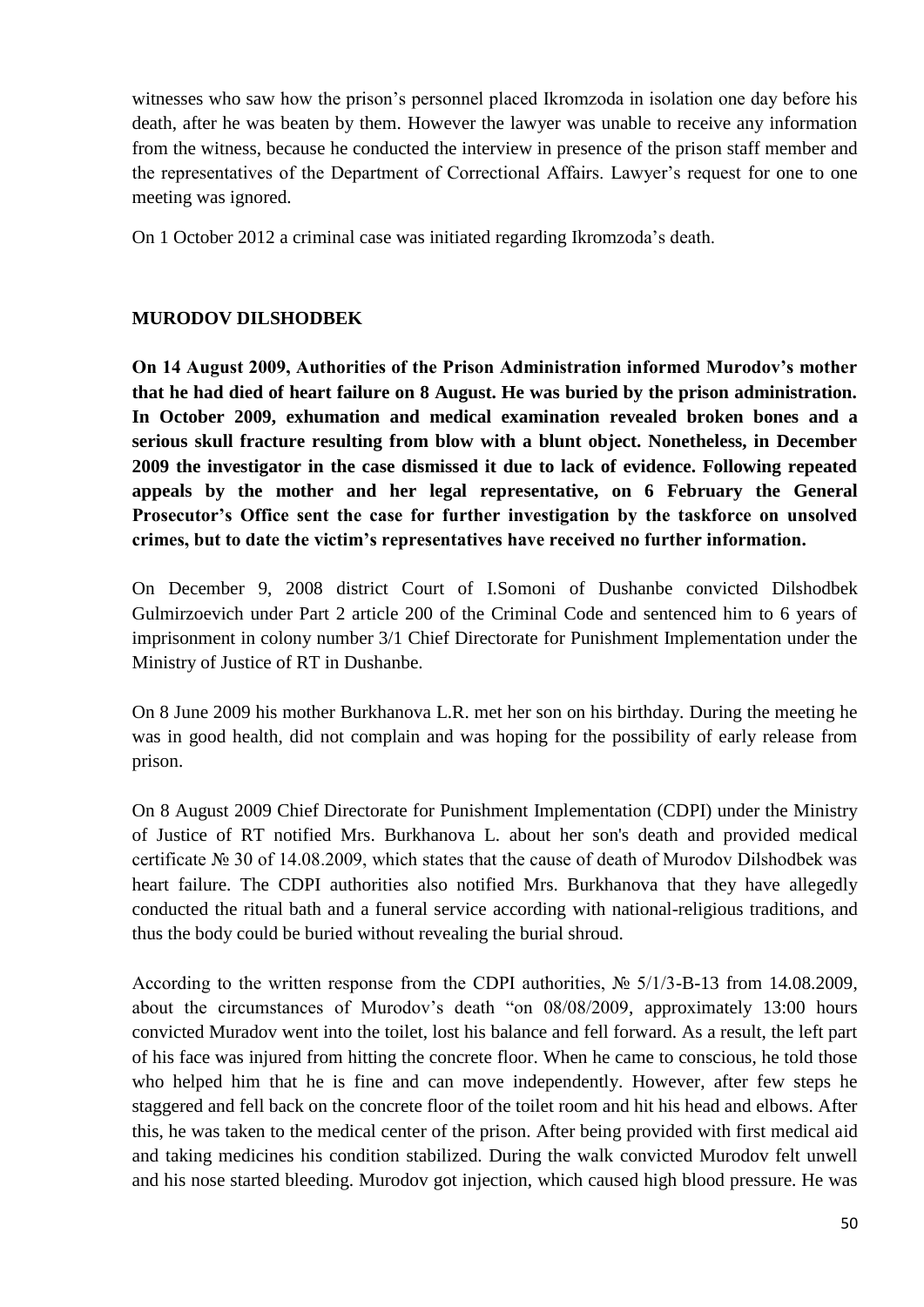witnesses who saw how the prison's personnel placed Ikromzoda in isolation one day before his death, after he was beaten by them. However the lawyer was unable to receive any information from the witness, because he conducted the interview in presence of the prison staff member and the representatives of the Department of Correctional Affairs. Lawyer's request for one to one meeting was ignored.

On 1 October 2012 a criminal case was initiated regarding Ikromzoda's death.

### **MURODOV DILSHODBEK**

**On 14 August 2009, Authorities of the Prison Administration informed Murodov's mother that he had died of heart failure on 8 August. He was buried by the prison administration. In October 2009, exhumation and medical examination revealed broken bones and a serious skull fracture resulting from blow with a blunt object. Nonetheless, in December 2009 the investigator in the case dismissed it due to lack of evidence. Following repeated appeals by the mother and her legal representative, on 6 February the General Prosecutor's Office sent the case for further investigation by the taskforce on unsolved crimes, but to date the victim's representatives have received no further information.**

On December 9, 2008 district Court of I.Somoni of Dushanbe convicted Dilshodbek Gulmirzoevich under Part 2 article 200 of the Criminal Code and sentenced him to 6 years of imprisonment in colony number 3/1 Chief Directorate for Punishment Implementation under the Ministry of Justice of RT in Dushanbe.

On 8 June 2009 his mother Burkhanova L.R. met her son on his birthday. During the meeting he was in good health, did not complain and was hoping for the possibility of early release from prison.

On 8 August 2009 Chief Directorate for Punishment Implementation (CDPI) under the Ministry of Justice of RT notified Mrs. Burkhanova L. about her son's death and provided medical certificate № 30 of 14.08.2009, which states that the cause of death of Murodov Dilshodbek was heart failure. The CDPI authorities also notified Mrs. Burkhanova that they have allegedly conducted the ritual bath and a funeral service according with national-religious traditions, and thus the body could be buried without revealing the burial shroud.

According to the written response from the CDPI authorities, № 5/1/3-B-13 from 14.08.2009, about the circumstances of Murodov's death "on 08/08/2009, approximately 13:00 hours convicted Muradov went into the toilet, lost his balance and fell forward. As a result, the left part of his face was injured from hitting the concrete floor. When he came to conscious, he told those who helped him that he is fine and can move independently. However, after few steps he staggered and fell back on the concrete floor of the toilet room and hit his head and elbows. After this, he was taken to the medical center of the prison. After being provided with first medical aid and taking medicines his condition stabilized. During the walk convicted Murodov felt unwell and his nose started bleeding. Murodov got injection, which caused high blood pressure. He was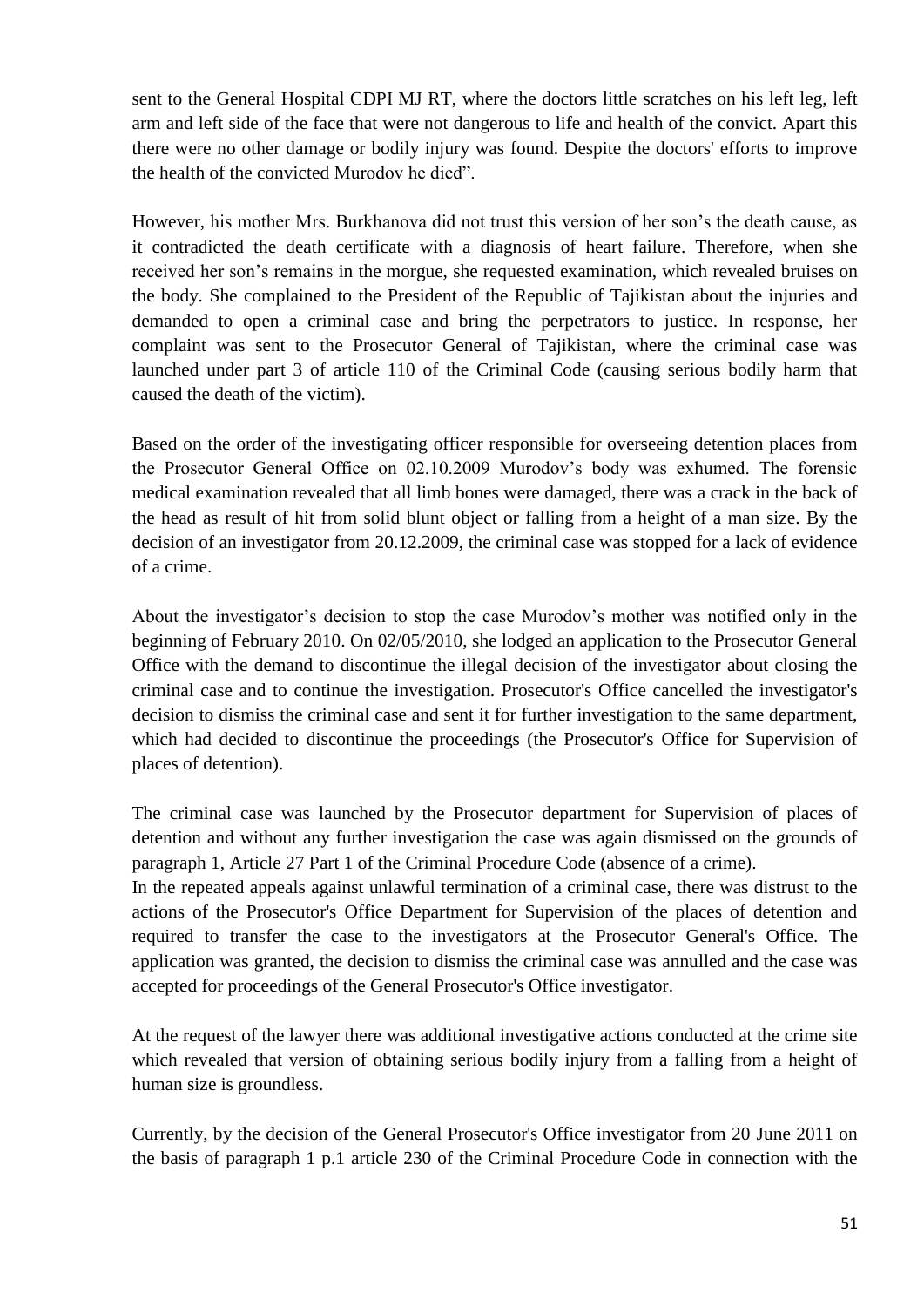sent to the General Hospital CDPI MJ RT, where the doctors little scratches on his left leg, left arm and left side of the face that were not dangerous to life and health of the convict. Apart this there were no other damage or bodily injury was found. Despite the doctors' efforts to improve the health of the convicted Murodov he died".

However, his mother Mrs. Burkhanova did not trust this version of her son's the death cause, as it contradicted the death certificate with a diagnosis of heart failure. Therefore, when she received her son's remains in the morgue, she requested examination, which revealed bruises on the body. She complained to the President of the Republic of Tajikistan about the injuries and demanded to open a criminal case and bring the perpetrators to justice. In response, her complaint was sent to the Prosecutor General of Tajikistan, where the criminal case was launched under part 3 of article 110 of the Criminal Code (causing serious bodily harm that caused the death of the victim).

Based on the order of the investigating officer responsible for overseeing detention places from the Prosecutor General Office on 02.10.2009 Murodov's body was exhumed. The forensic medical examination revealed that all limb bones were damaged, there was a crack in the back of the head as result of hit from solid blunt object or falling from a height of a man size. By the decision of an investigator from 20.12.2009, the criminal case was stopped for a lack of evidence of a crime.

About the investigator's decision to stop the case Murodov's mother was notified only in the beginning of February 2010. On 02/05/2010, she lodged an application to the Prosecutor General Office with the demand to discontinue the illegal decision of the investigator about closing the criminal case and to continue the investigation. Prosecutor's Office cancelled the investigator's decision to dismiss the criminal case and sent it for further investigation to the same department, which had decided to discontinue the proceedings (the Prosecutor's Office for Supervision of places of detention).

The criminal case was launched by the Prosecutor department for Supervision of places of detention and without any further investigation the case was again dismissed on the grounds of paragraph 1, Article 27 Part 1 of the Criminal Procedure Code (absence of a crime).

In the repeated appeals against unlawful termination of a criminal case, there was distrust to the actions of the Prosecutor's Office Department for Supervision of the places of detention and required to transfer the case to the investigators at the Prosecutor General's Office. The application was granted, the decision to dismiss the criminal case was annulled and the case was accepted for proceedings of the General Prosecutor's Office investigator.

At the request of the lawyer there was additional investigative actions conducted at the crime site which revealed that version of obtaining serious bodily injury from a falling from a height of human size is groundless.

Currently, by the decision of the General Prosecutor's Office investigator from 20 June 2011 on the basis of paragraph 1 p.1 article 230 of the Criminal Procedure Code in connection with the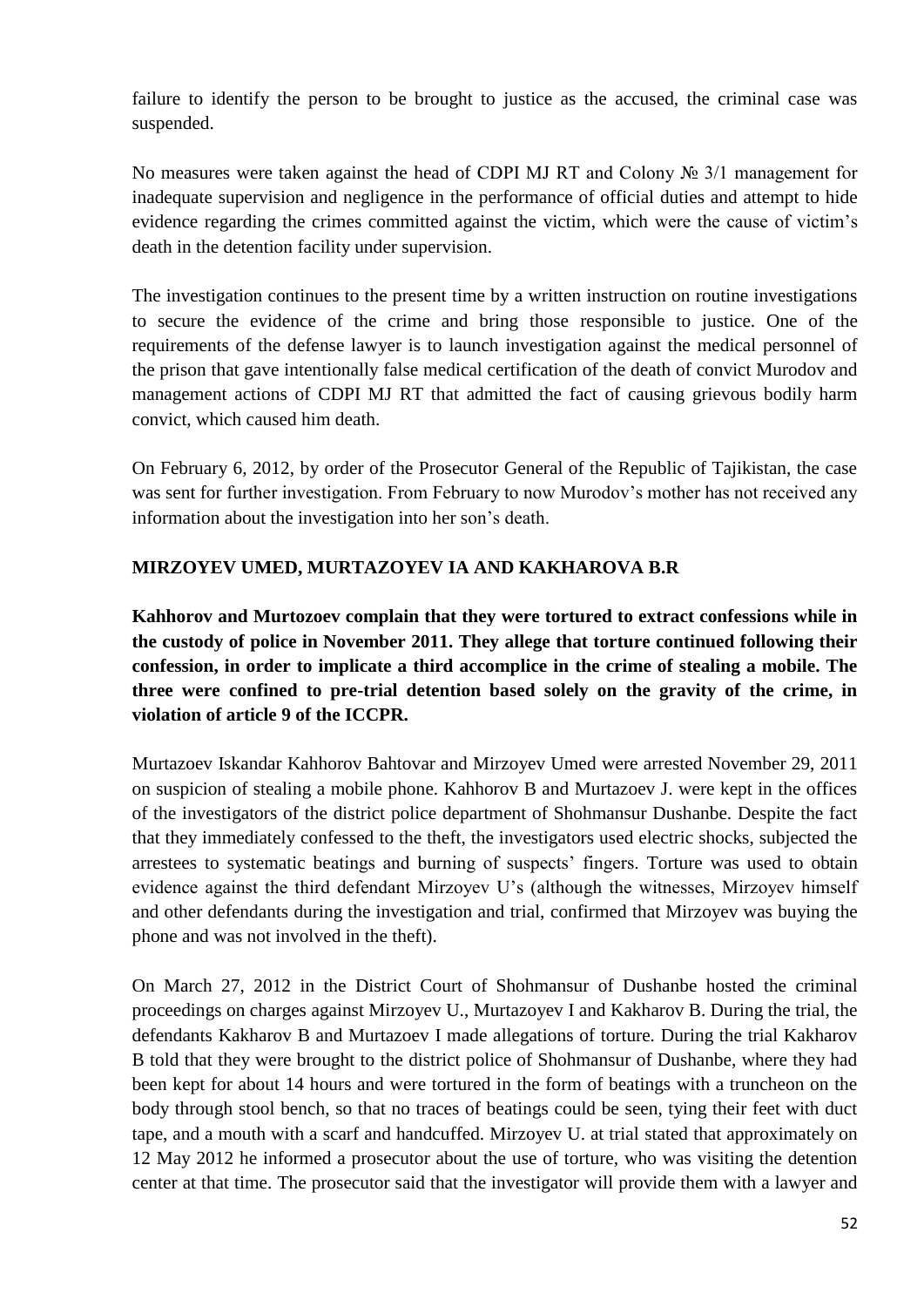failure to identify the person to be brought to justice as the accused, the criminal case was suspended.

No measures were taken against the head of CDPI MJ RT and Colony № 3/1 management for inadequate supervision and negligence in the performance of official duties and attempt to hide evidence regarding the crimes committed against the victim, which were the cause of victim's death in the detention facility under supervision.

The investigation continues to the present time by a written instruction on routine investigations to secure the evidence of the crime and bring those responsible to justice. One of the requirements of the defense lawyer is to launch investigation against the medical personnel of the prison that gave intentionally false medical certification of the death of convict Murodov and management actions of CDPI MJ RT that admitted the fact of causing grievous bodily harm convict, which caused him death.

On February 6, 2012, by order of the Prosecutor General of the Republic of Tajikistan, the case was sent for further investigation. From February to now Murodov's mother has not received any information about the investigation into her son's death.

### **MIRZOYEV UMED, MURTAZOYEV IA AND KAKHAROVA B.R**

**Kahhorov and Murtozoev complain that they were tortured to extract confessions while in the custody of police in November 2011. They allege that torture continued following their confession, in order to implicate a third accomplice in the crime of stealing a mobile. The three were confined to pre-trial detention based solely on the gravity of the crime, in violation of article 9 of the ICCPR.** 

Murtazoev Iskandar Kahhorov Bahtovar and Mirzoyev Umed were arrested November 29, 2011 on suspicion of stealing a mobile phone. Kahhorov B and Murtazoev J. were kept in the offices of the investigators of the district police department of Shohmansur Dushanbe. Despite the fact that they immediately confessed to the theft, the investigators used electric shocks, subjected the arrestees to systematic beatings and burning of suspects' fingers. Torture was used to obtain evidence against the third defendant Mirzoyev U's (although the witnesses, Mirzoyev himself and other defendants during the investigation and trial, confirmed that Mirzoyev was buying the phone and was not involved in the theft).

On March 27, 2012 in the District Court of Shohmansur of Dushanbe hosted the criminal proceedings on charges against Mirzoyev U., Murtazoyev I and Kakharov B. During the trial, the defendants Kakharov B and Murtazoev I made allegations of torture. During the trial Kakharov B told that they were brought to the district police of Shohmansur of Dushanbe, where they had been kept for about 14 hours and were tortured in the form of beatings with a truncheon on the body through stool bench, so that no traces of beatings could be seen, tying their feet with duct tape, and a mouth with a scarf and handcuffed. Mirzoyev U. at trial stated that approximately on 12 May 2012 he informed a prosecutor about the use of torture, who was visiting the detention center at that time. The prosecutor said that the investigator will provide them with a lawyer and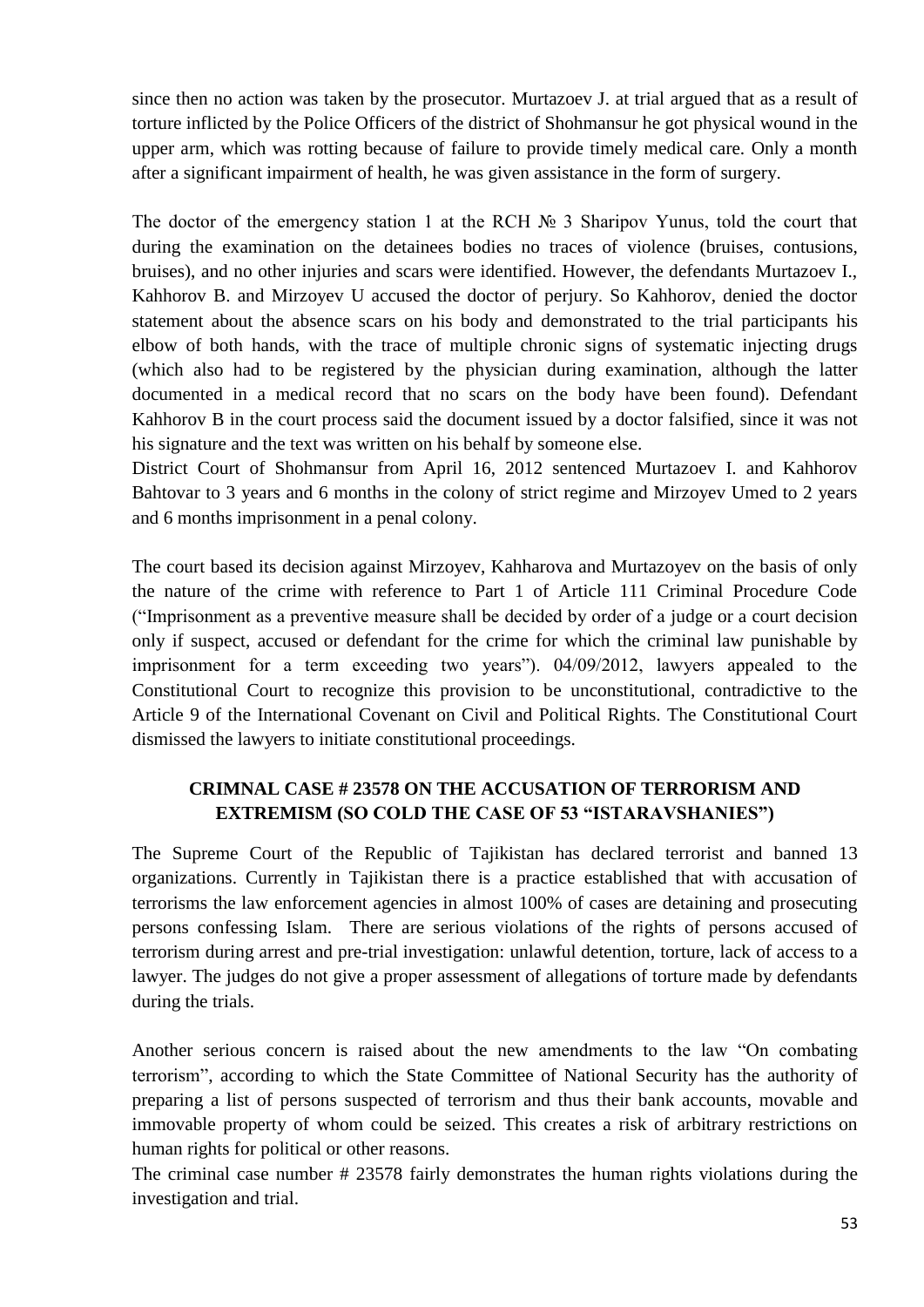since then no action was taken by the prosecutor. Murtazoev J. at trial argued that as a result of torture inflicted by the Police Officers of the district of Shohmansur he got physical wound in the upper arm, which was rotting because of failure to provide timely medical care. Only a month after a significant impairment of health, he was given assistance in the form of surgery.

The doctor of the emergency station 1 at the RCH № 3 Sharipov Yunus, told the court that during the examination on the detainees bodies no traces of violence (bruises, contusions, bruises), and no other injuries and scars were identified. However, the defendants Murtazoev I., Kahhorov B. and Mirzoyev U accused the doctor of perjury. So Kahhorov, denied the doctor statement about the absence scars on his body and demonstrated to the trial participants his elbow of both hands, with the trace of multiple chronic signs of systematic injecting drugs (which also had to be registered by the physician during examination, although the latter documented in a medical record that no scars on the body have been found). Defendant Kahhorov B in the court process said the document issued by a doctor falsified, since it was not his signature and the text was written on his behalf by someone else.

District Court of Shohmansur from April 16, 2012 sentenced Murtazoev I. and Kahhorov Bahtovar to 3 years and 6 months in the colony of strict regime and Mirzoyev Umed to 2 years and 6 months imprisonment in a penal colony.

The court based its decision against Mirzoyev, Kahharova and Murtazoyev on the basis of only the nature of the crime with reference to Part 1 of Article 111 Criminal Procedure Code ("Imprisonment as a preventive measure shall be decided by order of a judge or a court decision only if suspect, accused or defendant for the crime for which the criminal law punishable by imprisonment for a term exceeding two years"). 04/09/2012, lawyers appealed to the Constitutional Court to recognize this provision to be unconstitutional, contradictive to the Article 9 of the International Covenant on Civil and Political Rights. The Constitutional Court dismissed the lawyers to initiate constitutional proceedings.

# **CRIMNAL CASE # 23578 ON THE ACCUSATION OF TERRORISM AND EXTREMISM (SO COLD THE CASE OF 53 "ISTARAVSHANIES")**

The Supreme Court of the Republic of Tajikistan has declared terrorist and banned 13 organizations. Currently in Tajikistan there is a practice established that with accusation of terrorisms the law enforcement agencies in almost 100% of cases are detaining and prosecuting persons confessing Islam. There are serious violations of the rights of persons accused of terrorism during arrest and pre-trial investigation: unlawful detention, torture, lack of access to a lawyer. The judges do not give a proper assessment of allegations of torture made by defendants during the trials.

Another serious concern is raised about the new amendments to the law "On combating terrorism", according to which the State Committee of National Security has the authority of preparing a list of persons suspected of terrorism and thus their bank accounts, movable and immovable property of whom could be seized. This creates a risk of arbitrary restrictions on human rights for political or other reasons.

The criminal case number # 23578 fairly demonstrates the human rights violations during the investigation and trial.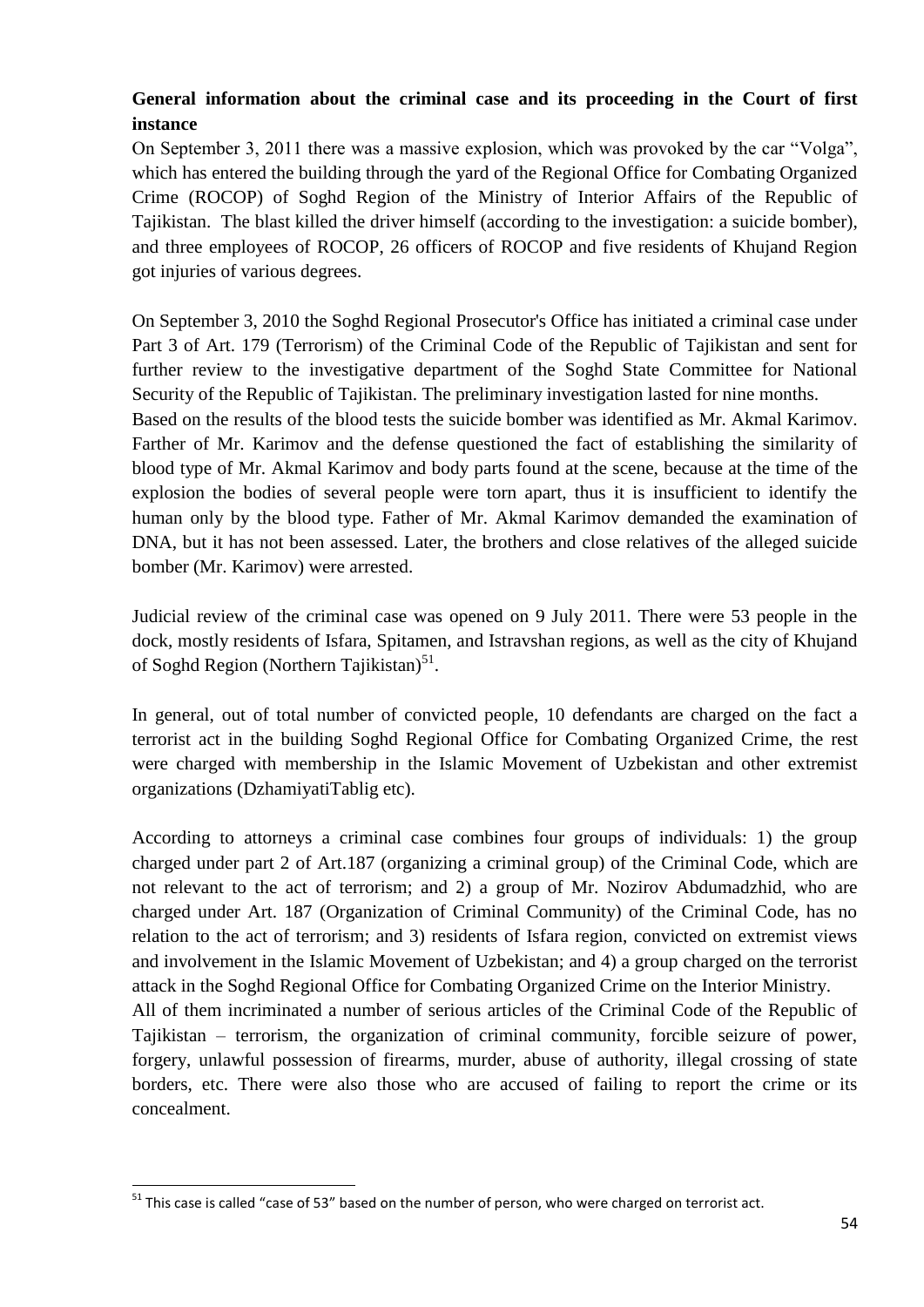# **General information about the criminal case and its proceeding in the Court of first instance**

On September 3, 2011 there was a massive explosion, which was provoked by the car "Volga", which has entered the building through the yard of the Regional Office for Combating Organized Crime (ROCOP) of Soghd Region of the Ministry of Interior Affairs of the Republic of Tajikistan. The blast killed the driver himself (according to the investigation: a suicide bomber), and three employees of ROCOP, 26 officers of ROCOP and five residents of Khujand Region got injuries of various degrees.

On September 3, 2010 the Soghd Regional Prosecutor's Office has initiated a criminal case under Part 3 of Art. 179 (Terrorism) of the Criminal Code of the Republic of Tajikistan and sent for further review to the investigative department of the Soghd State Committee for National Security of the Republic of Tajikistan. The preliminary investigation lasted for nine months. Based on the results of the blood tests the suicide bomber was identified as Mr. Akmal Karimov.

Farther of Mr. Karimov and the defense questioned the fact of establishing the similarity of blood type of Mr. Akmal Karimov and body parts found at the scene, because at the time of the explosion the bodies of several people were torn apart, thus it is insufficient to identify the human only by the blood type. Father of Mr. Akmal Karimov demanded the examination of DNA, but it has not been assessed. Later, the brothers and close relatives of the alleged suicide bomber (Mr. Karimov) were arrested.

Judicial review of the criminal case was opened on 9 July 2011. There were 53 people in the dock, mostly residents of Isfara, Spitamen, and Istravshan regions, as well as the city of Khujand of Soghd Region (Northern Tajikistan)<sup>51</sup>.

In general, out of total number of convicted people, 10 defendants are charged on the fact a terrorist act in the building Soghd Regional Office for Combating Organized Crime, the rest were charged with membership in the Islamic Movement of Uzbekistan and other extremist organizations (DzhamiyatiTablig etc).

According to attorneys a criminal case combines four groups of individuals: 1) the group charged under part 2 of Art.187 (organizing a criminal group) of the Criminal Code, which are not relevant to the act of terrorism; and 2) a group of Mr. Nozirov Abdumadzhid, who are charged under Art. 187 (Organization of Criminal Community) of the Criminal Code, has no relation to the act of terrorism; and 3) residents of Isfara region, convicted on extremist views and involvement in the Islamic Movement of Uzbekistan; and 4) a group charged on the terrorist attack in the Soghd Regional Office for Combating Organized Crime on the Interior Ministry.

All of them incriminated a number of serious articles of the Criminal Code of the Republic of Tajikistan – terrorism, the organization of criminal community, forcible seizure of power, forgery, unlawful possession of firearms, murder, abuse of authority, illegal crossing of state borders, etc. There were also those who are accused of failing to report the crime or its concealment.

 $\overline{a}$ 

 $51$  This case is called "case of 53" based on the number of person, who were charged on terrorist act.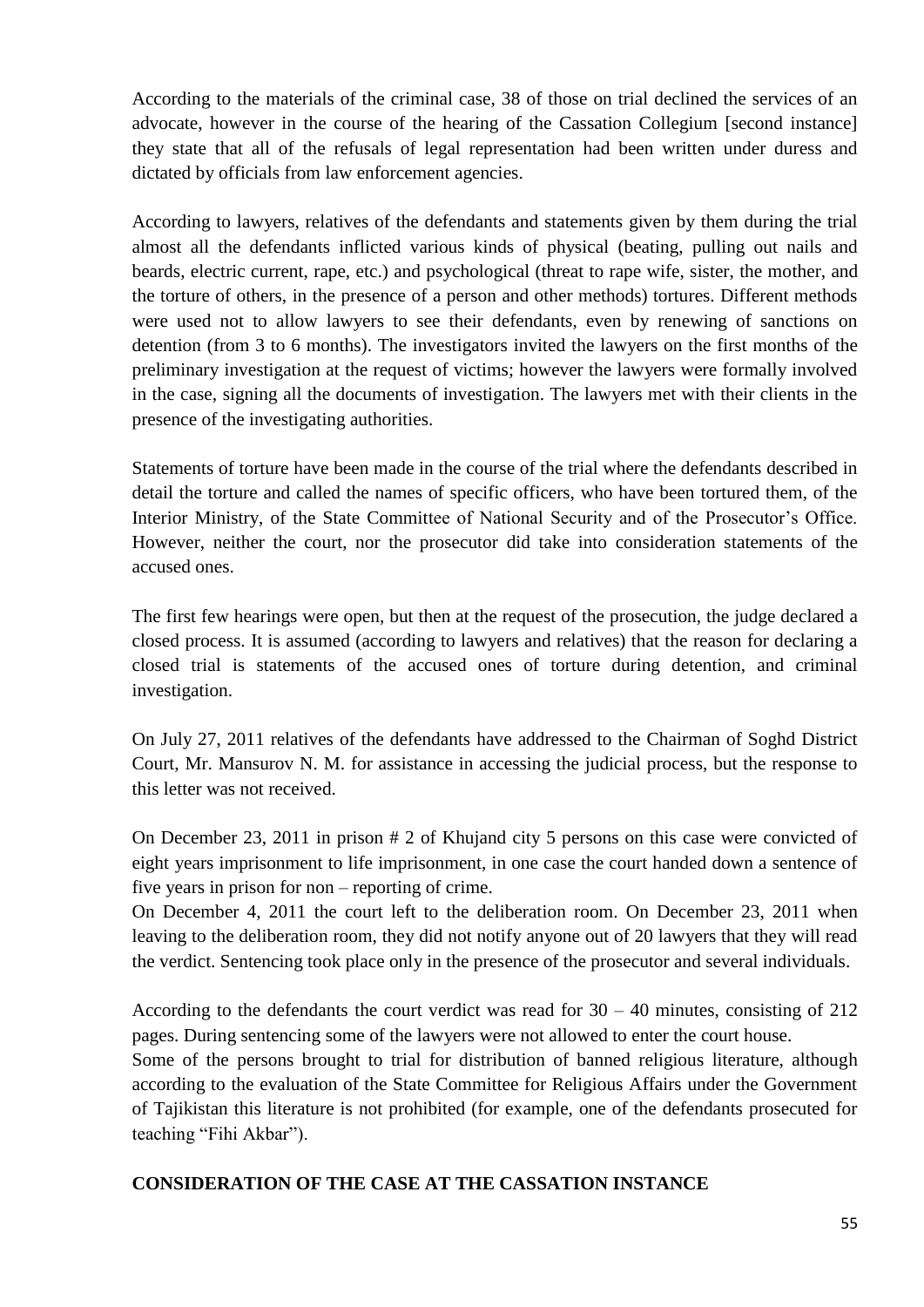According to the materials of the criminal case, 38 of those on trial declined the services of an advocate, however in the course of the hearing of the Cassation Collegium [second instance] they state that all of the refusals of legal representation had been written under duress and dictated by officials from law enforcement agencies.

According to lawyers, relatives of the defendants and statements given by them during the trial almost all the defendants inflicted various kinds of physical (beating, pulling out nails and beards, electric current, rape, etc.) and psychological (threat to rape wife, sister, the mother, and the torture of others, in the presence of a person and other methods) tortures. Different methods were used not to allow lawyers to see their defendants, even by renewing of sanctions on detention (from 3 to 6 months). The investigators invited the lawyers on the first months of the preliminary investigation at the request of victims; however the lawyers were formally involved in the case, signing all the documents of investigation. The lawyers met with their clients in the presence of the investigating authorities.

Statements of torture have been made in the course of the trial where the defendants described in detail the torture and called the names of specific officers, who have been tortured them, of the Interior Ministry, of the State Committee of National Security and of the Prosecutor's Office. However, neither the court, nor the prosecutor did take into consideration statements of the accused ones.

The first few hearings were open, but then at the request of the prosecution, the judge declared a closed process. It is assumed (according to lawyers and relatives) that the reason for declaring a closed trial is statements of the accused ones of torture during detention, and criminal investigation.

On July 27, 2011 relatives of the defendants have addressed to the Chairman of Soghd District Court, Mr. Mansurov N. M. for assistance in accessing the judicial process, but the response to this letter was not received.

On December 23, 2011 in prison # 2 of Khujand city 5 persons on this case were convicted of eight years imprisonment to life imprisonment, in one case the court handed down a sentence of five years in prison for non – reporting of crime.

On December 4, 2011 the court left to the deliberation room. On December 23, 2011 when leaving to the deliberation room, they did not notify anyone out of 20 lawyers that they will read the verdict. Sentencing took place only in the presence of the prosecutor and several individuals.

According to the defendants the court verdict was read for  $30 - 40$  minutes, consisting of  $212$ pages. During sentencing some of the lawyers were not allowed to enter the court house.

Some of the persons brought to trial for distribution of banned religious literature, although according to the evaluation of the State Committee for Religious Affairs under the Government of Tajikistan this literature is not prohibited (for example, one of the defendants prosecuted for teaching "Fihi Akbar").

### **CONSIDERATION OF THE CASE AT THE CASSATION INSTANCE**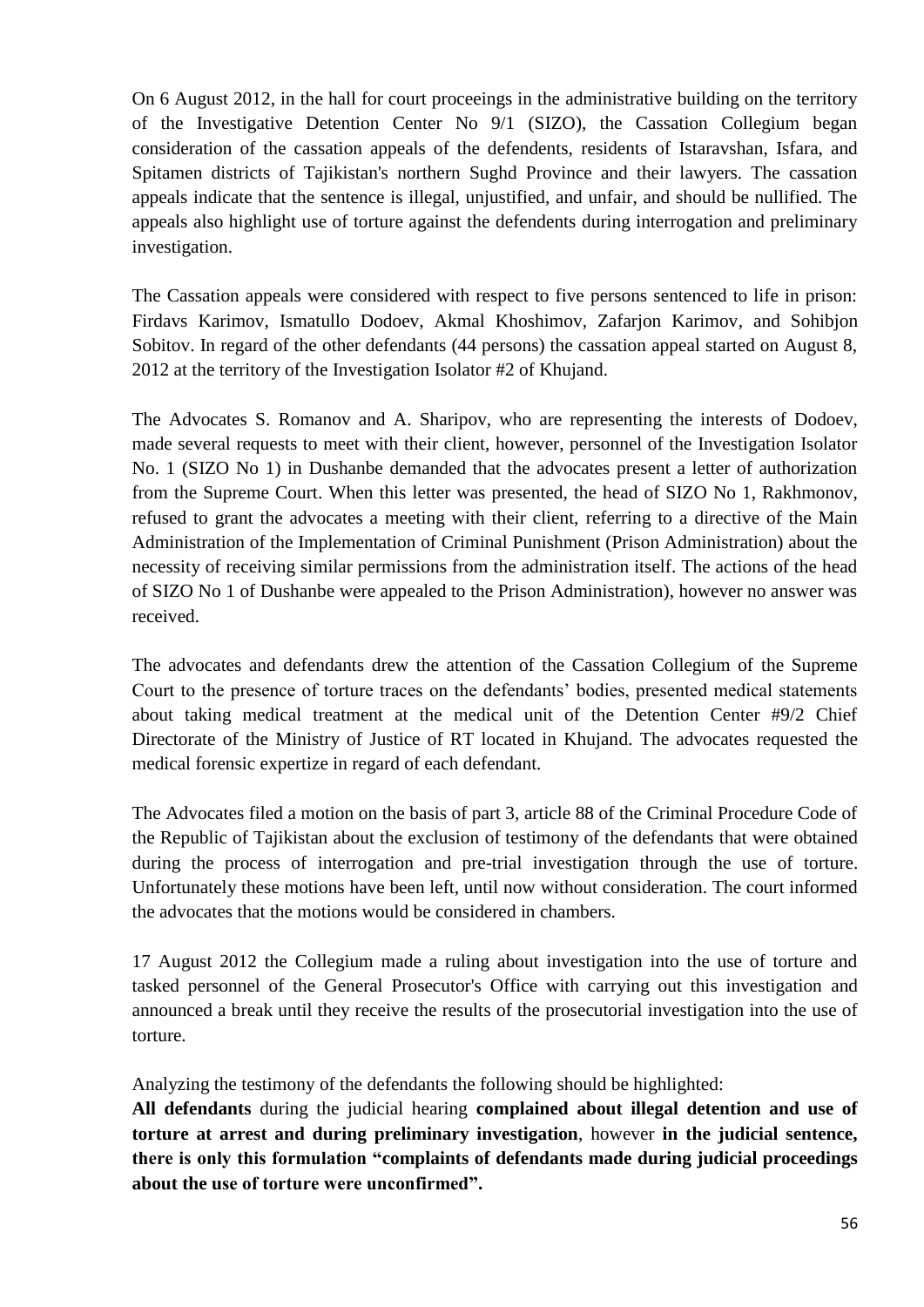On 6 August 2012, in the hall for court proceeings in the administrative building on the territory of the Investigative Detention Center No 9/1 (SIZO), the Cassation Collegium began consideration of the cassation appeals of the defendents, residents of Istaravshan, Isfara, and Spitamen districts of Tajikistan's northern Sughd Province and their lawyers. The cassation appeals indicate that the sentence is illegal, unjustified, and unfair, and should be nullified. The appeals also highlight use of torture against the defendents during interrogation and preliminary investigation.

The Cassation appeals were considered with respect to five persons sentenced to life in prison: Firdavs Karimov, Ismatullo Dodoev, Akmal Khoshimov, Zafarjon Karimov, and Sohibjon Sobitov. In regard of the other defendants (44 persons) the cassation appeal started on August 8, 2012 at the territory of the Investigation Isolator #2 of Khujand.

The Advocates S. Romanov and A. Sharipov, who are representing the interests of Dodoev, made several requests to meet with their client, however, personnel of the Investigation Isolator No. 1 (SIZO No 1) in Dushanbe demanded that the advocates present a letter of authorization from the Supreme Court. When this letter was presented, the head of SIZO No 1, Rakhmonov, refused to grant the advocates a meeting with their client, referring to a directive of the Main Administration of the Implementation of Criminal Punishment (Prison Administration) about the necessity of receiving similar permissions from the administration itself. The actions of the head of SIZO No 1 of Dushanbe were appealed to the Prison Administration), however no answer was received.

The advocates and defendants drew the attention of the Cassation Collegium of the Supreme Court to the presence of torture traces on the defendants' bodies, presented medical statements about taking medical treatment at the medical unit of the Detention Center #9/2 Chief Directorate of the Ministry of Justice of RT located in Khujand. The advocates requested the medical forensic expertize in regard of each defendant.

The Advocates filed a motion on the basis of part 3, article 88 of the Criminal Procedure Code of the Republic of Tajikistan about the exclusion of testimony of the defendants that were obtained during the process of interrogation and pre-trial investigation through the use of torture. Unfortunately these motions have been left, until now without consideration. The court informed the advocates that the motions would be considered in chambers.

17 August 2012 the Collegium made a ruling about investigation into the use of torture and tasked personnel of the General Prosecutor's Office with carrying out this investigation and announced a break until they receive the results of the prosecutorial investigation into the use of torture.

Analyzing the testimony of the defendants the following should be highlighted:

**All defendants** during the judicial hearing **complained about illegal detention and use of torture at arrest and during preliminary investigation**, however **in the judicial sentence, there is only this formulation "complaints of defendants made during judicial proceedings about the use of torture were unconfirmed".**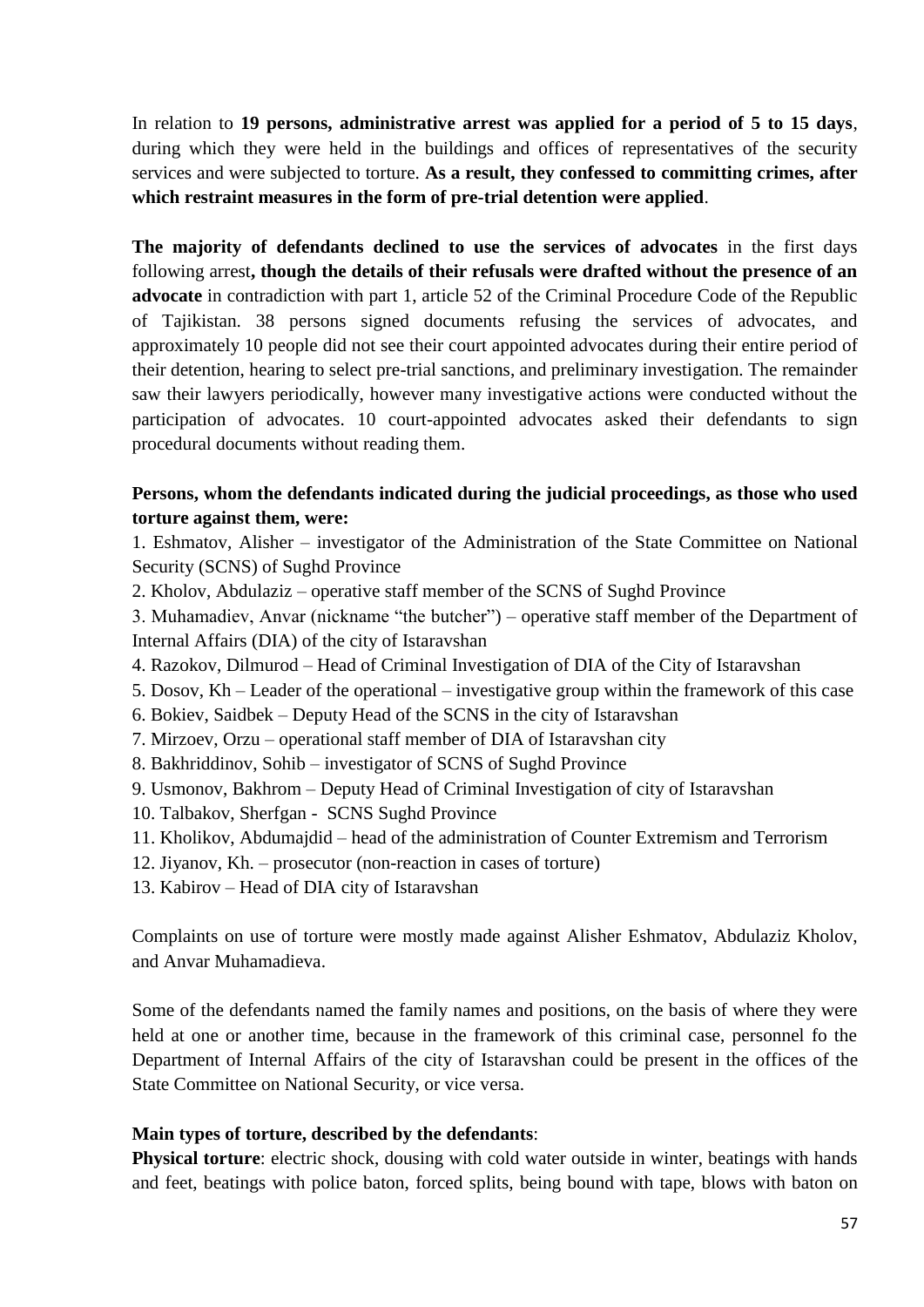In relation to **19 persons, administrative arrest was applied for a period of 5 to 15 days**, during which they were held in the buildings and offices of representatives of the security services and were subjected to torture. **As a result, they confessed to committing crimes, after which restraint measures in the form of pre-trial detention were applied**.

**The majority of defendants declined to use the services of advocates** in the first days following arrest**, though the details of their refusals were drafted without the presence of an advocate** in contradiction with part 1, article 52 of the Criminal Procedure Code of the Republic of Tajikistan. 38 persons signed documents refusing the services of advocates, and approximately 10 people did not see their court appointed advocates during their entire period of their detention, hearing to select pre-trial sanctions, and preliminary investigation. The remainder saw their lawyers periodically, however many investigative actions were conducted without the participation of advocates. 10 court-appointed advocates asked their defendants to sign procedural documents without reading them.

### **Persons, whom the defendants indicated during the judicial proceedings, as those who used torture against them, were:**

1. Eshmatov, Alisher – investigator of the Administration of the State Committee on National Security (SCNS) of Sughd Province

- 2. Kholov, Abdulaziz operative staff member of the SCNS of Sughd Province
- 3. Muhamadiev, Anvar (nickname "the butcher") operative staff member of the Department of Internal Affairs (DIA) of the city of Istaravshan
- 4. Razokov, Dilmurod Head of Criminal Investigation of DIA of the City of Istaravshan
- 5. Dosov, Kh Leader of the operational investigative group within the framework of this case
- 6. Bokiev, Saidbek Deputy Head of the SCNS in the city of Istaravshan
- 7. Mirzoev, Orzu operational staff member of DIA of Istaravshan city
- 8. Bakhriddinov, Sohib investigator of SCNS of Sughd Province
- 9. Usmonov, Bakhrom Deputy Head of Criminal Investigation of city of Istaravshan
- 10. Talbakov, Sherfgan SCNS Sughd Province
- 11. Kholikov, Abdumajdid head of the administration of Counter Extremism and Terrorism
- 12. Jiyanov, Kh. prosecutor (non-reaction in cases of torture)
- 13. Kabirov Head of DIA city of Istaravshan

Complaints on use of torture were mostly made against Alisher Eshmatov, Abdulaziz Kholov, and Anvar Muhamadieva.

Some of the defendants named the family names and positions, on the basis of where they were held at one or another time, because in the framework of this criminal case, personnel fo the Department of Internal Affairs of the city of Istaravshan could be present in the offices of the State Committee on National Security, or vice versa.

#### **Main types of torture, described by the defendants**:

**Physical torture**: electric shock, dousing with cold water outside in winter, beatings with hands and feet, beatings with police baton, forced splits, being bound with tape, blows with baton on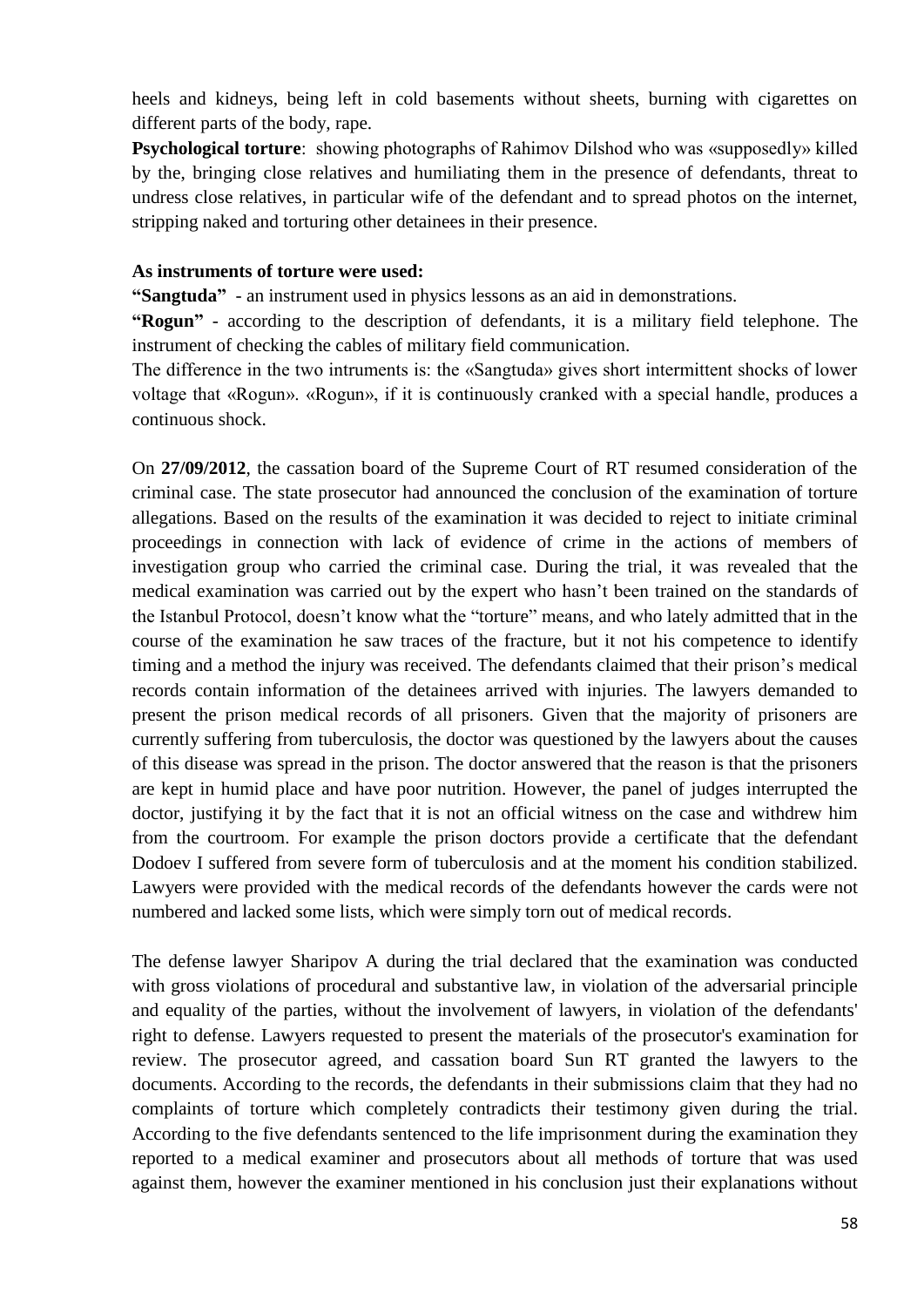heels and kidneys, being left in cold basements without sheets, burning with cigarettes on different parts of the body, rape.

**Psychological torture**: showing photographs of Rahimov Dilshod who was «supposedly» killed by the, bringing close relatives and humiliating them in the presence of defendants, threat to undress close relatives, in particular wife of the defendant and to spread photos on the internet, stripping naked and torturing other detainees in their presence.

#### **As instruments of torture were used:**

**"Sangtuda"** - an instrument used in physics lessons as an aid in demonstrations.

**"Rogun"** - according to the description of defendants, it is a military field telephone. The instrument of checking the cables of military field communication.

The difference in the two intruments is: the «Sangtuda» gives short intermittent shocks of lower voltage that «Rogun». «Rogun», if it is continuously cranked with a special handle, produces a continuous shock.

On **27/09/2012**, the cassation board of the Supreme Court of RT resumed consideration of the criminal case. The state prosecutor had announced the conclusion of the examination of torture allegations. Based on the results of the examination it was decided to reject to initiate criminal proceedings in connection with lack of evidence of crime in the actions of members of investigation group who carried the criminal case. During the trial, it was revealed that the medical examination was carried out by the expert who hasn't been trained on the standards of the Istanbul Protocol, doesn't know what the "torture" means, and who lately admitted that in the course of the examination he saw traces of the fracture, but it not his competence to identify timing and a method the injury was received. The defendants claimed that their prison's medical records contain information of the detainees arrived with injuries. The lawyers demanded to present the prison medical records of all prisoners. Given that the majority of prisoners are currently suffering from tuberculosis, the doctor was questioned by the lawyers about the causes of this disease was spread in the prison. The doctor answered that the reason is that the prisoners are kept in humid place and have poor nutrition. However, the panel of judges interrupted the doctor, justifying it by the fact that it is not an official witness on the case and withdrew him from the courtroom. For example the prison doctors provide a certificate that the defendant Dodoev I suffered from severe form of tuberculosis and at the moment his condition stabilized. Lawyers were provided with the medical records of the defendants however the cards were not numbered and lacked some lists, which were simply torn out of medical records.

The defense lawyer Sharipov A during the trial declared that the examination was conducted with gross violations of procedural and substantive law, in violation of the adversarial principle and equality of the parties, without the involvement of lawyers, in violation of the defendants' right to defense. Lawyers requested to present the materials of the prosecutor's examination for review. The prosecutor agreed, and cassation board Sun RT granted the lawyers to the documents. According to the records, the defendants in their submissions claim that they had no complaints of torture which completely contradicts their testimony given during the trial. According to the five defendants sentenced to the life imprisonment during the examination they reported to a medical examiner and prosecutors about all methods of torture that was used against them, however the examiner mentioned in his conclusion just their explanations without